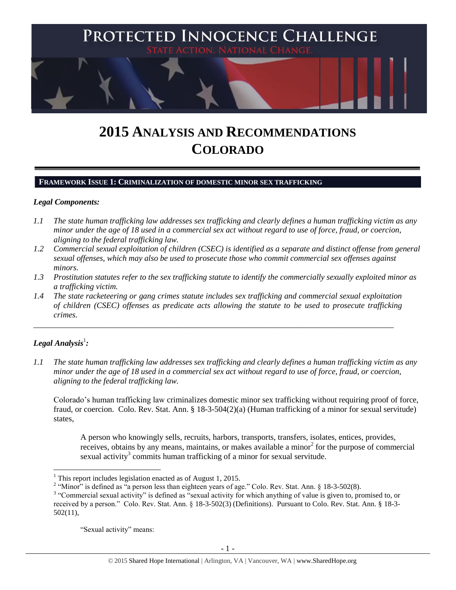

# **2015 ANALYSIS AND RECOMMENDATIONS COLORADO**

#### **FRAMEWORK ISSUE 1: CRIMINALIZATION OF DOMESTIC MINOR SEX TRAFFICKING**

#### *Legal Components:*

- *1.1 The state human trafficking law addresses sex trafficking and clearly defines a human trafficking victim as any minor under the age of 18 used in a commercial sex act without regard to use of force, fraud, or coercion, aligning to the federal trafficking law.*
- *1.2 Commercial sexual exploitation of children (CSEC) is identified as a separate and distinct offense from general sexual offenses, which may also be used to prosecute those who commit commercial sex offenses against minors.*
- *1.3 Prostitution statutes refer to the sex trafficking statute to identify the commercially sexually exploited minor as a trafficking victim.*
- *1.4 The state racketeering or gang crimes statute includes sex trafficking and commercial sexual exploitation of children (CSEC) offenses as predicate acts allowing the statute to be used to prosecute trafficking crimes.*

\_\_\_\_\_\_\_\_\_\_\_\_\_\_\_\_\_\_\_\_\_\_\_\_\_\_\_\_\_\_\_\_\_\_\_\_\_\_\_\_\_\_\_\_\_\_\_\_\_\_\_\_\_\_\_\_\_\_\_\_\_\_\_\_\_\_\_\_\_\_\_\_\_\_\_\_\_\_\_\_\_\_\_\_\_\_\_\_

# $\bm{\mathit{Legal\, Analysis^1}}$ :

 $\overline{\phantom{a}}$ 

*1.1 The state human trafficking law addresses sex trafficking and clearly defines a human trafficking victim as any minor under the age of 18 used in a commercial sex act without regard to use of force, fraud, or coercion, aligning to the federal trafficking law.*

Colorado's human trafficking law criminalizes domestic minor sex trafficking without requiring proof of force, fraud, or coercion. Colo. Rev. Stat. Ann. § 18-3-504(2)(a) (Human trafficking of a minor for sexual servitude) states,

A person who knowingly sells, recruits, harbors, transports, transfers, isolates, entices, provides, receives, obtains by any means, maintains, or makes available a minor<sup>2</sup> for the purpose of commercial sexual activity<sup>3</sup> commits human trafficking of a minor for sexual servitude.

"Sexual activity" means:

 $<sup>1</sup>$  This report includes legislation enacted as of August 1, 2015.</sup>

<sup>&</sup>lt;sup>2</sup> "Minor" is defined as "a person less than eighteen years of age." Colo. Rev. Stat. Ann. § 18-3-502(8).

<sup>&</sup>lt;sup>3</sup> "Commercial sexual activity" is defined as "sexual activity for which anything of value is given to, promised to, or received by a person." Colo. Rev. Stat. Ann. § 18-3-502(3) (Definitions). Pursuant to Colo. Rev. Stat. Ann. § 18-3- 502(11),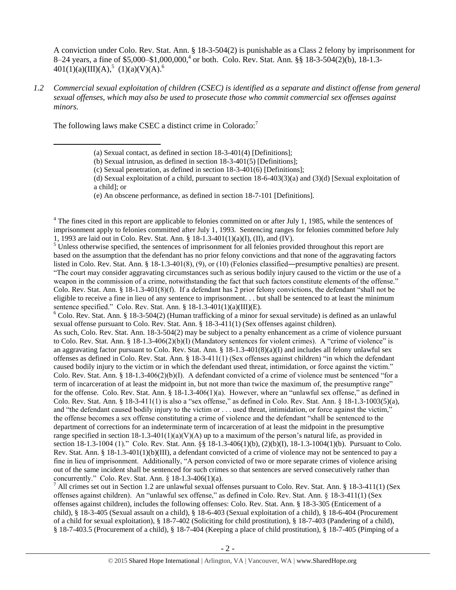A conviction under Colo. Rev. Stat. Ann. § 18-3-504(2) is punishable as a Class 2 felony by imprisonment for 8–24 years, a fine of \$5,000–\$1,000,000, 4 or both. Colo. Rev. Stat. Ann. §§ 18-3-504(2)(b), 18-1.3-  $401(1)(a)(III)(A),<sup>5</sup> (1)(a)(V)(A).<sup>6</sup>$ 

*1.2 Commercial sexual exploitation of children (CSEC) is identified as a separate and distinct offense from general sexual offenses, which may also be used to prosecute those who commit commercial sex offenses against minors.*

The following laws make CSEC a distinct crime in Colorado: $<sup>7</sup>$ </sup>

l

 $4$  The fines cited in this report are applicable to felonies committed on or after July 1, 1985, while the sentences of imprisonment apply to felonies committed after July 1, 1993. Sentencing ranges for felonies committed before July 1, 1993 are laid out in Colo. Rev. Stat. Ann. § 18-1.3-401(1)(a)(I), (II), and (IV).

 $5$  Unless otherwise specified, the sentences of imprisonment for all felonies provided throughout this report are based on the assumption that the defendant has no prior felony convictions and that none of the aggravating factors listed in Colo. Rev. Stat. Ann. § 18-1.3-401(8), (9), or (10) (Felonies classified―presumptive penalties) are present. "The court may consider aggravating circumstances such as serious bodily injury caused to the victim or the use of a weapon in the commission of a crime, notwithstanding the fact that such factors constitute elements of the offense." Colo. Rev. Stat. Ann. § 18-1.3-401(8)(f). If a defendant has 2 prior felony convictions, the defendant "shall not be eligible to receive a fine in lieu of any sentence to imprisonment. . . but shall be sentenced to at least the minimum sentence specified." Colo. Rev. Stat. Ann. § 18-1.3-401(1)(a)(III)(E).

 $6$  Colo. Rev. Stat. Ann. § 18-3-504(2) (Human trafficking of a minor for sexual servitude) is defined as an unlawful sexual offense pursuant to Colo. Rev. Stat. Ann. § 18-3-411(1) (Sex offenses against children).

As such, Colo. Rev. Stat. Ann. 18-3-504(2) may be subject to a penalty enhancement as a crime of violence pursuant to Colo. Rev. Stat. Ann. § 18-1.3-406(2)(b)(I) (Mandatory sentences for violent crimes). A "crime of violence" is an aggravating factor pursuant to Colo. Rev. Stat. Ann.  $\S 18-1.3-401(8)(a)(I)$  and includes all felony unlawful sex offenses as defined in Colo. Rev. Stat. Ann. § 18-3-411(1) (Sex offenses against children) "in which the defendant caused bodily injury to the victim or in which the defendant used threat, intimidation, or force against the victim." Colo. Rev. Stat. Ann. § 18-1.3-406(2)(b)(I). A defendant convicted of a crime of violence must be sentenced "for a term of incarceration of at least the midpoint in, but not more than twice the maximum of, the presumptive range" for the offense. Colo. Rev. Stat. Ann. § 18-1.3-406(1)(a). However, where an "unlawful sex offense," as defined in Colo. Rev. Stat. Ann. § 18-3-411(1) is also a "sex offense," as defined in Colo. Rev. Stat. Ann. § 18-1.3-1003(5)(a), and "the defendant caused bodily injury to the victim or . . . used threat, intimidation, or force against the victim," the offense becomes a sex offense constituting a crime of violence and the defendant "shall be sentenced to the department of corrections for an indeterminate term of incarceration of at least the midpoint in the presumptive range specified in section  $18-1.3-401(1)(a)(V)(A)$  up to a maximum of the person's natural life, as provided in section 18-1.3-1004 (1)." Colo. Rev. Stat. Ann. §§ 18-1.3-406(1)(b), (2)(b)(I), 18-1.3-1004(1)(b). Pursuant to Colo. Rev. Stat. Ann. § 18-1.3-401(1)(b)(III), a defendant convicted of a crime of violence may not be sentenced to pay a fine in lieu of imprisonment. Additionally, "A person convicted of two or more separate crimes of violence arising out of the same incident shall be sentenced for such crimes so that sentences are served consecutively rather than concurrently." Colo. Rev. Stat. Ann. § 18-1.3-406(1)(a).

<sup>7</sup> All crimes set out in Section 1.2 are unlawful sexual offenses pursuant to Colo. Rev. Stat. Ann. § 18-3-411(1) (Sex offenses against children). An "unlawful sex offense," as defined in Colo. Rev. Stat. Ann. § 18-3-411(1) (Sex offenses against children), includes the following offenses: Colo. Rev. Stat. Ann. § 18-3-305 (Enticement of a child), § 18-3-405 (Sexual assault on a child), § 18-6-403 (Sexual exploitation of a child), § 18-6-404 (Procurement of a child for sexual exploitation), § 18-7-402 (Soliciting for child prostitution), § 18-7-403 (Pandering of a child), § 18-7-403.5 (Procurement of a child), § 18-7-404 (Keeping a place of child prostitution), § 18-7-405 (Pimping of a

<span id="page-1-2"></span><span id="page-1-1"></span><span id="page-1-0"></span><sup>(</sup>a) Sexual contact, as defined in section 18-3-401(4) [Definitions];

<sup>(</sup>b) Sexual intrusion, as defined in section 18-3-401(5) [Definitions];

<sup>(</sup>c) Sexual penetration, as defined in section 18-3-401(6) [Definitions];

<sup>(</sup>d) Sexual exploitation of a child, pursuant to section  $18-6-403(3)(a)$  and  $(3)(d)$  [Sexual exploitation of a child]; or

<sup>(</sup>e) An obscene performance, as defined in section 18-7-101 [Definitions].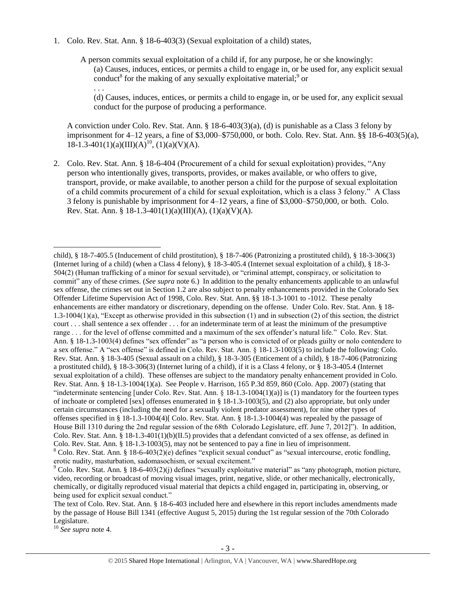1. Colo. Rev. Stat. Ann. § 18-6-403(3) (Sexual exploitation of a child) states,

A person commits sexual exploitation of a child if, for any purpose, he or she knowingly: (a) Causes, induces, entices, or permits a child to engage in, or be used for, any explicit sexual conduct<sup>8</sup> for the making of any sexually exploitative material;<sup>9</sup> or . . .

<span id="page-2-1"></span><span id="page-2-0"></span>(d) Causes, induces, entices, or permits a child to engage in, or be used for, any explicit sexual conduct for the purpose of producing a performance.

A conviction under Colo. Rev. Stat. Ann. § 18-6-403(3)(a), (d) is punishable as a Class 3 felony by imprisonment for 4–12 years, a fine of \$3,000–\$750,000, or both. Colo. Rev. Stat. Ann. §§ 18-6-403(5)(a),  $18-1.3-401(1)(a)(III)(A)^{10}$ ,  $(1)(a)(V)(A)$ .

2. Colo. Rev. Stat. Ann. § 18-6-404 (Procurement of a child for sexual exploitation) provides, "Any person who intentionally gives, transports, provides, or makes available, or who offers to give, transport, provide, or make available, to another person a child for the purpose of sexual exploitation of a child commits procurement of a child for sexual exploitation, which is a class 3 felony." A Class 3 felony is punishable by imprisonment for 4–12 years, a fine of \$3,000–\$750,000, or both. Colo. Rev. Stat. Ann. § 18-1.3-401(1)(a)(III)(A), (1)(a)(V)(A).

<sup>10</sup> *See supra* note [4.](#page-1-1)

l

child), § 18-7-405.5 (Inducement of child prostitution), § 18-7-406 (Patronizing a prostituted child), § 18-3-306(3) (Internet luring of a child) (when a Class 4 felony), § 18-3-405.4 (Internet sexual exploitation of a child), § 18-3- 504(2) (Human trafficking of a minor for sexual servitude), or "criminal attempt, conspiracy, or solicitation to commit" any of these crimes. (*See supra* not[e 6.](#page-1-0)) In addition to the penalty enhancements applicable to an unlawful sex offense, the crimes set out in Section 1.2 are also subject to penalty enhancements provided in the Colorado Sex Offender Lifetime Supervision Act of 1998, Colo. Rev. Stat. Ann. §§ 18-1.3-1001 to -1012. These penalty enhancements are either mandatory or discretionary, depending on the offense. Under Colo. Rev. Stat. Ann. § 18- 1.3-1004(1)(a), "Except as otherwise provided in this subsection (1) and in subsection (2) of this section, the district court . . . shall sentence a sex offender . . . for an indeterminate term of at least the minimum of the presumptive range . . . for the level of offense committed and a maximum of the sex offender's natural life." Colo. Rev. Stat. Ann. § 18-1.3-1003(4) defines "sex offender" as "a person who is convicted of or pleads guilty or nolo contendere to a sex offense." A "sex offense" is defined in Colo. Rev. Stat. Ann. § 18-1.3-1003(5) to include the following: Colo. Rev. Stat. Ann. § 18-3-405 (Sexual assault on a child), § 18-3-305 (Enticement of a child), § 18-7-406 (Patronizing a prostituted child), § 18-3-306(3) (Internet luring of a child), if it is a Class 4 felony, or § 18-3-405.4 (Internet sexual exploitation of a child). These offenses are subject to the mandatory penalty enhancement provided in Colo. Rev. Stat. Ann. § 18-1.3-1004(1)(a). See People v. Harrison, 165 P.3d 859, 860 (Colo. App. 2007) (stating that "indeterminate sentencing [under Colo. Rev. Stat. Ann.  $\S$  18-1.3-1004(1)(a)] is (1) mandatory for the fourteen types of inchoate or completed [sex] offenses enumerated in § 18-1.3-1003(5), and (2) also appropriate, but only under certain circumstances (including the need for a sexually violent predator assessment), for nine other types of offenses specified in § 18-1.3-1004(4)[ Colo. Rev. Stat. Ann. § 18-1.3-1004(4) was repealed by the passage of House Bill 1310 during the 2nd regular session of the 68th Colorado Legislature, eff. June 7, 2012]"). In addition, Colo. Rev. Stat. Ann. § 18-1.3-401(1)(b)(II.5) provides that a defendant convicted of a sex offense, as defined in Colo. Rev. Stat. Ann. § 18-1.3-1003(5), may not be sentenced to pay a fine in lieu of imprisonment. <sup>8</sup> Colo. Rev. Stat. Ann. § 18-6-403(2)(e) defines "explicit sexual conduct" as "sexual intercourse, erotic fondling, erotic nudity, masturbation, sadomasochism, or sexual excitement."

<sup>&</sup>lt;sup>9</sup> Colo. Rev. Stat. Ann. § 18-6-403(2)(j) defines "sexually exploitative material" as "any photograph, motion picture, video, recording or broadcast of moving visual images, print, negative, slide, or other mechanically, electronically, chemically, or digitally reproduced visual material that depicts a child engaged in, participating in, observing, or being used for explicit sexual conduct."

The text of Colo. Rev. Stat. Ann. § 18-6-403 included here and elsewhere in this report includes amendments made by the passage of House Bill 1341 (effective August 5, 2015) during the 1st regular session of the 70th Colorado Legislature.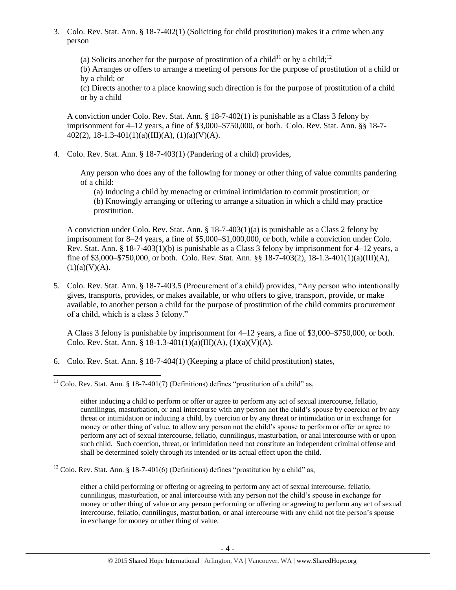3. Colo. Rev. Stat. Ann. § 18-7-402(1) (Soliciting for child prostitution) makes it a crime when any person

(a) Solicits another for the purpose of prostitution of a child<sup>11</sup> or by a child;<sup>12</sup>

<span id="page-3-1"></span><span id="page-3-0"></span>(b) Arranges or offers to arrange a meeting of persons for the purpose of prostitution of a child or by a child; or

(c) Directs another to a place knowing such direction is for the purpose of prostitution of a child or by a child

A conviction under Colo. Rev. Stat. Ann. § 18-7-402(1) is punishable as a Class 3 felony by imprisonment for 4–12 years, a fine of \$3,000–\$750,000, or both. Colo. Rev. Stat. Ann. §§ 18-7-  $402(2)$ , 18-1.3-401(1)(a)(III)(A), (1)(a)(V)(A).

4. Colo. Rev. Stat. Ann. § 18-7-403(1) (Pandering of a child) provides,

Any person who does any of the following for money or other thing of value commits pandering of a child:

(a) Inducing a child by menacing or criminal intimidation to commit prostitution; or (b) Knowingly arranging or offering to arrange a situation in which a child may practice prostitution.

A conviction under Colo. Rev. Stat. Ann. § 18-7-403(1)(a) is punishable as a Class 2 felony by imprisonment for 8–24 years, a fine of \$5,000–\$1,000,000, or both, while a conviction under Colo. Rev. Stat. Ann. § 18-7-403(1)(b) is punishable as a Class 3 felony by imprisonment for 4–12 years, a fine of \$3,000–\$750,000, or both. Colo. Rev. Stat. Ann. §§ 18-7-403(2), 18-1.3-401(1)(a)(III)(A),  $(1)(a)(V)(A).$ 

5. Colo. Rev. Stat. Ann. § 18-7-403.5 (Procurement of a child) provides, "Any person who intentionally gives, transports, provides, or makes available, or who offers to give, transport, provide, or make available, to another person a child for the purpose of prostitution of the child commits procurement of a child, which is a class 3 felony."

A Class 3 felony is punishable by imprisonment for 4–12 years, a fine of \$3,000–\$750,000, or both. Colo. Rev. Stat. Ann. § 18-1.3-401(1)(a)(III)(A), (1)(a)(V)(A).

6. Colo. Rev. Stat. Ann. § 18-7-404(1) (Keeping a place of child prostitution) states,

 $12$  Colo. Rev. Stat. Ann. § 18-7-401(6) (Definitions) defines "prostitution by a child" as,

either a child performing or offering or agreeing to perform any act of sexual intercourse, fellatio, cunnilingus, masturbation, or anal intercourse with any person not the child's spouse in exchange for money or other thing of value or any person performing or offering or agreeing to perform any act of sexual intercourse, fellatio, cunnilingus, masturbation, or anal intercourse with any child not the person's spouse in exchange for money or other thing of value.

l <sup>11</sup> Colo. Rev. Stat. Ann. § 18-7-401(7) (Definitions) defines "prostitution of a child" as,

either inducing a child to perform or offer or agree to perform any act of sexual intercourse, fellatio, cunnilingus, masturbation, or anal intercourse with any person not the child's spouse by coercion or by any threat or intimidation or inducing a child, by coercion or by any threat or intimidation or in exchange for money or other thing of value, to allow any person not the child's spouse to perform or offer or agree to perform any act of sexual intercourse, fellatio, cunnilingus, masturbation, or anal intercourse with or upon such child. Such coercion, threat, or intimidation need not constitute an independent criminal offense and shall be determined solely through its intended or its actual effect upon the child.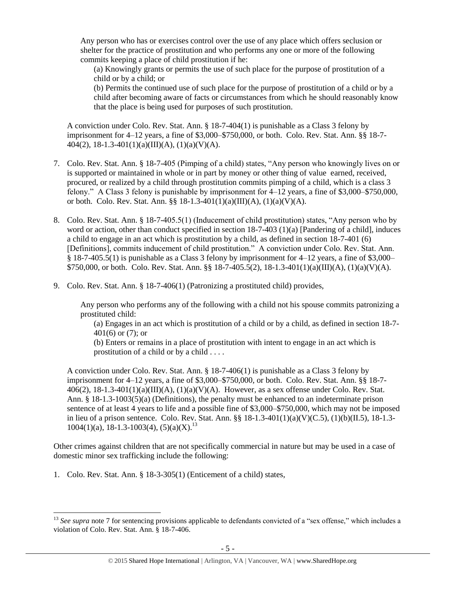Any person who has or exercises control over the use of any place which offers seclusion or shelter for the practice of prostitution and who performs any one or more of the following commits keeping a place of child prostitution if he:

(a) Knowingly grants or permits the use of such place for the purpose of prostitution of a child or by a child; or

(b) Permits the continued use of such place for the purpose of prostitution of a child or by a child after becoming aware of facts or circumstances from which he should reasonably know that the place is being used for purposes of such prostitution.

A conviction under Colo. Rev. Stat. Ann. § 18-7-404(1) is punishable as a Class 3 felony by imprisonment for 4–12 years, a fine of \$3,000–\$750,000, or both. Colo. Rev. Stat. Ann. §§ 18-7- 404(2), 18-1.3-401(1)(a)(III)(A), (1)(a)(V)(A).

- 7. Colo. Rev. Stat. Ann. § 18-7-405 (Pimping of a child) states, "Any person who knowingly lives on or is supported or maintained in whole or in part by money or other thing of value earned, received, procured, or realized by a child through prostitution commits pimping of a child, which is a class 3 felony." A Class 3 felony is punishable by imprisonment for 4–12 years, a fine of \$3,000–\$750,000, or both. Colo. Rev. Stat. Ann. §§ 18-1.3-401(1)(a)(III)(A), (1)(a)(V)(A).
- 8. Colo. Rev. Stat. Ann. § 18-7-405.5(1) (Inducement of child prostitution) states, "Any person who by word or action, other than conduct specified in section 18-7-403 (1)(a) [Pandering of a child], induces a child to engage in an act which is prostitution by a child, as defined in section 18-7-401 (6) [Definitions], commits inducement of child prostitution." A conviction under Colo. Rev. Stat. Ann. § 18-7-405.5(1) is punishable as a Class 3 felony by imprisonment for 4–12 years, a fine of \$3,000– \$750,000, or both. Colo. Rev. Stat. Ann. §§ 18-7-405.5(2), 18-1.3-401(1)(a)(III)(A), (1)(a)(V)(A).
- 9. Colo. Rev. Stat. Ann. § 18-7-406(1) (Patronizing a prostituted child) provides,

Any person who performs any of the following with a child not his spouse commits patronizing a prostituted child:

(a) Engages in an act which is prostitution of a child or by a child, as defined in section 18-7- 401(6) or (7); or

(b) Enters or remains in a place of prostitution with intent to engage in an act which is prostitution of a child or by a child . . . .

A conviction under Colo. Rev. Stat. Ann. § 18-7-406(1) is punishable as a Class 3 felony by imprisonment for 4–12 years, a fine of \$3,000–\$750,000, or both. Colo. Rev. Stat. Ann. §§ 18-7- 406(2), 18-1.3-401(1)(a)(III)(A), (1)(a)(V)(A). However, as a sex offense under Colo. Rev. Stat. Ann. § 18-1.3-1003(5)(a) (Definitions), the penalty must be enhanced to an indeterminate prison sentence of at least 4 years to life and a possible fine of \$3,000–\$750,000, which may not be imposed in lieu of a prison sentence. Colo. Rev. Stat. Ann. §§ 18-1.3-401(1)(a)(V)(C.5), (1)(b)(II.5), 18-1.3-  $1004(1)(a)$ , 18-1.3-1003(4), (5)(a)(X).<sup>13</sup>

Other crimes against children that are not specifically commercial in nature but may be used in a case of domestic minor sex trafficking include the following:

1. Colo. Rev. Stat. Ann. § 18-3-305(1) (Enticement of a child) states,

 $\overline{a}$ <sup>13</sup> See supra note [7](#page-1-2) for sentencing provisions applicable to defendants convicted of a "sex offense," which includes a violation of Colo. Rev. Stat. Ann. § 18-7-406.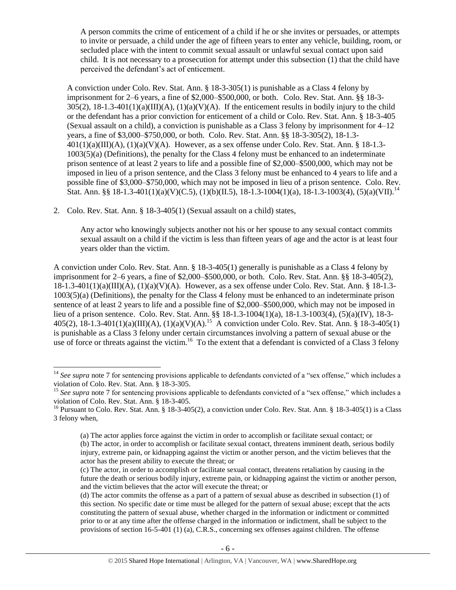A person commits the crime of enticement of a child if he or she invites or persuades, or attempts to invite or persuade, a child under the age of fifteen years to enter any vehicle, building, room, or secluded place with the intent to commit sexual assault or unlawful sexual contact upon said child. It is not necessary to a prosecution for attempt under this subsection (1) that the child have perceived the defendant's act of enticement.

A conviction under Colo. Rev. Stat. Ann. § 18-3-305(1) is punishable as a Class 4 felony by imprisonment for 2–6 years, a fine of \$2,000–\$500,000, or both. Colo. Rev. Stat. Ann. §§ 18-3-  $305(2)$ ,  $18-1.3-401(1)(a)(III)(A)$ ,  $(1)(a)(V)(A)$ . If the enticement results in bodily injury to the child or the defendant has a prior conviction for enticement of a child or Colo. Rev. Stat. Ann. § 18-3-405 (Sexual assault on a child), a conviction is punishable as a Class 3 felony by imprisonment for 4–12 years, a fine of \$3,000–\$750,000, or both. Colo. Rev. Stat. Ann. §§ 18-3-305(2), 18-1.3-  $401(1)(a)(III)(A), (1)(a)(V)(A)$ . However, as a sex offense under Colo. Rev. Stat. Ann. § 18-1.3-1003(5)(a) (Definitions), the penalty for the Class 4 felony must be enhanced to an indeterminate prison sentence of at least 2 years to life and a possible fine of \$2,000–\$500,000, which may not be imposed in lieu of a prison sentence, and the Class 3 felony must be enhanced to 4 years to life and a possible fine of \$3,000–\$750,000, which may not be imposed in lieu of a prison sentence. Colo. Rev. Stat. Ann. §§ 18-1.3-401(1)(a)(V)(C.5), (1)(b)(II.5), 18-1.3-1004(1)(a), 18-1.3-1003(4), (5)(a)(VII).<sup>14</sup>

2. Colo. Rev. Stat. Ann. § 18-3-405(1) (Sexual assault on a child) states,

 $\overline{\phantom{a}}$ 

Any actor who knowingly subjects another not his or her spouse to any sexual contact commits sexual assault on a child if the victim is less than fifteen years of age and the actor is at least four years older than the victim.

A conviction under Colo. Rev. Stat. Ann. § 18-3-405(1) generally is punishable as a Class 4 felony by imprisonment for 2–6 years, a fine of \$2,000–\$500,000, or both. Colo. Rev. Stat. Ann. §§ 18-3-405(2),  $18-1.3-401(1)(a)(III)(A), (1)(a)(V)(A)$ . However, as a sex offense under Colo. Rev. Stat. Ann. § 18-1.3-1003(5)(a) (Definitions), the penalty for the Class 4 felony must be enhanced to an indeterminate prison sentence of at least 2 years to life and a possible fine of \$2,000–\$500,000, which may not be imposed in lieu of a prison sentence. Colo. Rev. Stat. Ann. §§ 18-1.3-1004(1)(a), 18-1.3-1003(4), (5)(a)(IV), 18-3- 405(2),  $18-1.3-401(1)(a)(III)(A)$ ,  $(1)(a)(V)(A)$ .<sup>15</sup> A conviction under Colo. Rev. Stat. Ann. § 18-3-405(1) is punishable as a Class 3 felony under certain circumstances involving a pattern of sexual abuse or the use of force or threats against the victim.<sup>16</sup> To the extent that a defendant is convicted of a Class 3 felony

<sup>&</sup>lt;sup>14</sup> See supra note [7](#page-1-2) for sentencing provisions applicable to defendants convicted of a "sex offense," which includes a violation of Colo. Rev. Stat. Ann. § 18-3-305.

<sup>&</sup>lt;sup>15</sup> See supra note [7](#page-1-2) for sentencing provisions applicable to defendants convicted of a "sex offense," which includes a violation of Colo. Rev. Stat. Ann. § 18-3-405.

<sup>&</sup>lt;sup>16</sup> Pursuant to Colo. Rev. Stat. Ann. § 18-3-405(2), a conviction under Colo. Rev. Stat. Ann. § 18-3-405(1) is a Class 3 felony when,

<sup>(</sup>a) The actor applies force against the victim in order to accomplish or facilitate sexual contact; or (b) The actor, in order to accomplish or facilitate sexual contact, threatens imminent death, serious bodily injury, extreme pain, or kidnapping against the victim or another person, and the victim believes that the actor has the present ability to execute the threat; or

<sup>(</sup>c) The actor, in order to accomplish or facilitate sexual contact, threatens retaliation by causing in the future the death or serious bodily injury, extreme pain, or kidnapping against the victim or another person, and the victim believes that the actor will execute the threat; or

<sup>(</sup>d) The actor commits the offense as a part of a pattern of sexual abuse as described in subsection (1) of this section. No specific date or time must be alleged for the pattern of sexual abuse; except that the acts constituting the pattern of sexual abuse, whether charged in the information or indictment or committed prior to or at any time after the offense charged in the information or indictment, shall be subject to the provisions of section 16-5-401 (1) (a), C.R.S., concerning sex offenses against children. The offense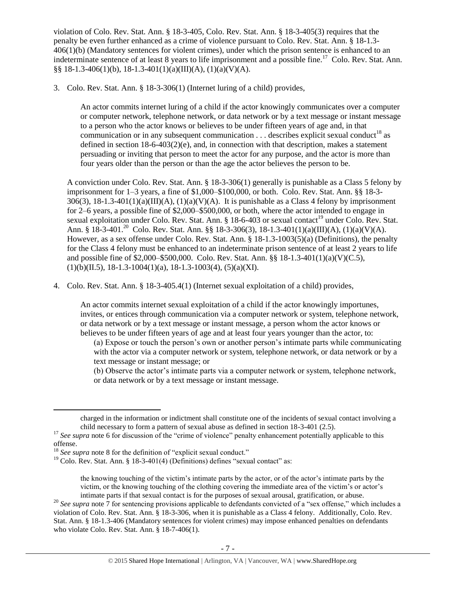violation of Colo. Rev. Stat. Ann. § 18-3-405, Colo. Rev. Stat. Ann. § 18-3-405(3) requires that the penalty be even further enhanced as a crime of violence pursuant to Colo. Rev. Stat. Ann. § 18-1.3-  $406(1)(b)$  (Mandatory sentences for violent crimes), under which the prison sentence is enhanced to an indeterminate sentence of at least 8 years to life imprisonment and a possible fine.<sup>17</sup> Colo. Rev. Stat. Ann. §§ 18-1.3-406(1)(b), 18-1.3-401(1)(a)(III)(A), (1)(a)(V)(A).

3. Colo. Rev. Stat. Ann. § 18-3-306(1) (Internet luring of a child) provides,

An actor commits internet luring of a child if the actor knowingly communicates over a computer or computer network, telephone network, or data network or by a text message or instant message to a person who the actor knows or believes to be under fifteen years of age and, in that communication or in any subsequent communication  $\dots$  describes explicit sexual conduct<sup>18</sup> as defined in section  $18-6-403(2)(e)$ , and, in connection with that description, makes a statement persuading or inviting that person to meet the actor for any purpose, and the actor is more than four years older than the person or than the age the actor believes the person to be.

A conviction under Colo. Rev. Stat. Ann. § 18-3-306(1) generally is punishable as a Class 5 felony by imprisonment for 1–3 years, a fine of \$1,000–\$100,000, or both. Colo. Rev. Stat. Ann. §§ 18-3-  $306(3)$ ,  $18-1.3-401(1)(a)(III)(A)$ ,  $(1)(a)(V)(A)$ . It is punishable as a Class 4 felony by imprisonment for 2–6 years, a possible fine of \$2,000–\$500,000, or both, where the actor intended to engage in sexual exploitation under Colo. Rev. Stat. Ann. § 18-6-403 or sexual contact<sup>19</sup> under Colo. Rev. Stat. Ann. § 18-3-401.<sup>20</sup> Colo. Rev. Stat. Ann. §§ 18-3-306(3), 18-1.3-401(1)(a)(III)(A), (1)(a)(V)(A). However, as a sex offense under Colo. Rev. Stat. Ann. § 18-1.3-1003(5)(a) (Definitions), the penalty for the Class 4 felony must be enhanced to an indeterminate prison sentence of at least 2 years to life and possible fine of \$2,000–\$500,000. Colo. Rev. Stat. Ann. §§ 18-1.3-401(1)(a)(V)(C.5),  $(1)(b)(II.5), 18-1.3-1004(1)(a), 18-1.3-1003(4), (5)(a)(XI).$ 

4. Colo. Rev. Stat. Ann. § 18-3-405.4(1) (Internet sexual exploitation of a child) provides,

An actor commits internet sexual exploitation of a child if the actor knowingly importunes, invites, or entices through communication via a computer network or system, telephone network, or data network or by a text message or instant message, a person whom the actor knows or believes to be under fifteen years of age and at least four years younger than the actor, to:

(a) Expose or touch the person's own or another person's intimate parts while communicating with the actor via a computer network or system, telephone network, or data network or by a text message or instant message; or

(b) Observe the actor's intimate parts via a computer network or system, telephone network, or data network or by a text message or instant message.

 $\overline{a}$ 

charged in the information or indictment shall constitute one of the incidents of sexual contact involving a child necessary to form a pattern of sexual abuse as defined in section 18-3-401 (2.5).

<sup>&</sup>lt;sup>17</sup> See supra note [6](#page-1-0) for discussion of the "crime of violence" penalty enhancement potentially applicable to this offense.

<sup>&</sup>lt;sup>18</sup> *See supra* note [8](#page-2-0) for the definition of "explicit sexual conduct."

 $19$  Colo. Rev. Stat. Ann. § 18-3-401(4) (Definitions) defines "sexual contact" as:

the knowing touching of the victim's intimate parts by the actor, or of the actor's intimate parts by the victim, or the knowing touching of the clothing covering the immediate area of the victim's or actor's intimate parts if that sexual contact is for the purposes of sexual arousal, gratification, or abuse.

<sup>&</sup>lt;sup>20</sup> See supra note [7](#page-1-2) for sentencing provisions applicable to defendants convicted of a "sex offense," which includes a violation of Colo. Rev. Stat. Ann. § 18-3-306, when it is punishable as a Class 4 felony. Additionally, Colo. Rev. Stat. Ann. § 18-1.3-406 (Mandatory sentences for violent crimes) may impose enhanced penalties on defendants who violate Colo. Rev. Stat. Ann. § 18-7-406(1).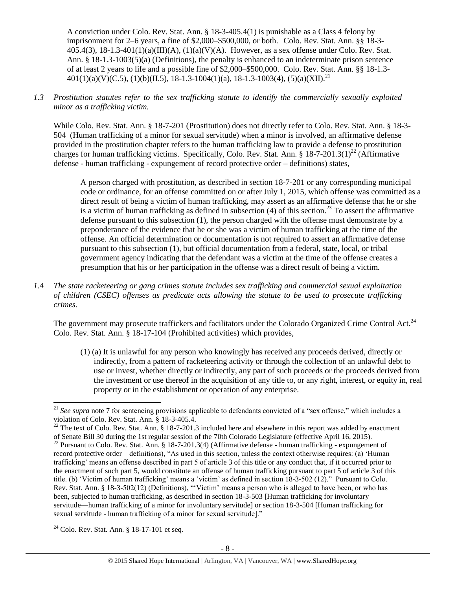A conviction under Colo. Rev. Stat. Ann. § 18-3-405.4(1) is punishable as a Class 4 felony by imprisonment for 2–6 years, a fine of \$2,000–\$500,000, or both. Colo. Rev. Stat. Ann. §§ 18-3-  $405.4(3)$ ,  $18-1.3-401(1)(a)(III)(A)$ ,  $(1)(a)(V)(A)$ . However, as a sex offense under Colo. Rev. Stat. Ann. § 18-1.3-1003(5)(a) (Definitions), the penalty is enhanced to an indeterminate prison sentence of at least 2 years to life and a possible fine of \$2,000–\$500,000. Colo. Rev. Stat. Ann. §§ 18-1.3-  $401(1)(a)(V)(C.5), (1)(b)(II.5), 18-1.3-1004(1)(a), 18-1.3-1003(4), (5)(a)(XII).$ <sup>21</sup>

## *1.3 Prostitution statutes refer to the sex trafficking statute to identify the commercially sexually exploited minor as a trafficking victim.*

While Colo. Rev. Stat. Ann. § 18-7-201 (Prostitution) does not directly refer to Colo. Rev. Stat. Ann. § 18-3-504 (Human trafficking of a minor for sexual servitude) when a minor is involved, an affirmative defense provided in the prostitution chapter refers to the human trafficking law to provide a defense to prostitution charges for human trafficking victims. Specifically, Colo. Rev. Stat. Ann. § 18-7-201.3(1)<sup>22</sup> (Affirmative defense - human trafficking - expungement of record protective order – definitions) states,

<span id="page-7-1"></span><span id="page-7-0"></span>A person charged with prostitution, as described in section 18-7-201 or any corresponding municipal code or ordinance, for an offense committed on or after July 1, 2015, which offense was committed as a direct result of being a victim of human trafficking, may assert as an affirmative defense that he or she is a victim of human trafficking as defined in subsection (4) of this section.<sup>23</sup> To assert the affirmative defense pursuant to this subsection (1), the person charged with the offense must demonstrate by a preponderance of the evidence that he or she was a victim of human trafficking at the time of the offense. An official determination or documentation is not required to assert an affirmative defense pursuant to this subsection (1), but official documentation from a federal, state, local, or tribal government agency indicating that the defendant was a victim at the time of the offense creates a presumption that his or her participation in the offense was a direct result of being a victim.

*1.4 The state racketeering or gang crimes statute includes sex trafficking and commercial sexual exploitation of children (CSEC) offenses as predicate acts allowing the statute to be used to prosecute trafficking crimes.* 

The government may prosecute traffickers and facilitators under the Colorado Organized Crime Control Act.<sup>24</sup> Colo. Rev. Stat. Ann. § 18-17-104 (Prohibited activities) which provides,

(1) (a) It is unlawful for any person who knowingly has received any proceeds derived, directly or indirectly, from a pattern of racketeering activity or through the collection of an unlawful debt to use or invest, whether directly or indirectly, any part of such proceeds or the proceeds derived from the investment or use thereof in the acquisition of any title to, or any right, interest, or equity in, real property or in the establishment or operation of any enterprise.

l

<sup>&</sup>lt;sup>21</sup> See supra note [7](#page-1-2) for sentencing provisions applicable to defendants convicted of a "sex offense," which includes a violation of Colo. Rev. Stat. Ann. § 18-3-405.4.

<sup>&</sup>lt;sup>22</sup> The text of Colo. Rev. Stat. Ann. § 18-7-201.3 included here and elsewhere in this report was added by enactment of Senate Bill 30 during the 1st regular session of the 70th Colorado Legislature (effective April 16, 2015).

 $^{23}$  Pursuant to Colo. Rev. Stat. Ann. § 18-7-201.3(4) (Affirmative defense - human trafficking - expungement of record protective order – definitions), "As used in this section, unless the context otherwise requires: (a) 'Human trafficking' means an offense described in part 5 of article 3 of this title or any conduct that, if it occurred prior to the enactment of such part 5, would constitute an offense of human trafficking pursuant to part 5 of article 3 of this title. (b) 'Victim of human trafficking' means a 'victim' as defined in section 18-3-502 (12)." Pursuant to Colo. Rev. Stat. Ann. § 18-3-502(12) (Definitions), "'Victim' means a person who is alleged to have been, or who has been, subjected to human trafficking, as described in section 18-3-503 [Human trafficking for involuntary servitude—human trafficking of a minor for involuntary servitude] or section 18-3-504 [Human trafficking for sexual servitude - human trafficking of a minor for sexual servitude]."

 $24$  Colo. Rev. Stat. Ann. § 18-17-101 et seq.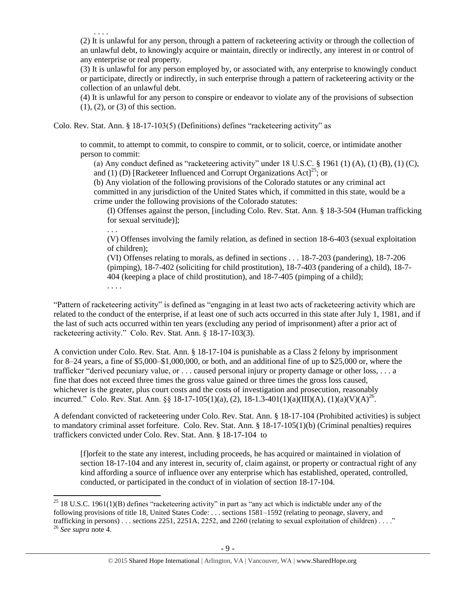. . . .

. . . .

 $\overline{\phantom{a}}$ 

(2) It is unlawful for any person, through a pattern of racketeering activity or through the collection of an unlawful debt, to knowingly acquire or maintain, directly or indirectly, any interest in or control of any enterprise or real property.

(3) It is unlawful for any person employed by, or associated with, any enterprise to knowingly conduct or participate, directly or indirectly, in such enterprise through a pattern of racketeering activity or the collection of an unlawful debt.

(4) It is unlawful for any person to conspire or endeavor to violate any of the provisions of subsection (1), (2), or (3) of this section.

Colo. Rev. Stat. Ann. § 18-17-103(5) (Definitions) defines "racketeering activity" as

to commit, to attempt to commit, to conspire to commit, or to solicit, coerce, or intimidate another person to commit:

(a) Any conduct defined as "racketeering activity" under  $18 \text{ U.S.C.}$  §  $1961 \text{ (1) (A), (1) (B), (1) (C),}$ and (1) (D) [Racketeer Influenced and Corrupt Organizations  $Actl^{25}$ ; or

(b) Any violation of the following provisions of the Colorado statutes or any criminal act committed in any jurisdiction of the United States which, if committed in this state, would be a crime under the following provisions of the Colorado statutes:

(I) Offenses against the person, [including Colo. Rev. Stat. Ann. § 18-3-504 (Human trafficking for sexual servitude)];

. . . (V) Offenses involving the family relation, as defined in section 18-6-403 (sexual exploitation of children);

(VI) Offenses relating to morals, as defined in sections . . . 18-7-203 (pandering), 18-7-206 (pimping), 18-7-402 (soliciting for child prostitution), 18-7-403 (pandering of a child), 18-7- 404 (keeping a place of child prostitution), and 18-7-405 (pimping of a child);

"Pattern of racketeering activity" is defined as "engaging in at least two acts of racketeering activity which are related to the conduct of the enterprise, if at least one of such acts occurred in this state after July 1, 1981, and if the last of such acts occurred within ten years (excluding any period of imprisonment) after a prior act of racketeering activity." Colo. Rev. Stat. Ann. § 18-17-103(3).

A conviction under Colo. Rev. Stat. Ann. § 18-17-104 is punishable as a Class 2 felony by imprisonment for 8–24 years, a fine of \$5,000–\$1,000,000, or both, and an additional fine of up to \$25,000 or, where the trafficker "derived pecuniary value, or . . . caused personal injury or property damage or other loss, . . . a fine that does not exceed three times the gross value gained or three times the gross loss caused, whichever is the greater, plus court costs and the costs of investigation and prosecution, reasonably incurred." Colo. Rev. Stat. Ann. §§ 18-17-105(1)(a), (2), 18-1.3-401(1)(a)(III)(A), (1)(a)(V)(A)<sup>26</sup>.

A defendant convicted of racketeering under Colo. Rev. Stat. Ann. § 18-17-104 (Prohibited activities) is subject to mandatory criminal asset forfeiture. Colo. Rev. Stat. Ann. § 18-17-105(1)(b) (Criminal penalties) requires traffickers convicted under Colo. Rev. Stat. Ann. § 18-17-104 to

[f]orfeit to the state any interest, including proceeds, he has acquired or maintained in violation of section 18-17-104 and any interest in, security of, claim against, or property or contractual right of any kind affording a source of influence over any enterprise which has established, operated, controlled, conducted, or participated in the conduct of in violation of section 18-17-104.

<sup>&</sup>lt;sup>25</sup> 18 U.S.C. 1961(1)(B) defines "racketeering activity" in part as "any act which is indictable under any of the following provisions of title 18, United States Code: . . . sections 1581–1592 (relating to peonage, slavery, and trafficking in persons) . . . sections 2251, 2251A, 2252, and 2260 (relating to sexual exploitation of children) . . . ." <sup>26</sup> *See supra* note [4.](#page-1-1)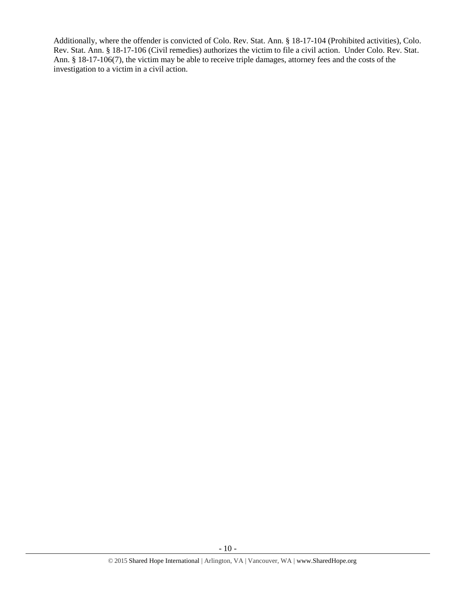Additionally, where the offender is convicted of Colo. Rev. Stat. Ann. § 18-17-104 (Prohibited activities), Colo. Rev. Stat. Ann. § 18-17-106 (Civil remedies) authorizes the victim to file a civil action. Under Colo. Rev. Stat. Ann. § 18-17-106(7), the victim may be able to receive triple damages, attorney fees and the costs of the investigation to a victim in a civil action.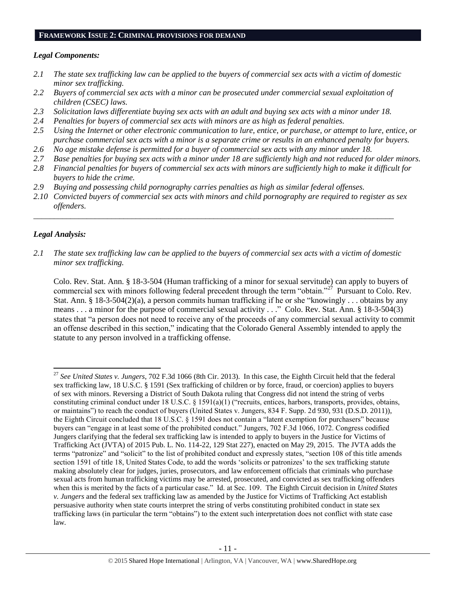#### **FRAMEWORK ISSUE 2: CRIMINAL PROVISIONS FOR DEMAND**

#### *Legal Components:*

- *2.1 The state sex trafficking law can be applied to the buyers of commercial sex acts with a victim of domestic minor sex trafficking.*
- *2.2 Buyers of commercial sex acts with a minor can be prosecuted under commercial sexual exploitation of children (CSEC) laws.*
- *2.3 Solicitation laws differentiate buying sex acts with an adult and buying sex acts with a minor under 18.*
- *2.4 Penalties for buyers of commercial sex acts with minors are as high as federal penalties.*
- *2.5 Using the Internet or other electronic communication to lure, entice, or purchase, or attempt to lure, entice, or purchase commercial sex acts with a minor is a separate crime or results in an enhanced penalty for buyers.*
- *2.6 No age mistake defense is permitted for a buyer of commercial sex acts with any minor under 18.*
- *2.7 Base penalties for buying sex acts with a minor under 18 are sufficiently high and not reduced for older minors.*
- *2.8 Financial penalties for buyers of commercial sex acts with minors are sufficiently high to make it difficult for buyers to hide the crime.*
- *2.9 Buying and possessing child pornography carries penalties as high as similar federal offenses.*
- *2.10 Convicted buyers of commercial sex acts with minors and child pornography are required to register as sex offenders.*

\_\_\_\_\_\_\_\_\_\_\_\_\_\_\_\_\_\_\_\_\_\_\_\_\_\_\_\_\_\_\_\_\_\_\_\_\_\_\_\_\_\_\_\_\_\_\_\_\_\_\_\_\_\_\_\_\_\_\_\_\_\_\_\_\_\_\_\_\_\_\_\_\_\_\_\_\_\_\_\_\_\_\_\_\_\_\_\_

## *Legal Analysis:*

 $\overline{\phantom{a}}$ 

*2.1 The state sex trafficking law can be applied to the buyers of commercial sex acts with a victim of domestic minor sex trafficking.*

Colo. Rev. Stat. Ann. § 18-3-504 (Human trafficking of a minor for sexual servitude) can apply to buyers of commercial sex with minors following federal precedent through the term "obtain."<sup>27</sup> Pursuant to Colo. Rev. Stat. Ann. § 18-3-504(2)(a), a person commits human trafficking if he or she "knowingly . . . obtains by any means . . . a minor for the purpose of commercial sexual activity . . ." Colo. Rev. Stat. Ann. § 18-3-504(3) states that "a person does not need to receive any of the proceeds of any commercial sexual activity to commit an offense described in this section," indicating that the Colorado General Assembly intended to apply the statute to any person involved in a trafficking offense.

<sup>27</sup> *See United States v. Jungers*, 702 F.3d 1066 (8th Cir. 2013). In this case, the Eighth Circuit held that the federal sex trafficking law, 18 U.S.C. § 1591 (Sex trafficking of children or by force, fraud, or coercion) applies to buyers of sex with minors. Reversing a District of South Dakota ruling that Congress did not intend the string of verbs constituting criminal conduct under 18 U.S.C. § 1591(a)(1) ("recruits, entices, harbors, transports, provides, obtains, or maintains") to reach the conduct of buyers (United States v. Jungers, 834 F. Supp. 2d 930, 931 (D.S.D. 2011)), the Eighth Circuit concluded that 18 U.S.C. § 1591 does not contain a "latent exemption for purchasers" because buyers can "engage in at least some of the prohibited conduct." Jungers, 702 F.3d 1066, 1072. Congress codified Jungers clarifying that the federal sex trafficking law is intended to apply to buyers in the Justice for Victims of Trafficking Act (JVTA) of 2015 Pub. L. No. 114-22, 129 Stat 227), enacted on May 29, 2015. The JVTA adds the terms "patronize" and "solicit" to the list of prohibited conduct and expressly states, "section 108 of this title amends section 1591 of title 18, United States Code, to add the words 'solicits or patronizes' to the sex trafficking statute making absolutely clear for judges, juries, prosecutors, and law enforcement officials that criminals who purchase sexual acts from human trafficking victims may be arrested, prosecuted, and convicted as sex trafficking offenders when this is merited by the facts of a particular case." Id. at Sec. 109. The Eighth Circuit decision in *United States v. Jungers* and the federal sex trafficking law as amended by the Justice for Victims of Trafficking Act establish persuasive authority when state courts interpret the string of verbs constituting prohibited conduct in state sex trafficking laws (in particular the term "obtains") to the extent such interpretation does not conflict with state case law.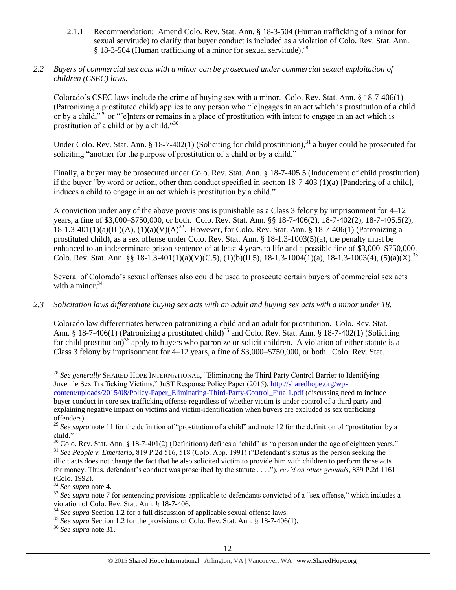- 2.1.1 Recommendation: Amend Colo. Rev. Stat. Ann. § 18-3-504 (Human trafficking of a minor for sexual servitude) to clarify that buyer conduct is included as a violation of Colo. Rev. Stat. Ann. § 18-3-504 (Human trafficking of a minor for sexual servitude).<sup>28</sup>
- *2.2 Buyers of commercial sex acts with a minor can be prosecuted under commercial sexual exploitation of children (CSEC) laws.*

Colorado's CSEC laws include the crime of buying sex with a minor. Colo. Rev. Stat. Ann. § 18-7-406(1) (Patronizing a prostituted child) applies to any person who "[e]ngages in an act which is prostitution of a child or by a child,"<sup>29</sup> or "[e]nters or remains in a place of prostitution with intent to engage in an act which is prostitution of a child or by a child."<sup>30</sup>

<span id="page-11-0"></span>Under Colo. Rev. Stat. Ann. § 18-7-402(1) (Soliciting for child prostitution), $31$  a buyer could be prosecuted for soliciting "another for the purpose of prostitution of a child or by a child."

Finally, a buyer may be prosecuted under Colo. Rev. Stat. Ann. § 18-7-405.5 (Inducement of child prostitution) if the buyer "by word or action, other than conduct specified in section  $18-7-403$  (1)(a) [Pandering of a child], induces a child to engage in an act which is prostitution by a child."

A conviction under any of the above provisions is punishable as a Class 3 felony by imprisonment for 4–12 years, a fine of \$3,000–\$750,000, or both. Colo. Rev. Stat. Ann. §§ 18-7-406(2), 18-7-402(2), 18-7-405.5(2), 18-1.3-401(1)(a)(III)(A), (1)(a)(V)(A)<sup>32</sup>. However, for Colo. Rev. Stat. Ann. § 18-7-406(1) (Patronizing a prostituted child), as a sex offense under Colo. Rev. Stat. Ann. § 18-1.3-1003(5)(a), the penalty must be enhanced to an indeterminate prison sentence of at least 4 years to life and a possible fine of \$3,000–\$750,000. Colo. Rev. Stat. Ann. §§ 18-1.3-401(1)(a)(V)(C.5), (1)(b)(II.5), 18-1.3-1004(1)(a), 18-1.3-1003(4), (5)(a)(X).<sup>33</sup>

Several of Colorado's sexual offenses also could be used to prosecute certain buyers of commercial sex acts with a minor. $34$ 

# *2.3 Solicitation laws differentiate buying sex acts with an adult and buying sex acts with a minor under 18.*

Colorado law differentiates between patronizing a child and an adult for prostitution. Colo. Rev. Stat. Ann. § 18-7-406(1) (Patronizing a prostituted child)<sup>35</sup> and Colo. Rev. Stat. Ann. § 18-7-402(1) (Soliciting for child prostitution)<sup>36</sup> apply to buyers who patronize or solicit children. A violation of either statute is a Class 3 felony by imprisonment for 4–12 years, a fine of \$3,000–\$750,000, or both. Colo. Rev. Stat.

 $\overline{\phantom{a}}$ <sup>28</sup> *See generally* SHARED HOPE INTERNATIONAL, "Eliminating the Third Party Control Barrier to Identifying Juvenile Sex Trafficking Victims," JuST Response Policy Paper (2015), [http://sharedhope.org/wp](http://sharedhope.org/wp-content/uploads/2015/08/Policy-Paper_Eliminating-Third-Party-Control_Final1.pdf)[content/uploads/2015/08/Policy-Paper\\_Eliminating-Third-Party-Control\\_Final1.pdf](http://sharedhope.org/wp-content/uploads/2015/08/Policy-Paper_Eliminating-Third-Party-Control_Final1.pdf) (discussing need to include

buyer conduct in core sex trafficking offense regardless of whether victim is under control of a third party and explaining negative impact on victims and victim-identification when buyers are excluded as sex trafficking offenders).

<sup>&</sup>lt;sup>29</sup> See supra note [11](#page-3-0) for the definition of "prostitution of a child" and note [12](#page-3-1) for the definition of "prostitution by a child."

 $30$  Colo. Rev. Stat. Ann. § 18-7-401(2) (Definitions) defines a "child" as "a person under the age of eighteen years." <sup>31</sup> *See People v. Emerterio*, 819 P.2d 516, 518 (Colo. App. 1991) ("Defendant's status as the person seeking the illicit acts does not change the fact that he also solicited victim to provide him with children to perform those acts for money. Thus, defendant's conduct was proscribed by the statute . . . ."), *rev'd on other grounds*, 839 P.2d 1161 (Colo. 1992).

<sup>32</sup> *See supra* note [4.](#page-1-1)

<sup>&</sup>lt;sup>33</sup> See supra note [7](#page-1-2) for sentencing provisions applicable to defendants convicted of a "sex offense," which includes a violation of Colo. Rev. Stat. Ann. § 18-7-406.

<sup>34</sup> *See supra* Section 1.2 for a full discussion of applicable sexual offense laws.

<sup>&</sup>lt;sup>35</sup> See supra Section 1.2 for the provisions of Colo. Rev. Stat. Ann. § 18-7-406(1).

<sup>36</sup> *See supra* note [31.](#page-11-0)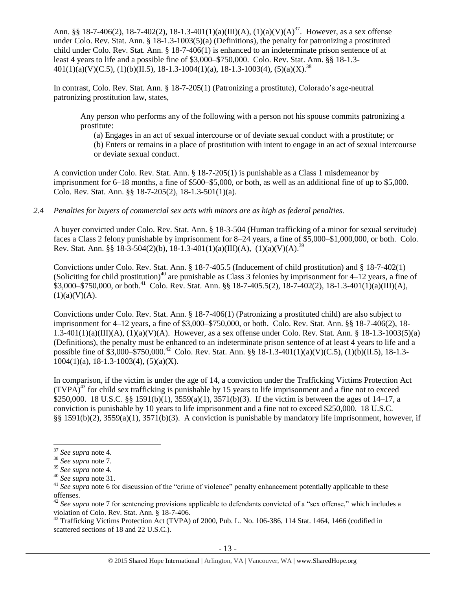Ann. §§ 18-7-406(2), 18-7-402(2), 18-1.3-401(1)(a)(III)(A), (1)(a)(V)(A)<sup>37</sup>. However, as a sex offense under Colo. Rev. Stat. Ann. § 18-1.3-1003(5)(a) (Definitions), the penalty for patronizing a prostituted child under Colo. Rev. Stat. Ann. § 18-7-406(1) is enhanced to an indeterminate prison sentence of at least 4 years to life and a possible fine of \$3,000–\$750,000. Colo. Rev. Stat. Ann. §§ 18-1.3-  $401(1)(a)(V)(C.5), (1)(b)(II.5), 18-1.3-1004(1)(a), 18-1.3-1003(4), (5)(a)(X).$ <sup>38</sup>

In contrast, Colo. Rev. Stat. Ann. § 18-7-205(1) (Patronizing a prostitute), Colorado's age-neutral patronizing prostitution law, states,

Any person who performs any of the following with a person not his spouse commits patronizing a prostitute:

(a) Engages in an act of sexual intercourse or of deviate sexual conduct with a prostitute; or (b) Enters or remains in a place of prostitution with intent to engage in an act of sexual intercourse or deviate sexual conduct.

A conviction under Colo. Rev. Stat. Ann. § 18-7-205(1) is punishable as a Class 1 misdemeanor by imprisonment for 6–18 months, a fine of \$500–\$5,000, or both, as well as an additional fine of up to \$5,000. Colo. Rev. Stat. Ann. §§ 18-7-205(2), 18-1.3-501(1)(a).

# *2.4 Penalties for buyers of commercial sex acts with minors are as high as federal penalties.*

A buyer convicted under Colo. Rev. Stat. Ann. § 18-3-504 (Human trafficking of a minor for sexual servitude) faces a Class 2 felony punishable by imprisonment for 8–24 years, a fine of \$5,000–\$1,000,000, or both. Colo. Rev. Stat. Ann. §§ 18-3-504(2)(b), 18-1.3-401(1)(a)(III)(A), (1)(a)(V)(A).<sup>39</sup>

Convictions under Colo. Rev. Stat. Ann. § 18-7-405.5 (Inducement of child prostitution) and § 18-7-402(1) (Soliciting for child prostitution)<sup>40</sup> are punishable as Class 3 felonies by imprisonment for  $4-12$  years, a fine of  $$3,000-\$750,000$ , or both.<sup>41</sup> Colo. Rev. Stat. Ann. §§ 18-7-405.5(2), 18-7-402(2), 18-1.3-401(1)(a)(III)(A),  $(1)(a)(V)(A)$ .

Convictions under Colo. Rev. Stat. Ann. § 18-7-406(1) (Patronizing a prostituted child) are also subject to imprisonment for 4–12 years, a fine of \$3,000–\$750,000, or both. Colo. Rev. Stat. Ann. §§ 18-7-406(2), 18- 1.3-401(1)(a)(III)(A), (1)(a)(V)(A). However, as a sex offense under Colo. Rev. Stat. Ann. § 18-1.3-1003(5)(a) (Definitions), the penalty must be enhanced to an indeterminate prison sentence of at least 4 years to life and a possible fine of \$3,000–\$750,000.<sup>42</sup> Colo. Rev. Stat. Ann. §§ 18-1.3-401(1)(a)(V)(C.5), (1)(b)(II.5), 18-1.3- $1004(1)(a)$ , 18-1.3-1003(4), (5)(a)(X).

<span id="page-12-0"></span>In comparison, if the victim is under the age of 14, a conviction under the Trafficking Victims Protection Act  $(TVPA)^{43}$  for child sex trafficking is punishable by 15 years to life imprisonment and a fine not to exceed \$250,000. 18 U.S.C. §§ 1591(b)(1), 3559(a)(1), 3571(b)(3). If the victim is between the ages of 14–17, a conviction is punishable by 10 years to life imprisonment and a fine not to exceed \$250,000. 18 U.S.C. §§ 1591(b)(2), 3559(a)(1), 3571(b)(3). A conviction is punishable by mandatory life imprisonment, however, if

 $\overline{\phantom{a}}$ <sup>37</sup> *See supra* note [4.](#page-1-1)

<sup>38</sup> *See supra* note [7.](#page-1-2)

<sup>39</sup> *See supra* note [4.](#page-1-1)

<sup>40</sup> *See supra* note [31.](#page-11-0)

<sup>&</sup>lt;sup>41</sup> See supra note [6](#page-1-0) for discussion of the "crime of violence" penalty enhancement potentially applicable to these offenses.

<sup>&</sup>lt;sup>42</sup> See supra note [7](#page-1-2) for sentencing provisions applicable to defendants convicted of a "sex offense," which includes a violation of Colo. Rev. Stat. Ann. § 18-7-406.

<sup>&</sup>lt;sup>43</sup> Trafficking Victims Protection Act (TVPA) of 2000, Pub. L. No. 106-386, 114 Stat. 1464, 1466 (codified in scattered sections of 18 and 22 U.S.C.).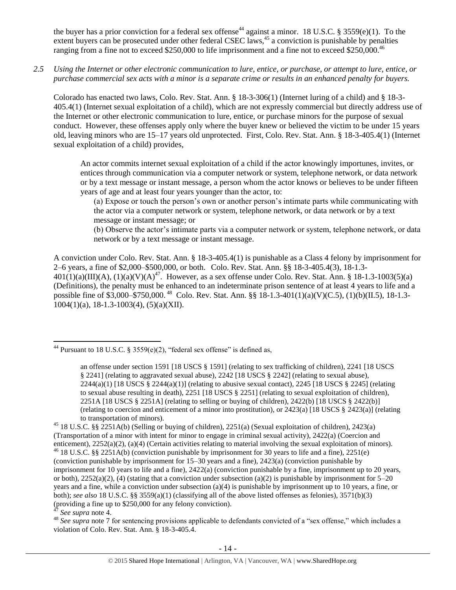<span id="page-13-0"></span>the buyer has a prior conviction for a federal sex offense<sup>44</sup> against a minor. 18 U.S.C. § 3559(e)(1). To the extent buyers can be prosecuted under other federal CSEC laws,<sup>45</sup> a conviction is punishable by penalties ranging from a fine not to exceed \$250,000 to life imprisonment and a fine not to exceed \$250,000.<sup>46</sup>

*2.5 Using the Internet or other electronic communication to lure, entice, or purchase, or attempt to lure, entice, or purchase commercial sex acts with a minor is a separate crime or results in an enhanced penalty for buyers.*

Colorado has enacted two laws, Colo. Rev. Stat. Ann. § 18-3-306(1) (Internet luring of a child) and § 18-3- 405.4(1) (Internet sexual exploitation of a child), which are not expressly commercial but directly address use of the Internet or other electronic communication to lure, entice, or purchase minors for the purpose of sexual conduct. However, these offenses apply only where the buyer knew or believed the victim to be under 15 years old, leaving minors who are 15–17 years old unprotected. First, Colo. Rev. Stat. Ann. § 18-3-405.4(1) (Internet sexual exploitation of a child) provides,

An actor commits internet sexual exploitation of a child if the actor knowingly importunes, invites, or entices through communication via a computer network or system, telephone network, or data network or by a text message or instant message, a person whom the actor knows or believes to be under fifteen years of age and at least four years younger than the actor, to:

(a) Expose or touch the person's own or another person's intimate parts while communicating with the actor via a computer network or system, telephone network, or data network or by a text message or instant message; or

(b) Observe the actor's intimate parts via a computer network or system, telephone network, or data network or by a text message or instant message.

A conviction under Colo. Rev. Stat. Ann. § 18-3-405.4(1) is punishable as a Class 4 felony by imprisonment for 2–6 years, a fine of \$2,000–\$500,000, or both. Colo. Rev. Stat. Ann. §§ 18-3-405.4(3), 18-1.3-  $401(1)(a)(III)(A)$ ,  $(1)(a)(V)(A)^{47}$ . However, as a sex offense under Colo. Rev. Stat. Ann. § 18-1.3-1003(5)(a) (Definitions), the penalty must be enhanced to an indeterminate prison sentence of at least 4 years to life and a possible fine of \$3,000–\$750,000.<sup>48</sup> Colo. Rev. Stat. Ann. §§ 18-1.3-401(1)(a)(V)(C.5), (1)(b)(II.5), 18-1.3- $1004(1)(a)$ , 18-1.3-1003(4), (5)(a)(XII).

<sup>47</sup> *See supra* note [4.](#page-1-1)

 $\overline{\phantom{a}}$ 

<sup>&</sup>lt;sup>44</sup> Pursuant to 18 U.S.C. § 3559(e)(2), "federal sex offense" is defined as,

an offense under section 1591 [18 USCS § 1591] (relating to sex trafficking of children), 2241 [18 USCS § 2241] (relating to aggravated sexual abuse), 2242 [18 USCS § 2242] (relating to sexual abuse),  $2244(a)(1)$  [18 USCS §  $2244(a)(1)$ ] (relating to abusive sexual contact),  $2245$  [18 USCS § 2245] (relating to sexual abuse resulting in death), 2251 [18 USCS § 2251] (relating to sexual exploitation of children), 2251A [18 USCS § 2251A] (relating to selling or buying of children), 2422(b) [18 USCS § 2422(b)] (relating to coercion and enticement of a minor into prostitution), or 2423(a) [18 USCS § 2423(a)] (relating to transportation of minors).

<sup>45</sup> 18 U.S.C. §§ 2251A(b) (Selling or buying of children), 2251(a) (Sexual exploitation of children), 2423(a) (Transportation of a minor with intent for minor to engage in criminal sexual activity), 2422(a) (Coercion and enticement), 2252(a)(2), (a)(4) (Certain activities relating to material involving the sexual exploitation of minors). <sup>46</sup> 18 U.S.C. §§ 2251A(b) (conviction punishable by imprisonment for 30 years to life and a fine), 2251(e) (conviction punishable by imprisonment for 15–30 years and a fine), 2423(a) (conviction punishable by imprisonment for 10 years to life and a fine), 2422(a) (conviction punishable by a fine, imprisonment up to 20 years, or both),  $2252(a)(2)$ , (4) (stating that a conviction under subsection (a)(2) is punishable by imprisonment for  $5-20$ years and a fine, while a conviction under subsection (a)(4) is punishable by imprisonment up to 10 years, a fine, or both); *see also* 18 U.S.C. §§ 3559(a)(1) (classifying all of the above listed offenses as felonies), 3571(b)(3) (providing a fine up to \$250,000 for any felony conviction).

<sup>&</sup>lt;sup>48</sup> See supra note [7](#page-1-2) for sentencing provisions applicable to defendants convicted of a "sex offense," which includes a violation of Colo. Rev. Stat. Ann. § 18-3-405.4.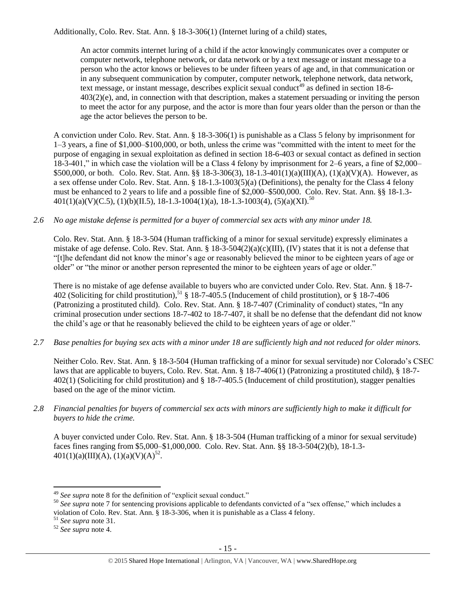Additionally, Colo. Rev. Stat. Ann. § 18-3-306(1) (Internet luring of a child) states,

An actor commits internet luring of a child if the actor knowingly communicates over a computer or computer network, telephone network, or data network or by a text message or instant message to a person who the actor knows or believes to be under fifteen years of age and, in that communication or in any subsequent communication by computer, computer network, telephone network, data network, text message, or instant message, describes explicit sexual conduct<sup>49</sup> as defined in [section 18-6-](https://www.lexis.com/research/buttonTFLink?_m=0545d54bb3ab2fe03ee287d34806e7bd&_xfercite=%3ccite%20cc%3d%22USA%22%3e%3c%21%5bCDATA%5bC.R.S.%2018-3-306%5d%5d%3e%3c%2fcite%3e&_butType=4&_butStat=0&_butNum=2&_butInline=1&_butinfo=COCODE%2018-6-403&_fmtstr=FULL&docnum=1&_startdoc=1&wchp=dGLbVzB-zSkAb&_md5=937d1f974c5b2e4c88bf5b6e2c34877b) [403\(2\)\(e\),](https://www.lexis.com/research/buttonTFLink?_m=0545d54bb3ab2fe03ee287d34806e7bd&_xfercite=%3ccite%20cc%3d%22USA%22%3e%3c%21%5bCDATA%5bC.R.S.%2018-3-306%5d%5d%3e%3c%2fcite%3e&_butType=4&_butStat=0&_butNum=2&_butInline=1&_butinfo=COCODE%2018-6-403&_fmtstr=FULL&docnum=1&_startdoc=1&wchp=dGLbVzB-zSkAb&_md5=937d1f974c5b2e4c88bf5b6e2c34877b) and, in connection with that description, makes a statement persuading or inviting the person to meet the actor for any purpose, and the actor is more than four years older than the person or than the age the actor believes the person to be.

A conviction under Colo. Rev. Stat. Ann. § 18-3-306(1) is punishable as a Class 5 felony by imprisonment for 1–3 years, a fine of \$1,000–\$100,000, or both, unless the crime was "committed with the intent to meet for the purpose of engaging in sexual exploitation as defined in section 18-6-403 or sexual contact as defined in section 18-3-401," in which case the violation will be a Class 4 felony by imprisonment for 2–6 years, a fine of \$2,000– \$500,000, or both. Colo. Rev. Stat. Ann. §§ 18-3-306(3), 18-1.3-401(1)(a)(III)(A), (1)(a)(V)(A). However, as a sex offense under Colo. Rev. Stat. Ann. § 18-1.3-1003(5)(a) (Definitions), the penalty for the Class 4 felony must be enhanced to 2 years to life and a possible fine of \$2,000–\$500,000. Colo. Rev. Stat. Ann. §§ 18-1.3-  $401(1)(a)(V)(C.5), (1)(b)(II.5), 18-1.3-1004(1)(a), 18-1.3-1003(4), (5)(a)(XI).$ <sup>50</sup>

## *2.6 No age mistake defense is permitted for a buyer of commercial sex acts with any minor under 18.*

Colo. Rev. Stat. Ann. § 18-3-504 (Human trafficking of a minor for sexual servitude) expressly eliminates a mistake of age defense. Colo. Rev. Stat. Ann. §  $18-3-504(2)(a)(c)(III)$ , (IV) states that it is not a defense that "[t]he defendant did not know the minor's age or reasonably believed the minor to be eighteen years of age or older" or "the minor or another person represented the minor to be eighteen years of age or older."

There is no mistake of age defense available to buyers who are convicted under Colo. Rev. Stat. Ann. § 18-7- 402 (Soliciting for child prostitution),<sup>51</sup> § 18-7-405.5 (Inducement of child prostitution), or § 18-7-406 (Patronizing a prostituted child). Colo. Rev. Stat. Ann. § 18-7-407 (Criminality of conduct) states, "In any criminal prosecution under sections 18-7-402 to 18-7-407, it shall be no defense that the defendant did not know the child's age or that he reasonably believed the child to be eighteen years of age or older."

*2.7 Base penalties for buying sex acts with a minor under 18 are sufficiently high and not reduced for older minors.*

Neither Colo. Rev. Stat. Ann. § 18-3-504 (Human trafficking of a minor for sexual servitude) nor Colorado's CSEC laws that are applicable to buyers, Colo. Rev. Stat. Ann. § 18-7-406(1) (Patronizing a prostituted child), § 18-7- 402(1) (Soliciting for child prostitution) and § 18-7-405.5 (Inducement of child prostitution), stagger penalties based on the age of the minor victim.

*2.8 Financial penalties for buyers of commercial sex acts with minors are sufficiently high to make it difficult for buyers to hide the crime.* 

A buyer convicted under Colo. Rev. Stat. Ann. § 18-3-504 (Human trafficking of a minor for sexual servitude) faces fines ranging from \$5,000–\$1,000,000. Colo. Rev. Stat. Ann. §§ 18-3-504(2)(b), 18-1.3-  $401(1)(a)(III)(A), (1)(a)(V)(A)^{52}.$ 

 $\overline{a}$ 

<sup>49</sup> *See supra* note [8](#page-2-0) for the definition of "explicit sexual conduct."

<sup>&</sup>lt;sup>50</sup> See supra note [7](#page-1-2) for sentencing provisions applicable to defendants convicted of a "sex offense," which includes a violation of Colo. Rev. Stat. Ann. § 18-3-306, when it is punishable as a Class 4 felony.

<sup>51</sup> *See supra* note [31.](#page-11-0)

<sup>52</sup> *See supra* note [4.](#page-1-1)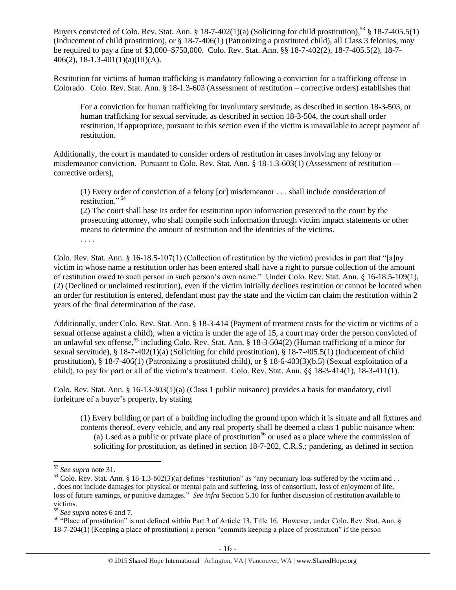Buyers convicted of Colo. Rev. Stat. Ann. § 18-7-402(1)(a) (Soliciting for child prostitution),<sup>53</sup> § 18-7-405.5(1) (Inducement of child prostitution), or § 18-7-406(1) (Patronizing a prostituted child), all Class 3 felonies, may be required to pay a fine of \$3,000–\$750,000. Colo. Rev. Stat. Ann. §§ 18-7-402(2), 18-7-405.5(2), 18-7- 406(2), 18-1.3-401(1)(a)(III)(A).

Restitution for victims of human trafficking is mandatory following a conviction for a trafficking offense in Colorado. Colo. Rev. Stat. Ann. § 18-1.3-603 (Assessment of restitution – corrective orders) establishes that

For a conviction for human trafficking for involuntary servitude, as described in section 18-3-503, or human trafficking for sexual servitude, as described in section 18-3-504, the court shall order restitution, if appropriate, pursuant to this section even if the victim is unavailable to accept payment of restitution.

Additionally, the court is mandated to consider orders of restitution in cases involving any felony or misdemeanor conviction. Pursuant to Colo. Rev. Stat. Ann. § 18-1.3-603(1) (Assessment of restitution corrective orders),

<span id="page-15-0"></span>(1) Every order of conviction of a felony [or] misdemeanor . . . shall include consideration of restitution."<sup>54</sup>

(2) The court shall base its order for restitution upon information presented to the court by the prosecuting attorney, who shall compile such information through victim impact statements or other means to determine the amount of restitution and the identities of the victims. . . . .

Colo. Rev. Stat. Ann. § 16-18.5-107(1) (Collection of restitution by the victim) provides in part that "[a]ny victim in whose name a restitution order has been entered shall have a right to pursue collection of the amount of restitution owed to such person in such person's own name." Under Colo. Rev. Stat. Ann. § 16-18.5-109(1), (2) (Declined or unclaimed restitution), even if the victim initially declines restitution or cannot be located when an order for restitution is entered, defendant must pay the state and the victim can claim the restitution within 2 years of the final determination of the case.

Additionally, under Colo. Rev. Stat. Ann. § 18-3-414 (Payment of treatment costs for the victim or victims of a sexual offense against a child), when a victim is under the age of 15, a court may order the person convicted of an unlawful sex offense,<sup>55</sup> including Colo. Rev. Stat. Ann. § 18-3-504(2) (Human trafficking of a minor for sexual servitude), § 18-7-402(1)(a) (Soliciting for child prostitution), § 18-7-405.5(1) (Inducement of child prostitution), § 18-7-406(1) (Patronizing a prostituted child), or § 18-6-403(3)(b.5) (Sexual exploitation of a child), to pay for part or all of the victim's treatment. Colo. Rev. Stat. Ann. §§ 18-3-414(1), 18-3-411(1).

Colo. Rev. Stat. Ann. § 16-13-303(1)(a) (Class 1 public nuisance) provides a basis for mandatory, civil forfeiture of a buyer's property, by stating

(1) Every building or part of a building including the ground upon which it is situate and all fixtures and contents thereof, every vehicle, and any real property shall be deemed a class 1 public nuisance when: (a) Used as a public or private place of prostitution<sup>56</sup> or used as a place where the commission of soliciting for prostitution, as defined in section 18-7-202, C.R.S.; pandering, as defined in section

 $\overline{a}$ 

<sup>53</sup> *See supra* note [31.](#page-11-0)

 $54$  Colo. Rev. Stat. Ann. § 18-1.3-602(3)(a) defines "restitution" as "any pecuniary loss suffered by the victim and . . . does not include damages for physical or mental pain and suffering, loss of consortium, loss of enjoyment of life, loss of future earnings, or punitive damages." *See infra* Section 5.10 for further discussion of restitution available to victims.

<sup>55</sup> *See supra* notes [6](#page-1-0) an[d 7.](#page-1-2)

<sup>&</sup>lt;sup>56</sup> "Place of prostitution" is not defined within Part 3 of Article 13, Title 16. However, under Colo. Rev. Stat. Ann. § 18-7-204(1) (Keeping a place of prostitution) a person "commits keeping a place of prostitution" if the person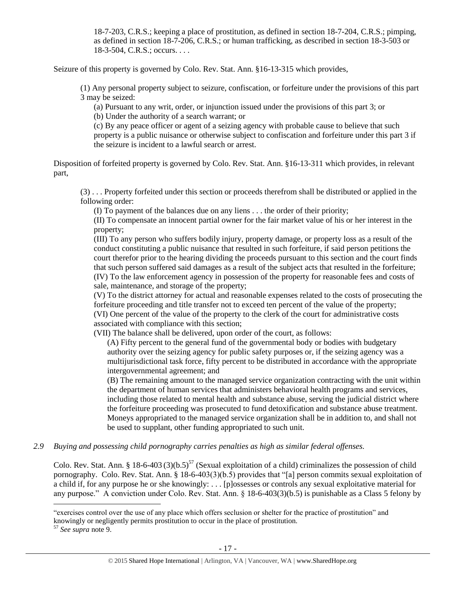18-7-203, C.R.S.; keeping a place of prostitution, as defined in section 18-7-204, C.R.S.; pimping, as defined in section 18-7-206, C.R.S.; or human trafficking, as described in section 18-3-503 or 18-3-504, C.R.S.; occurs. . . .

Seizure of this property is governed by Colo. Rev. Stat. Ann. §16-13-315 which provides,

(1) Any personal property subject to seizure, confiscation, or forfeiture under the provisions of this part 3 may be seized:

(a) Pursuant to any writ, order, or injunction issued under the provisions of this part 3; or

(b) Under the authority of a search warrant; or

(c) By any peace officer or agent of a seizing agency with probable cause to believe that such property is a public nuisance or otherwise subject to confiscation and forfeiture under this part 3 if the seizure is incident to a lawful search or arrest.

Disposition of forfeited property is governed by Colo. Rev. Stat. Ann. §16-13-311 which provides, in relevant part,

(3) . . . Property forfeited under this section or proceeds therefrom shall be distributed or applied in the following order:

(I) To payment of the balances due on any liens . . . the order of their priority;

(II) To compensate an innocent partial owner for the fair market value of his or her interest in the property;

(III) To any person who suffers bodily injury, property damage, or property loss as a result of the conduct constituting a public nuisance that resulted in such forfeiture, if said person petitions the court therefor prior to the hearing dividing the proceeds pursuant to this section and the court finds that such person suffered said damages as a result of the subject acts that resulted in the forfeiture; (IV) To the law enforcement agency in possession of the property for reasonable fees and costs of sale, maintenance, and storage of the property;

(V) To the district attorney for actual and reasonable expenses related to the costs of prosecuting the forfeiture proceeding and title transfer not to exceed ten percent of the value of the property; (VI) One percent of the value of the property to the clerk of the court for administrative costs associated with compliance with this section;

(VII) The balance shall be delivered, upon order of the court, as follows:

(A) Fifty percent to the general fund of the governmental body or bodies with budgetary authority over the seizing agency for public safety purposes or, if the seizing agency was a multijurisdictional task force, fifty percent to be distributed in accordance with the appropriate intergovernmental agreement; and

(B) The remaining amount to the managed service organization contracting with the unit within the department of human services that administers behavioral health programs and services, including those related to mental health and substance abuse, serving the judicial district where the forfeiture proceeding was prosecuted to fund detoxification and substance abuse treatment. Moneys appropriated to the managed service organization shall be in addition to, and shall not be used to supplant, other funding appropriated to such unit.

*2.9 Buying and possessing child pornography carries penalties as high as similar federal offenses.*

Colo. Rev. Stat. Ann. § 18-6-403 (3)(b.5)<sup>57</sup> (Sexual exploitation of a child) criminalizes the possession of child pornography. Colo. Rev. Stat. Ann. § 18-6-403(3)(b.5) provides that "[a] person commits sexual exploitation of a child if, for any purpose he or she knowingly: . . . [p]ossesses or controls any sexual exploitative material for any purpose." A conviction under Colo. Rev. Stat. Ann. § 18-6-403(3)(b.5) is punishable as a Class 5 felony by

 $\overline{\phantom{a}}$ 

<sup>&</sup>quot;exercises control over the use of any place which offers seclusion or shelter for the practice of prostitution" and knowingly or negligently permits prostitution to occur in the place of prostitution.

<sup>57</sup> *See supra* note [9.](#page-2-1)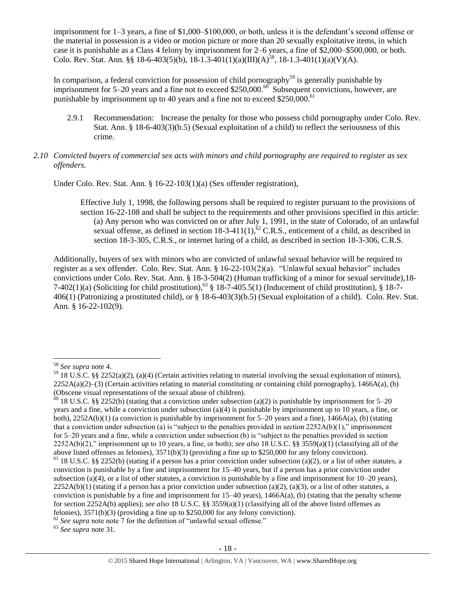imprisonment for 1–3 years, a fine of \$1,000–\$100,000, or both, unless it is the defendant's second offense or the material in possession is a video or motion picture or more than 20 sexually exploitative items, in which case it is punishable as a Class 4 felony by imprisonment for 2–6 years, a fine of \$2,000–\$500,000, or both. Colo. Rev. Stat. Ann. §§ 18-6-403(5)(b), 18-1.3-401(1)(a)(III)(A)<sup>58</sup>, 18-1.3-401(1)(a)(V)(A).

In comparison, a federal conviction for possession of child pornography<sup>59</sup> is generally punishable by imprisonment for 5–20 years and a fine not to exceed \$250,000.<sup>60</sup> Subsequent convictions, however, are punishable by imprisonment up to 40 years and a fine not to exceed  $$250,000$ .<sup>61</sup>

2.9.1 Recommendation: Increase the penalty for those who possess child pornography under Colo. Rev. Stat. Ann. § 18-6-403(3)(b.5) (Sexual exploitation of a child) to reflect the seriousness of this crime.

## *2.10 Convicted buyers of commercial sex acts with minors and child pornography are required to register as sex offenders.*

Under Colo. Rev. Stat. Ann. § 16-22-103(1)(a) (Sex offender registration),

Effective July 1, 1998, the following persons shall be required to register pursuant to the provisions of section 16-22-108 and shall be subject to the requirements and other provisions specified in this article: (a) Any person who was convicted on or after July 1, 1991, in the state of Colorado, of an unlawful sexual offense, as defined in section 18-3-411(1), $^{62}$  C.R.S., enticement of a child, as described in section 18-3-305, C.R.S., or internet luring of a child, as described in section 18-3-306, C.R.S.

Additionally, buyers of sex with minors who are convicted of unlawful sexual behavior will be required to register as a sex offender. Colo. Rev. Stat. Ann. § 16-22-103(2)(a). "Unlawful sexual behavior" includes convictions under Colo. Rev. Stat. Ann. § 18-3-504(2) (Human trafficking of a minor for sexual servitude),18- 7-402(1)(a) (Soliciting for child prostitution),<sup>63</sup> § 18-7-405.5(1) (Inducement of child prostitution), § 18-7-406(1) (Patronizing a prostituted child), or § 18-6-403(3)(b.5) (Sexual exploitation of a child). Colo. Rev. Stat. Ann. § 16-22-102(9).

 $\overline{a}$ 

<sup>63</sup> *See supra* note [31.](#page-11-0)

<sup>58</sup> *See supra* note [4.](#page-1-1)

 $59$  18 U.S.C. §§ 2252(a)(2), (a)(4) (Certain activities relating to material involving the sexual exploitation of minors),  $2252A(a)(2)$ –(3) (Certain activities relating to material constituting or containing child pornography), 1466A(a), (b) (Obscene visual representations of the sexual abuse of children).

 $60$  18 U.S.C. §§ 2252(b) (stating that a conviction under subsection (a)(2) is punishable by imprisonment for 5–20 years and a fine, while a conviction under subsection (a)(4) is punishable by imprisonment up to 10 years, a fine, or both),  $2252A(b)(1)$  (a conviction is punishable by imprisonment for  $5-20$  years and a fine),  $1466A(a)$ , (b) (stating that a conviction under subsection (a) is "subject to the penalties provided in section  $2252A(b)(1)$ ," imprisonment for 5–20 years and a fine, while a conviction under subsection (b) is "subject to the penalties provided in section 2252A(b)(2)," imprisonment up to 10 years, a fine, or both); *see also* 18 U.S.C. §§ 3559(a)(1) (classifying all of the above listed offenses as felonies), 3571(b)(3) (providing a fine up to \$250,000 for any felony conviction).

 $61$  18 U.S.C. §§ 2252(b) (stating if a person has a prior conviction under subsection (a)(2), or a list of other statutes, a conviction is punishable by a fine and imprisonment for 15–40 years, but if a person has a prior conviction under subsection (a)(4), or a list of other statutes, a conviction is punishable by a fine and imprisonment for  $10-20$  years),  $2252A(b)(1)$  (stating if a person has a prior conviction under subsection (a)(2), (a)(3), or a list of other statutes, a conviction is punishable by a fine and imprisonment for  $15-40$  years),  $1466A(a)$ , (b) (stating that the penalty scheme for section 2252A(b) applies); *see also* 18 U.S.C. §§ 3559(a)(1) (classifying all of the above listed offenses as felonies), 3571(b)(3) (providing a fine up to \$250,000 for any felony conviction).

<sup>&</sup>lt;sup>62</sup> See supra note note 7 for the definition of "unlawful sexual offense."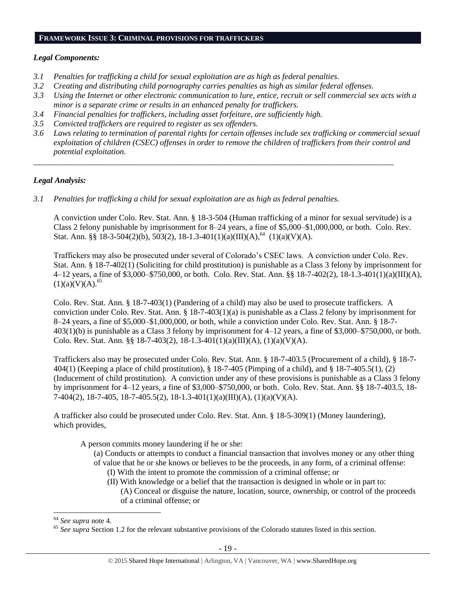#### **FRAMEWORK ISSUE 3: CRIMINAL PROVISIONS FOR TRAFFICKERS**

#### *Legal Components:*

- *3.1 Penalties for trafficking a child for sexual exploitation are as high as federal penalties.*
- *3.2 Creating and distributing child pornography carries penalties as high as similar federal offenses.*
- *3.3 Using the Internet or other electronic communication to lure, entice, recruit or sell commercial sex acts with a minor is a separate crime or results in an enhanced penalty for traffickers.*
- *3.4 Financial penalties for traffickers, including asset forfeiture, are sufficiently high.*
- *3.5 Convicted traffickers are required to register as sex offenders.*
- *3.6 Laws relating to termination of parental rights for certain offenses include sex trafficking or commercial sexual exploitation of children (CSEC) offenses in order to remove the children of traffickers from their control and potential exploitation.*

*\_\_\_\_\_\_\_\_\_\_\_\_\_\_\_\_\_\_\_\_\_\_\_\_\_\_\_\_\_\_\_\_\_\_\_\_\_\_\_\_\_\_\_\_\_\_\_\_\_\_\_\_\_\_\_\_\_\_\_\_\_\_\_\_\_\_\_\_\_\_\_\_\_\_\_\_\_\_\_\_\_\_\_\_\_\_\_\_*

# *Legal Analysis:*

*3.1 Penalties for trafficking a child for sexual exploitation are as high as federal penalties.* 

A conviction under Colo. Rev. Stat. Ann. § 18-3-504 (Human trafficking of a minor for sexual servitude) is a Class 2 felony punishable by imprisonment for 8–24 years, a fine of \$5,000–\$1,000,000, or both. Colo. Rev. Stat. Ann. §§ 18-3-504(2)(b), 503(2), 18-1.3-401(1)(a)(III)(A),<sup>64</sup> (1)(a)(V)(A).

Traffickers may also be prosecuted under several of Colorado's CSEC laws. A conviction under Colo. Rev. Stat. Ann. § 18-7-402(1) (Soliciting for child prostitution) is punishable as a Class 3 felony by imprisonment for 4–12 years, a fine of \$3,000–\$750,000, or both. Colo. Rev. Stat. Ann. §§ 18-7-402(2), 18-1.3-401(1)(a)(III)(A),  $(1)(a)(V)(A).<sup>65</sup>$ 

Colo. Rev. Stat. Ann. § 18-7-403(1) (Pandering of a child) may also be used to prosecute traffickers. A conviction under Colo. Rev. Stat. Ann. § 18-7-403(1)(a) is punishable as a Class 2 felony by imprisonment for 8–24 years, a fine of \$5,000–\$1,000,000, or both, while a conviction under Colo. Rev. Stat. Ann. § 18-7- 403(1)(b) is punishable as a Class 3 felony by imprisonment for 4–12 years, a fine of \$3,000–\$750,000, or both. Colo. Rev. Stat. Ann. §§ 18-7-403(2), 18-1.3-401(1)(a)(III)(A), (1)(a)(V)(A).

Traffickers also may be prosecuted under Colo. Rev. Stat. Ann. § 18-7-403.5 (Procurement of a child), § 18-7- 404(1) (Keeping a place of child prostitution), § 18-7-405 (Pimping of a child), and § 18-7-405.5(1), (2) (Inducement of child prostitution). A conviction under any of these provisions is punishable as a Class 3 felony by imprisonment for 4–12 years, a fine of \$3,000–\$750,000, or both. Colo. Rev. Stat. Ann. §§ 18-7-403.5, 18- 7-404(2), 18-7-405, 18-7-405.5(2), 18-1.3-401(1)(a)(III)(A), (1)(a)(V)(A).

A trafficker also could be prosecuted under Colo. Rev. Stat. Ann. § 18-5-309(1) (Money laundering), which provides,

A person commits money laundering if he or she:

- (a) Conducts or attempts to conduct a financial transaction that involves money or any other thing
- of value that he or she knows or believes to be the proceeds, in any form, of a criminal offense:
	- (I) With the intent to promote the commission of a criminal offense; or
	- (II) With knowledge or a belief that the transaction is designed in whole or in part to: (A) Conceal or disguise the nature, location, source, ownership, or control of the proceeds of a criminal offense; or

 $\overline{a}$ 

<sup>64</sup> *See supra* note [4.](#page-1-1)

<sup>&</sup>lt;sup>65</sup> See supra Section 1.2 for the relevant substantive provisions of the Colorado statutes listed in this section.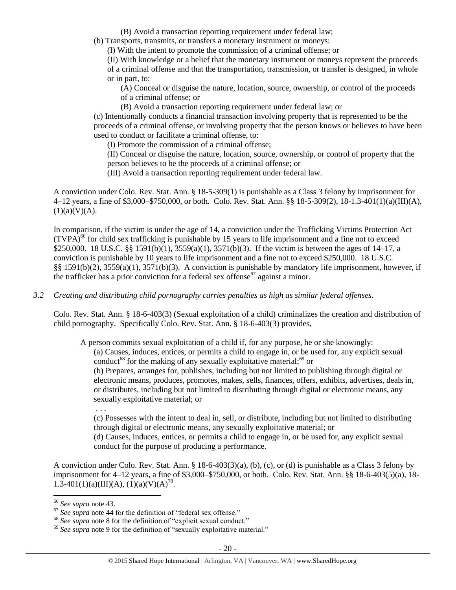(B) Avoid a transaction reporting requirement under federal law;

(b) Transports, transmits, or transfers a monetary instrument or moneys:

(I) With the intent to promote the commission of a criminal offense; or

(II) With knowledge or a belief that the monetary instrument or moneys represent the proceeds of a criminal offense and that the transportation, transmission, or transfer is designed, in whole or in part, to:

(A) Conceal or disguise the nature, location, source, ownership, or control of the proceeds of a criminal offense; or

(B) Avoid a transaction reporting requirement under federal law; or

(c) Intentionally conducts a financial transaction involving property that is represented to be the proceeds of a criminal offense, or involving property that the person knows or believes to have been used to conduct or facilitate a criminal offense, to:

(I) Promote the commission of a criminal offense;

(II) Conceal or disguise the nature, location, source, ownership, or control of property that the person believes to be the proceeds of a criminal offense; or

(III) Avoid a transaction reporting requirement under federal law.

A conviction under Colo. Rev. Stat. Ann. § 18-5-309(1) is punishable as a Class 3 felony by imprisonment for 4–12 years, a fine of \$3,000–\$750,000, or both. Colo. Rev. Stat. Ann. §§ 18-5-309(2), 18-1.3-401(1)(a)(III)(A),  $(1)(a)(V)(A)$ .

In comparison, if the victim is under the age of 14, a conviction under the Trafficking Victims Protection Act  $(TVPA)<sup>66</sup>$  for child sex trafficking is punishable by 15 years to life imprisonment and a fine not to exceed \$250,000. 18 U.S.C. §§ 1591(b)(1), 3559(a)(1), 3571(b)(3). If the victim is between the ages of 14–17, a conviction is punishable by 10 years to life imprisonment and a fine not to exceed \$250,000. 18 U.S.C. §§ 1591(b)(2), 3559(a)(1), 3571(b)(3). A conviction is punishable by mandatory life imprisonment, however, if the trafficker has a prior conviction for a federal sex offense<sup>67</sup> against a minor.

# *3.2 Creating and distributing child pornography carries penalties as high as similar federal offenses.*

Colo. Rev. Stat. Ann. § 18-6-403(3) (Sexual exploitation of a child) criminalizes the creation and distribution of child pornography. Specifically Colo. Rev. Stat. Ann. § 18-6-403(3) provides,

A person commits sexual exploitation of a child if, for any purpose, he or she knowingly:

(a) Causes, induces, entices, or permits a child to engage in, or be used for, any explicit sexual conduct<sup>68</sup> for the making of any sexually exploitative material;<sup>69</sup> or

(b) Prepares, arranges for, publishes, including but not limited to publishing through digital or electronic means, produces, promotes, makes, sells, finances, offers, exhibits, advertises, deals in, or distributes, including but not limited to distributing through digital or electronic means, any sexually exploitative material; or

. . .

(c) Possesses with the intent to deal in, sell, or distribute, including but not limited to distributing through digital or electronic means, any sexually exploitative material; or

(d) Causes, induces, entices, or permits a child to engage in, or be used for, any explicit sexual conduct for the purpose of producing a performance.

A conviction under Colo. Rev. Stat. Ann. § 18-6-403(3)(a), (b), (c), or (d) is punishable as a Class 3 felony by imprisonment for 4–12 years, a fine of \$3,000–\$750,000, or both. Colo. Rev. Stat. Ann. §§ 18-6-403(5)(a), 18- 1.3-401(1)(a)(III)(A), (1)(a)(V)(A)<sup>70</sup>.

 $\overline{\phantom{a}}$ 

<sup>66</sup> *See supra* note [43.](#page-12-0) 

<sup>67</sup> *See supra* note [44](#page-13-0) for the definition of "federal sex offense."

<sup>&</sup>lt;sup>68</sup> See supra note [8](#page-2-0) for the definition of "explicit sexual conduct."

<sup>&</sup>lt;sup>69</sup> See supra note [9](#page-2-1) for the definition of "sexually exploitative material."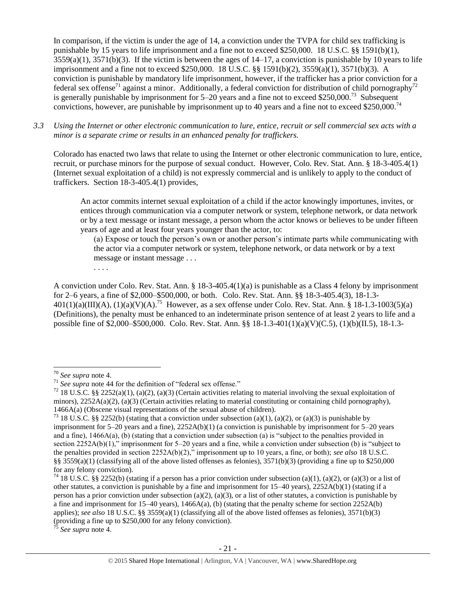In comparison, if the victim is under the age of 14, a conviction under the TVPA for child sex trafficking is punishable by 15 years to life imprisonment and a fine not to exceed \$250,000. 18 U.S.C. §§ 1591(b)(1),  $3559(a)(1)$ ,  $3571(b)(3)$ . If the victim is between the ages of  $14-17$ , a conviction is punishable by 10 years to life imprisonment and a fine not to exceed \$250,000. 18 U.S.C. §§ 1591(b)(2), 3559(a)(1), 3571(b)(3). A conviction is punishable by mandatory life imprisonment, however, if the trafficker has a prior conviction for a federal sex offense<sup>71</sup> against a minor. Additionally, a federal conviction for distribution of child pornography<sup>72</sup> is generally punishable by imprisonment for  $5-20$  years and a fine not to exceed \$250,000.<sup>73</sup> Subsequent convictions, however, are punishable by imprisonment up to 40 years and a fine not to exceed \$250,000.<sup>74</sup>

*3.3 Using the Internet or other electronic communication to lure, entice, recruit or sell commercial sex acts with a minor is a separate crime or results in an enhanced penalty for traffickers.*

Colorado has enacted two laws that relate to using the Internet or other electronic communication to lure, entice, recruit, or purchase minors for the purpose of sexual conduct. However, Colo. Rev. Stat. Ann. § 18-3-405.4(1) (Internet sexual exploitation of a child) is not expressly commercial and is unlikely to apply to the conduct of traffickers. Section 18-3-405.4(1) provides,

An actor commits internet sexual exploitation of a child if the actor knowingly importunes, invites, or entices through communication via a computer network or system, telephone network, or data network or by a text message or instant message, a person whom the actor knows or believes to be under fifteen years of age and at least four years younger than the actor, to:

(a) Expose or touch the person's own or another person's intimate parts while communicating with the actor via a computer network or system, telephone network, or data network or by a text message or instant message . . .

. . . .

A conviction under Colo. Rev. Stat. Ann. § 18-3-405.4(1)(a) is punishable as a Class 4 felony by imprisonment for 2–6 years, a fine of \$2,000–\$500,000, or both. Colo. Rev. Stat. Ann. §§ 18-3-405.4(3), 18-1.3-  $401(1)(a)(III)(A), (1)(a)(V)(A).^{75}$  However, as a sex offense under Colo. Rev. Stat. Ann. § 18-1.3-1003(5)(a) (Definitions), the penalty must be enhanced to an indeterminate prison sentence of at least 2 years to life and a possible fine of \$2,000–\$500,000. Colo. Rev. Stat. Ann. §§ 18-1.3-401(1)(a)(V)(C.5), (1)(b)(II.5), 18-1.3-

 $\overline{\phantom{a}}$ 

<sup>5</sup> See supra note [4.](#page-1-1)

<sup>70</sup> *See supra* note [4.](#page-1-1)

<sup>71</sup> *See supra* note [44](#page-13-0) for the definition of "federal sex offense."

<sup>&</sup>lt;sup>72</sup> 18 U.S.C. §§ 2252(a)(1), (a)(2), (a)(3) (Certain activities relating to material involving the sexual exploitation of minors),  $2252A(a)(2)$ , (a)(3) (Certain activities relating to material constituting or containing child pornography), 1466A(a) (Obscene visual representations of the sexual abuse of children).

<sup>&</sup>lt;sup>73</sup> 18 U.S.C. §§ 2252(b) (stating that a conviction under subsection (a)(1), (a)(2), or (a)(3) is punishable by imprisonment for 5–20 years and a fine), 2252A(b)(1) (a conviction is punishable by imprisonment for 5–20 years and a fine),  $1466A(a)$ , (b) (stating that a conviction under subsection (a) is "subject to the penalties provided in section 2252A(b)(1)," imprisonment for 5–20 years and a fine, while a conviction under subsection (b) is "subject to the penalties provided in section 2252A(b)(2)," imprisonment up to 10 years, a fine, or both); *see also* 18 U.S.C. §§ 3559(a)(1) (classifying all of the above listed offenses as felonies),  $3571(b)(3)$  (providing a fine up to \$250,000 for any felony conviction).

<sup>&</sup>lt;sup>74</sup> 18 U.S.C. §§ 2252(b) (stating if a person has a prior conviction under subsection (a)(1), (a)(2), or (a)(3) or a list of other statutes, a conviction is punishable by a fine and imprisonment for 15–40 years), 2252A(b)(1) (stating if a person has a prior conviction under subsection (a)(2), (a)(3), or a list of other statutes, a conviction is punishable by a fine and imprisonment for 15–40 years), 1466A(a), (b) (stating that the penalty scheme for section 2252A(b) applies); *see also* 18 U.S.C. §§ 3559(a)(1) (classifying all of the above listed offenses as felonies), 3571(b)(3) (providing a fine up to \$250,000 for any felony conviction).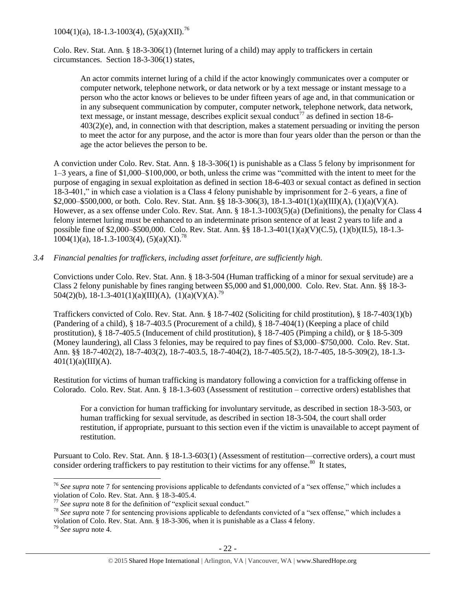$1004(1)(a)$ , 18-1.3-1003(4), (5)(a)(XII).<sup>76</sup>

Colo. Rev. Stat. Ann. § 18-3-306(1) (Internet luring of a child) may apply to traffickers in certain circumstances. Section 18-3-306(1) states,

An actor commits internet luring of a child if the actor knowingly communicates over a computer or computer network, telephone network, or data network or by a text message or instant message to a person who the actor knows or believes to be under fifteen years of age and, in that communication or in any subsequent communication by computer, computer network, telephone network, data network, text message, or instant message, describes explicit sexual conduct<sup>77</sup> as defined in section 18-6-403(2)(e), and, in connection with that description, makes a statement persuading or inviting the person to meet the actor for any purpose, and the actor is more than four years older than the person or than the age the actor believes the person to be.

A conviction under Colo. Rev. Stat. Ann. § 18-3-306(1) is punishable as a Class 5 felony by imprisonment for 1–3 years, a fine of \$1,000–\$100,000, or both, unless the crime was "committed with the intent to meet for the purpose of engaging in sexual exploitation as defined in section 18-6-403 or sexual contact as defined in section 18-3-401," in which case a violation is a Class 4 felony punishable by imprisonment for 2–6 years, a fine of \$2,000–\$500,000, or both. Colo. Rev. Stat. Ann. §§ 18-3-306(3), 18-1.3-401(1)(a)(III)(A), (1)(a)(V)(A). However, as a sex offense under Colo. Rev. Stat. Ann. § 18-1.3-1003(5)(a) (Definitions), the penalty for Class 4 felony internet luring must be enhanced to an indeterminate prison sentence of at least 2 years to life and a possible fine of \$2,000–\$500,000. Colo. Rev. Stat. Ann. §§ 18-1.3-401(1)(a)(V)(C.5), (1)(b)(II.5), 18-1.3-  $1004(1)(a)$ , 18-1.3-1003(4), (5)(a)(XI).<sup>78</sup>

*3.4 Financial penalties for traffickers, including asset forfeiture, are sufficiently high.*

Convictions under Colo. Rev. Stat. Ann. § 18-3-504 (Human trafficking of a minor for sexual servitude) are a Class 2 felony punishable by fines ranging between \$5,000 and \$1,000,000. Colo. Rev. Stat. Ann. §§ 18-3- 504(2)(b), 18-1.3-401(1)(a)(III)(A), (1)(a)(V)(A).<sup>79</sup>

Traffickers convicted of Colo. Rev. Stat. Ann. § 18-7-402 (Soliciting for child prostitution), § 18-7-403(1)(b) (Pandering of a child), § 18-7-403.5 (Procurement of a child), § 18-7-404(1) (Keeping a place of child prostitution), § 18-7-405.5 (Inducement of child prostitution), § 18-7-405 (Pimping a child), or § 18-5-309 (Money laundering), all Class 3 felonies, may be required to pay fines of \$3,000–\$750,000. Colo. Rev. Stat. Ann. §§ 18-7-402(2), 18-7-403(2), 18-7-403.5, 18-7-404(2), 18-7-405.5(2), 18-7-405, 18-5-309(2), 18-1.3-  $401(1)(a)(III)(A).$ 

Restitution for victims of human trafficking is mandatory following a conviction for a trafficking offense in Colorado. Colo. Rev. Stat. Ann. § 18-1.3-603 (Assessment of restitution – corrective orders) establishes that

For a conviction for human trafficking for involuntary servitude, as described in section 18-3-503, or human trafficking for sexual servitude, as described in section 18-3-504, the court shall order restitution, if appropriate, pursuant to this section even if the victim is unavailable to accept payment of restitution.

Pursuant to Colo. Rev. Stat. Ann. § 18-1.3-603(1) (Assessment of restitution—corrective orders), a court must consider ordering traffickers to pay restitution to their victims for any offense.<sup>80</sup> It states,

l <sup>76</sup> *See supra* note [7](#page-1-2) for sentencing provisions applicable to defendants convicted of a "sex offense," which includes a violation of Colo. Rev. Stat. Ann. § 18-3-405.4.

<sup>77</sup> *See supra* note [8](#page-2-0) for the definition of "explicit sexual conduct."

<sup>&</sup>lt;sup>78</sup> See supra note [7](#page-1-2) for sentencing provisions applicable to defendants convicted of a "sex offense," which includes a violation of Colo. Rev. Stat. Ann. § 18-3-306, when it is punishable as a Class 4 felony.

<sup>79</sup> *See supra* note [4.](#page-1-1)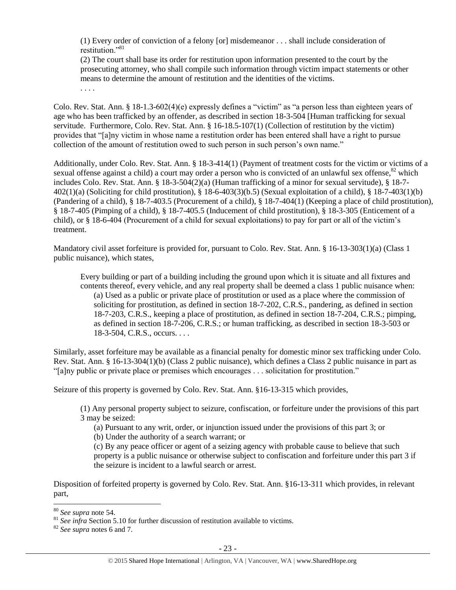(1) Every order of conviction of a felony [or] misdemeanor . . . shall include consideration of restitution."<sup>81</sup>

(2) The court shall base its order for restitution upon information presented to the court by the prosecuting attorney, who shall compile such information through victim impact statements or other means to determine the amount of restitution and the identities of the victims. . . . .

Colo. Rev. Stat. Ann. § 18-1.3-602(4)(e) expressly defines a "victim" as "a person less than eighteen years of age who has been trafficked by an offender, as described in section 18-3-504 [Human trafficking for sexual servitude. Furthermore, Colo. Rev. Stat. Ann. § 16-18.5-107(1) (Collection of restitution by the victim) provides that "[a]ny victim in whose name a restitution order has been entered shall have a right to pursue collection of the amount of restitution owed to such person in such person's own name."

Additionally, under Colo. Rev. Stat. Ann. § 18-3-414(1) (Payment of treatment costs for the victim or victims of a sexual offense against a child) a court may order a person who is convicted of an unlawful sex offense, <sup>82</sup> which includes Colo. Rev. Stat. Ann. § 18-3-504(2)(a) (Human trafficking of a minor for sexual servitude), § 18-7- 402(1)(a) (Soliciting for child prostitution), § 18-6-403(3)(b.5) (Sexual exploitation of a child), § 18-7-403(1)(b) (Pandering of a child), § 18-7-403.5 (Procurement of a child), § 18-7-404(1) (Keeping a place of child prostitution), § 18-7-405 (Pimping of a child), § 18-7-405.5 (Inducement of child prostitution), § 18-3-305 (Enticement of a child), or § 18-6-404 (Procurement of a child for sexual exploitations) to pay for part or all of the victim's treatment.

Mandatory civil asset forfeiture is provided for, pursuant to Colo. Rev. Stat. Ann. § 16-13-303(1)(a) (Class 1 public nuisance), which states,

Every building or part of a building including the ground upon which it is situate and all fixtures and contents thereof, every vehicle, and any real property shall be deemed a class 1 public nuisance when: (a) Used as a public or private place of prostitution or used as a place where the commission of soliciting for prostitution, as defined in section 18-7-202, C.R.S., pandering, as defined in section 18-7-203, C.R.S., keeping a place of prostitution, as defined in section 18-7-204, C.R.S.; pimping, as defined in section 18-7-206, C.R.S.; or human trafficking, as described in section 18-3-503 or 18-3-504, C.R.S., occurs. . . .

Similarly, asset forfeiture may be available as a financial penalty for domestic minor sex trafficking under Colo. Rev. Stat. Ann. § 16-13-304(1)(b) (Class 2 public nuisance), which defines a Class 2 public nuisance in part as "[a]ny public or private place or premises which encourages . . . solicitation for prostitution."

Seizure of this property is governed by Colo. Rev. Stat. Ann. §16-13-315 which provides,

(1) Any personal property subject to seizure, confiscation, or forfeiture under the provisions of this part 3 may be seized:

(a) Pursuant to any writ, order, or injunction issued under the provisions of this part 3; or

(b) Under the authority of a search warrant; or

(c) By any peace officer or agent of a seizing agency with probable cause to believe that such property is a public nuisance or otherwise subject to confiscation and forfeiture under this part 3 if the seizure is incident to a lawful search or arrest.

Disposition of forfeited property is governed by Colo. Rev. Stat. Ann. §16-13-311 which provides, in relevant part,

 $\overline{\phantom{a}}$ 

<sup>80</sup> *See supra* note [54.](#page-15-0)

<sup>&</sup>lt;sup>81</sup> See infra Section 5.10 for further discussion of restitution available to victims.

<sup>82</sup> *See supra* notes [6](#page-1-0) an[d 7.](#page-1-2)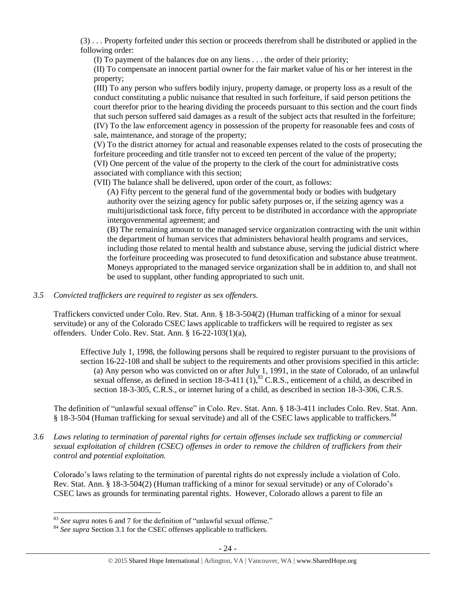(3) . . . Property forfeited under this section or proceeds therefrom shall be distributed or applied in the following order:

(I) To payment of the balances due on any liens . . . the order of their priority;

(II) To compensate an innocent partial owner for the fair market value of his or her interest in the property;

(III) To any person who suffers bodily injury, property damage, or property loss as a result of the conduct constituting a public nuisance that resulted in such forfeiture, if said person petitions the court therefor prior to the hearing dividing the proceeds pursuant to this section and the court finds that such person suffered said damages as a result of the subject acts that resulted in the forfeiture; (IV) To the law enforcement agency in possession of the property for reasonable fees and costs of sale, maintenance, and storage of the property;

(V) To the district attorney for actual and reasonable expenses related to the costs of prosecuting the forfeiture proceeding and title transfer not to exceed ten percent of the value of the property; (VI) One percent of the value of the property to the clerk of the court for administrative costs associated with compliance with this section;

(VII) The balance shall be delivered, upon order of the court, as follows:

(A) Fifty percent to the general fund of the governmental body or bodies with budgetary authority over the seizing agency for public safety purposes or, if the seizing agency was a multijurisdictional task force, fifty percent to be distributed in accordance with the appropriate intergovernmental agreement; and

(B) The remaining amount to the managed service organization contracting with the unit within the department of human services that administers behavioral health programs and services, including those related to mental health and substance abuse, serving the judicial district where the forfeiture proceeding was prosecuted to fund detoxification and substance abuse treatment. Moneys appropriated to the managed service organization shall be in addition to, and shall not be used to supplant, other funding appropriated to such unit.

## *3.5 Convicted traffickers are required to register as sex offenders.*

Traffickers convicted under Colo. Rev. Stat. Ann. § 18-3-504(2) (Human trafficking of a minor for sexual servitude) or any of the Colorado CSEC laws applicable to traffickers will be required to register as sex offenders. Under Colo. Rev. Stat. Ann. § 16-22-103(1)(a),

Effective July 1, 1998, the following persons shall be required to register pursuant to the provisions of section 16-22-108 and shall be subject to the requirements and other provisions specified in this article: (a) Any person who was convicted on or after July 1, 1991, in the state of Colorado, of an unlawful sexual offense, as defined in section  $18-3-411$  (1),  $83$  C.R.S., enticement of a child, as described in section 18-3-305, C.R.S., or internet luring of a child, as described in section 18-3-306, C.R.S.

The definition of "unlawful sexual offense" in Colo. Rev. Stat. Ann. § 18-3-411 includes Colo. Rev. Stat. Ann. § 18-3-504 (Human trafficking for sexual servitude) and all of the CSEC laws applicable to traffickers.<sup>84</sup>

*3.6 Laws relating to termination of parental rights for certain offenses include sex trafficking or commercial sexual exploitation of children (CSEC) offenses in order to remove the children of traffickers from their control and potential exploitation.* 

Colorado's laws relating to the termination of parental rights do not expressly include a violation of Colo. Rev. Stat. Ann. § 18-3-504(2) (Human trafficking of a minor for sexual servitude) or any of Colorado's CSEC laws as grounds for terminating parental rights. However, Colorado allows a parent to file an

 $\overline{a}$ <sup>83</sup> *See supra* notes [6](#page-1-0) an[d 7](#page-1-2) for the definition of "unlawful sexual offense."

<sup>&</sup>lt;sup>84</sup> See supra Section 3.1 for the CSEC offenses applicable to traffickers.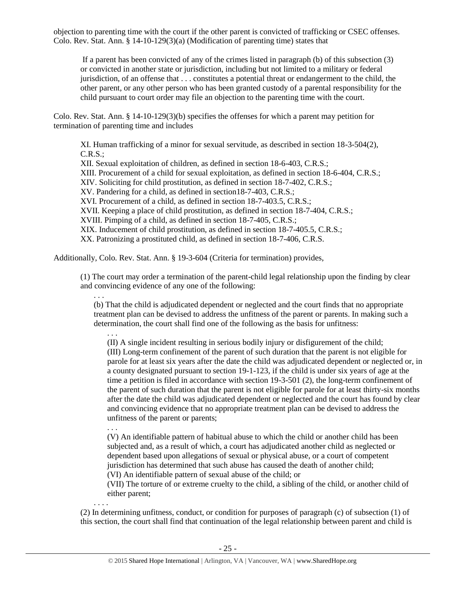objection to parenting time with the court if the other parent is convicted of trafficking or CSEC offenses. Colo. Rev. Stat. Ann. § 14-10-129(3)(a) (Modification of parenting time) states that

If a parent has been convicted of any of the crimes listed in paragraph (b) of this subsection (3) or convicted in another state or jurisdiction, including but not limited to a military or federal jurisdiction, of an offense that . . . constitutes a potential threat or endangerment to the child, the other parent, or any other person who has been granted custody of a parental responsibility for the child pursuant to court order may file an objection to the parenting time with the court.

Colo. Rev. Stat. Ann. § 14-10-129(3)(b) specifies the offenses for which a parent may petition for termination of parenting time and includes

XI. Human trafficking of a minor for sexual servitude, as described in section 18-3-504(2), C.R.S.; XII. Sexual exploitation of children, as defined in section 18-6-403, C.R.S.; XIII. Procurement of a child for sexual exploitation, as defined in section 18-6-404, C.R.S.; XIV. Soliciting for child prostitution, as defined in section 18-7-402, C.R.S.; XV. Pandering for a child, as defined in section18-7-403, C.R.S.; XVI. Procurement of a child, as defined in section 18-7-403.5, C.R.S.; XVII. Keeping a place of child prostitution, as defined in section 18-7-404, C.R.S.; XVIII. Pimping of a child, as defined in section 18-7-405, C.R.S.; XIX. Inducement of child prostitution, as defined in section 18-7-405.5, C.R.S.; XX. Patronizing a prostituted child, as defined in section 18-7-406, C.R.S.

Additionally, Colo. Rev. Stat. Ann. § 19-3-604 (Criteria for termination) provides,

(1) The court may order a termination of the parent-child legal relationship upon the finding by clear and convincing evidence of any one of the following:

. . . (b) That the child is adjudicated dependent or neglected and the court finds that no appropriate treatment plan can be devised to address the unfitness of the parent or parents. In making such a determination, the court shall find one of the following as the basis for unfitness:

. . .

. . .

. . . .

(II) A single incident resulting in serious bodily injury or disfigurement of the child; (III) Long-term confinement of the parent of such duration that the parent is not eligible for parole for at least six years after the date the child was adjudicated dependent or neglected or, in a county designated pursuant to section 19-1-123, if the child is under six years of age at the time a petition is filed in accordance with section 19-3-501 (2), the long-term confinement of the parent of such duration that the parent is not eligible for parole for at least thirty-six months after the date the child was adjudicated dependent or neglected and the court has found by clear and convincing evidence that no appropriate treatment plan can be devised to address the unfitness of the parent or parents;

(V) An identifiable pattern of habitual abuse to which the child or another child has been subjected and, as a result of which, a court has adjudicated another child as neglected or dependent based upon allegations of sexual or physical abuse, or a court of competent jurisdiction has determined that such abuse has caused the death of another child; (VI) An identifiable pattern of sexual abuse of the child; or

(VII) The torture of or extreme cruelty to the child, a sibling of the child, or another child of either parent;

(2) In determining unfitness, conduct, or condition for purposes of paragraph (c) of subsection (1) of this section, the court shall find that continuation of the legal relationship between parent and child is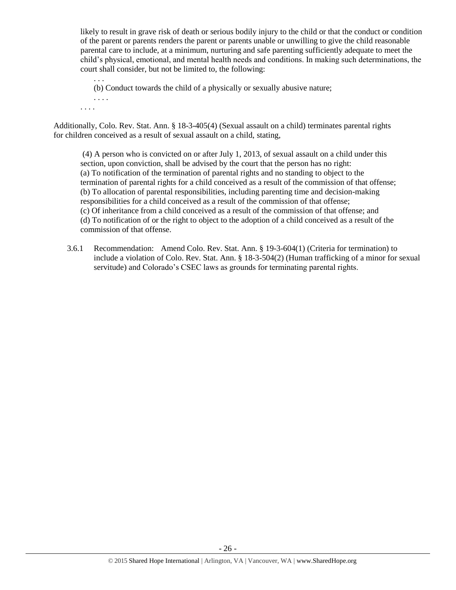likely to result in grave risk of death or serious bodily injury to the child or that the conduct or condition of the parent or parents renders the parent or parents unable or unwilling to give the child reasonable parental care to include, at a minimum, nurturing and safe parenting sufficiently adequate to meet the child's physical, emotional, and mental health needs and conditions. In making such determinations, the court shall consider, but not be limited to, the following:

. . . (b) Conduct towards the child of a physically or sexually abusive nature;

. . . . . . . .

Additionally, Colo. Rev. Stat. Ann. § 18-3-405(4) (Sexual assault on a child) terminates parental rights for children conceived as a result of sexual assault on a child, stating,

(4) A person who is convicted on or after July 1, 2013, of sexual assault on a child under this section, upon conviction, shall be advised by the court that the person has no right: (a) To notification of the termination of parental rights and no standing to object to the termination of parental rights for a child conceived as a result of the commission of that offense; (b) To allocation of parental responsibilities, including parenting time and decision-making responsibilities for a child conceived as a result of the commission of that offense; (c) Of inheritance from a child conceived as a result of the commission of that offense; and (d) To notification of or the right to object to the adoption of a child conceived as a result of the commission of that offense.

3.6.1 Recommendation: Amend Colo. Rev. Stat. Ann. § 19-3-604(1) (Criteria for termination) to include a violation of Colo. Rev. Stat. Ann. § 18-3-504(2) (Human trafficking of a minor for sexual servitude) and Colorado's CSEC laws as grounds for terminating parental rights.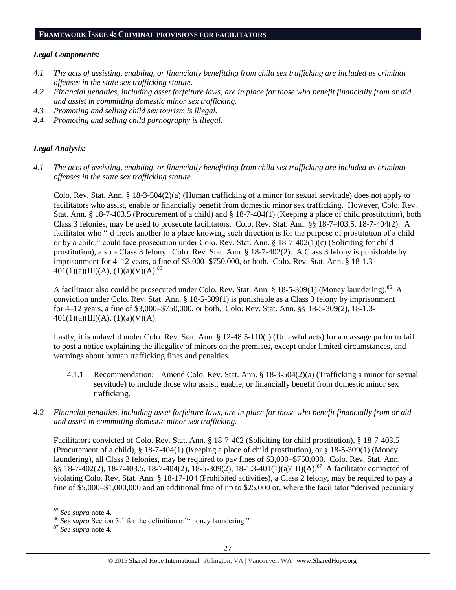#### **FRAMEWORK ISSUE 4: CRIMINAL PROVISIONS FOR FACILITATORS**

#### *Legal Components:*

- *4.1 The acts of assisting, enabling, or financially benefitting from child sex trafficking are included as criminal offenses in the state sex trafficking statute.*
- *4.2 Financial penalties, including asset forfeiture laws, are in place for those who benefit financially from or aid and assist in committing domestic minor sex trafficking.*
- *4.3 Promoting and selling child sex tourism is illegal.*
- *4.4 Promoting and selling child pornography is illegal.*

#### *Legal Analysis:*

*4.1 The acts of assisting, enabling, or financially benefitting from child sex trafficking are included as criminal offenses in the state sex trafficking statute.*

*\_\_\_\_\_\_\_\_\_\_\_\_\_\_\_\_\_\_\_\_\_\_\_\_\_\_\_\_\_\_\_\_\_\_\_\_\_\_\_\_\_\_\_\_\_\_\_\_\_\_\_\_\_\_\_\_\_\_\_\_\_\_\_\_\_\_\_\_\_\_\_\_\_\_\_\_\_\_\_\_\_\_\_\_\_\_\_\_*

Colo. Rev. Stat. Ann. § 18-3-504(2)(a) (Human trafficking of a minor for sexual servitude) does not apply to facilitators who assist, enable or financially benefit from domestic minor sex trafficking. However, Colo. Rev. Stat. Ann. § 18-7-403.5 (Procurement of a child) and § 18-7-404(1) (Keeping a place of child prostitution), both Class 3 felonies, may be used to prosecute facilitators. Colo. Rev. Stat. Ann. §§ 18-7-403.5, 18-7-404(2). A facilitator who "[d]irects another to a place knowing such direction is for the purpose of prostitution of a child or by a child," could face prosecution under Colo. Rev. Stat. Ann. § 18-7-402(1)(c) (Soliciting for child prostitution), also a Class 3 felony. Colo. Rev. Stat. Ann. § 18-7-402(2). A Class 3 felony is punishable by imprisonment for 4–12 years, a fine of \$3,000–\$750,000, or both. Colo. Rev. Stat. Ann. § 18-1.3-  $401(1)(a)(III)(A), (1)(a)(V)(A).$ <sup>85</sup>

A facilitator also could be prosecuted under Colo. Rev. Stat. Ann. § 18-5-309(1) (Money laundering).<sup>86</sup> A conviction under Colo. Rev. Stat. Ann. § 18-5-309(1) is punishable as a Class 3 felony by imprisonment for 4–12 years, a fine of \$3,000–\$750,000, or both. Colo. Rev. Stat. Ann. §§ 18-5-309(2), 18-1.3-  $401(1)(a)(III)(A), (1)(a)(V)(A).$ 

Lastly, it is unlawful under Colo. Rev. Stat. Ann. § 12-48.5-110(f) (Unlawful acts) for a massage parlor to fail to post a notice explaining the illegality of minors on the premises, except under limited circumstances, and warnings about human trafficking fines and penalties.

- 4.1.1 Recommendation: Amend Colo. Rev. Stat. Ann. § 18-3-504(2)(a) (Trafficking a minor for sexual servitude) to include those who assist, enable, or financially benefit from domestic minor sex trafficking.
- *4.2 Financial penalties, including asset forfeiture laws, are in place for those who benefit financially from or aid and assist in committing domestic minor sex trafficking.*

Facilitators convicted of Colo. Rev. Stat. Ann. § 18-7-402 (Soliciting for child prostitution), § 18-7-403.5 (Procurement of a child), § 18-7-404(1) (Keeping a place of child prostitution), or § 18-5-309(1) (Money laundering), all Class 3 felonies, may be required to pay fines of \$3,000–\$750,000. Colo. Rev. Stat. Ann.  $\S$ § 18-7-402(2), 18-7-403.5, 18-7-404(2), 18-5-309(2), 18-1.3-401(1)(a)(III)(A).<sup>87</sup> A facilitator convicted of violating Colo. Rev. Stat. Ann. § 18-17-104 (Prohibited activities), a Class 2 felony, may be required to pay a fine of \$5,000–\$1,000,000 and an additional fine of up to \$25,000 or, where the facilitator "derived pecuniary

 $\overline{\phantom{a}}$ 

<sup>85</sup> *See supra* note [4.](#page-1-1)

<sup>86</sup> *See supra* Section 3.1 for the definition of "money laundering."

<sup>87</sup> *See supra* note [4.](#page-1-1)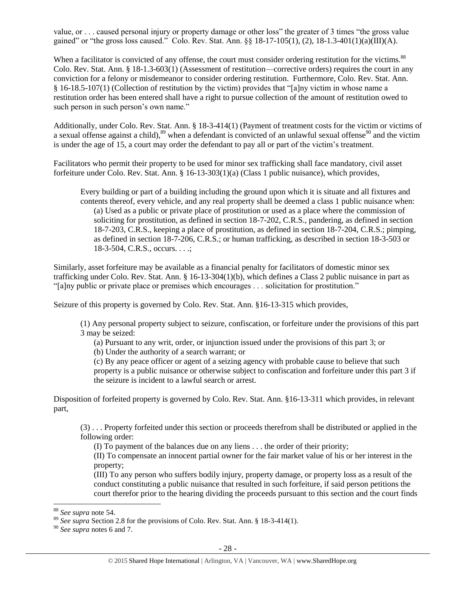value, or . . . caused personal injury or property damage or other loss" the greater of 3 times "the gross value gained" or "the gross loss caused." Colo. Rev. Stat. Ann.  $\S$  18-17-105(1), (2), 18-1.3-401(1)(a)(III)(A).

When a facilitator is convicted of any offense, the court must consider ordering restitution for the victims.<sup>88</sup> Colo. Rev. Stat. Ann. § 18-1.3-603(1) (Assessment of restitution—corrective orders) requires the court in any conviction for a felony or misdemeanor to consider ordering restitution. Furthermore, Colo. Rev. Stat. Ann. § 16-18.5-107(1) (Collection of restitution by the victim) provides that "[a]ny victim in whose name a restitution order has been entered shall have a right to pursue collection of the amount of restitution owed to such person in such person's own name."

Additionally, under Colo. Rev. Stat. Ann. § 18-3-414(1) (Payment of treatment costs for the victim or victims of a sexual offense against a child), $89$  when a defendant is convicted of an unlawful sexual offense $90$  and the victim is under the age of 15, a court may order the defendant to pay all or part of the victim's treatment.

Facilitators who permit their property to be used for minor sex trafficking shall face mandatory, civil asset forfeiture under Colo. Rev. Stat. Ann. § 16-13-303(1)(a) (Class 1 public nuisance), which provides,

Every building or part of a building including the ground upon which it is situate and all fixtures and contents thereof, every vehicle, and any real property shall be deemed a class 1 public nuisance when: (a) Used as a public or private place of prostitution or used as a place where the commission of soliciting for prostitution, as defined in section 18-7-202, C.R.S., pandering, as defined in section 18-7-203, C.R.S., keeping a place of prostitution, as defined in section 18-7-204, C.R.S.; pimping, as defined in section 18-7-206, C.R.S.; or human trafficking, as described in section 18-3-503 or 18-3-504, C.R.S., occurs. . . .;

Similarly, asset forfeiture may be available as a financial penalty for facilitators of domestic minor sex trafficking under Colo. Rev. Stat. Ann. § 16-13-304(1)(b), which defines a Class 2 public nuisance in part as "[a]ny public or private place or premises which encourages . . . solicitation for prostitution."

Seizure of this property is governed by Colo. Rev. Stat. Ann. §16-13-315 which provides,

(1) Any personal property subject to seizure, confiscation, or forfeiture under the provisions of this part 3 may be seized:

(a) Pursuant to any writ, order, or injunction issued under the provisions of this part 3; or

(b) Under the authority of a search warrant; or

(c) By any peace officer or agent of a seizing agency with probable cause to believe that such property is a public nuisance or otherwise subject to confiscation and forfeiture under this part 3 if the seizure is incident to a lawful search or arrest.

Disposition of forfeited property is governed by Colo. Rev. Stat. Ann. §16-13-311 which provides, in relevant part,

(3) . . . Property forfeited under this section or proceeds therefrom shall be distributed or applied in the following order:

(I) To payment of the balances due on any liens . . . the order of their priority;

(II) To compensate an innocent partial owner for the fair market value of his or her interest in the property;

(III) To any person who suffers bodily injury, property damage, or property loss as a result of the conduct constituting a public nuisance that resulted in such forfeiture, if said person petitions the court therefor prior to the hearing dividing the proceeds pursuant to this section and the court finds

 $\overline{\phantom{a}}$ 

<sup>88</sup> *See supra* note [54.](#page-15-0)

<sup>89</sup> *See supra* Section 2.8 for the provisions of Colo. Rev. Stat. Ann. § 18-3-414(1).

<sup>90</sup> *See supra* notes [6](#page-1-0) an[d 7.](#page-1-2)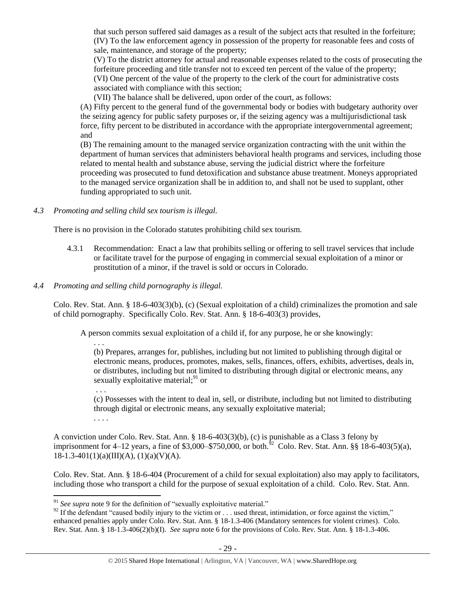that such person suffered said damages as a result of the subject acts that resulted in the forfeiture; (IV) To the law enforcement agency in possession of the property for reasonable fees and costs of sale, maintenance, and storage of the property;

(V) To the district attorney for actual and reasonable expenses related to the costs of prosecuting the forfeiture proceeding and title transfer not to exceed ten percent of the value of the property; (VI) One percent of the value of the property to the clerk of the court for administrative costs

associated with compliance with this section;

(VII) The balance shall be delivered, upon order of the court, as follows:

(A) Fifty percent to the general fund of the governmental body or bodies with budgetary authority over the seizing agency for public safety purposes or, if the seizing agency was a multijurisdictional task force, fifty percent to be distributed in accordance with the appropriate intergovernmental agreement; and

(B) The remaining amount to the managed service organization contracting with the unit within the department of human services that administers behavioral health programs and services, including those related to mental health and substance abuse, serving the judicial district where the forfeiture proceeding was prosecuted to fund detoxification and substance abuse treatment. Moneys appropriated to the managed service organization shall be in addition to, and shall not be used to supplant, other funding appropriated to such unit.

*4.3 Promoting and selling child sex tourism is illegal.*

There is no provision in the Colorado statutes prohibiting child sex tourism.

- 4.3.1 Recommendation: Enact a law that prohibits selling or offering to sell travel services that include or facilitate travel for the purpose of engaging in commercial sexual exploitation of a minor or prostitution of a minor, if the travel is sold or occurs in Colorado.
- *4.4 Promoting and selling child pornography is illegal.*

Colo. Rev. Stat. Ann. § 18-6-403(3)(b), (c) (Sexual exploitation of a child) criminalizes the promotion and sale of child pornography. Specifically Colo. Rev. Stat. Ann. § 18-6-403(3) provides,

A person commits sexual exploitation of a child if, for any purpose, he or she knowingly:

. . .

(b) Prepares, arranges for, publishes, including but not limited to publishing through digital or electronic means, produces, promotes, makes, sells, finances, offers, exhibits, advertises, deals in, or distributes, including but not limited to distributing through digital or electronic means, any sexually exploitative material; $91$  or

(c) Possesses with the intent to deal in, sell, or distribute, including but not limited to distributing through digital or electronic means, any sexually exploitative material;

. . . .

. . .

A conviction under Colo. Rev. Stat. Ann. § 18-6-403(3)(b), (c) is punishable as a Class 3 felony by imprisonment for 4–12 years, a fine of \$3,000–\$750,000, or both.<sup>52</sup> Colo. Rev. Stat. Ann. §§ 18-6-403(5)(a),  $18-1.3-401(1)(a)(III)(A), (1)(a)(V)(A).$ 

Colo. Rev. Stat. Ann. § 18-6-404 (Procurement of a child for sexual exploitation) also may apply to facilitators, including those who transport a child for the purpose of sexual exploitation of a child. Colo. Rev. Stat. Ann.

 $\overline{\phantom{a}}$ <sup>91</sup> See supra note [9](#page-2-1) for the definition of "sexually exploitative material."

 $92$  If the defendant "caused bodily injury to the victim or . . . used threat, intimidation, or force against the victim," enhanced penalties apply under Colo. Rev. Stat. Ann. § 18-1.3-406 (Mandatory sentences for violent crimes). Colo. Rev. Stat. Ann. § 18-1.3-406(2)(b)(I). *See supra* not[e 6](#page-1-0) for the provisions of Colo. Rev. Stat. Ann. § 18-1.3-406.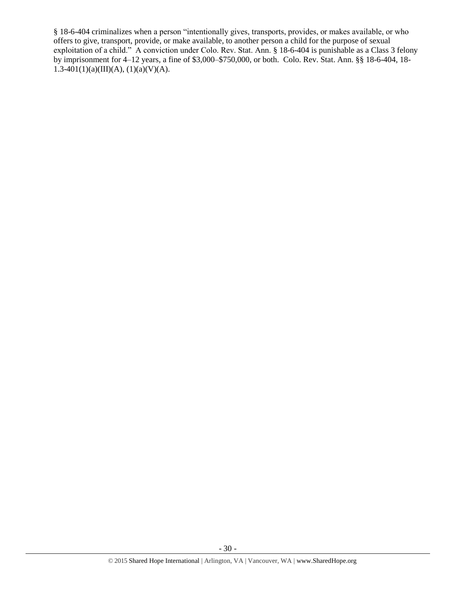§ 18-6-404 criminalizes when a person "intentionally gives, transports, provides, or makes available, or who offers to give, transport, provide, or make available, to another person a child for the purpose of sexual exploitation of a child." A conviction under Colo. Rev. Stat. Ann. § 18-6-404 is punishable as a Class 3 felony by imprisonment for 4–12 years, a fine of \$3,000–\$750,000, or both. Colo. Rev. Stat. Ann. §§ 18-6-404, 18- 1.3-401(1)(a)(III)(A), (1)(a)(V)(A).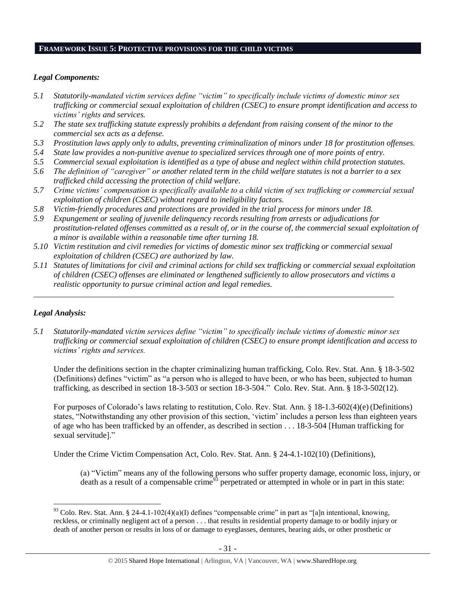#### **FRAMEWORK ISSUE 5: PROTECTIVE PROVISIONS FOR THE CHILD VICTIMS**

#### *Legal Components:*

- *5.1 Statutorily-mandated victim services define "victim" to specifically include victims of domestic minor sex trafficking or commercial sexual exploitation of children (CSEC) to ensure prompt identification and access to victims' rights and services.*
- *5.2 The state sex trafficking statute expressly prohibits a defendant from raising consent of the minor to the commercial sex acts as a defense.*
- *5.3 Prostitution laws apply only to adults, preventing criminalization of minors under 18 for prostitution offenses.*
- *5.4 State law provides a non-punitive avenue to specialized services through one of more points of entry.*
- *5.5 Commercial sexual exploitation is identified as a type of abuse and neglect within child protection statutes.*
- *5.6 The definition of "caregiver" or another related term in the child welfare statutes is not a barrier to a sex trafficked child accessing the protection of child welfare.*
- *5.7 Crime victims' compensation is specifically available to a child victim of sex trafficking or commercial sexual exploitation of children (CSEC) without regard to ineligibility factors.*
- *5.8 Victim-friendly procedures and protections are provided in the trial process for minors under 18.*
- *5.9 Expungement or sealing of juvenile delinquency records resulting from arrests or adjudications for prostitution-related offenses committed as a result of, or in the course of, the commercial sexual exploitation of a minor is available within a reasonable time after turning 18.*
- *5.10 Victim restitution and civil remedies for victims of domestic minor sex trafficking or commercial sexual exploitation of children (CSEC) are authorized by law.*

*\_\_\_\_\_\_\_\_\_\_\_\_\_\_\_\_\_\_\_\_\_\_\_\_\_\_\_\_\_\_\_\_\_\_\_\_\_\_\_\_\_\_\_\_\_\_\_\_\_\_\_\_\_\_\_\_\_\_\_\_\_\_\_\_\_\_\_\_\_\_\_\_\_\_\_\_\_\_\_\_\_\_\_\_\_\_\_\_*

*5.11 Statutes of limitations for civil and criminal actions for child sex trafficking or commercial sexual exploitation of children (CSEC) offenses are eliminated or lengthened sufficiently to allow prosecutors and victims a realistic opportunity to pursue criminal action and legal remedies.*

# *Legal Analysis:*

 $\overline{\phantom{a}}$ 

*5.1 Statutorily-mandated victim services define "victim" to specifically include victims of domestic minor sex trafficking or commercial sexual exploitation of children (CSEC) to ensure prompt identification and access to victims' rights and services.*

Under the definitions section in the chapter criminalizing human trafficking, Colo. Rev. Stat. Ann. § 18-3-502 (Definitions) defines "victim" as "a person who is alleged to have been, or who has been, subjected to human trafficking, as described in section 18-3-503 or section 18-3-504." Colo. Rev. Stat. Ann. § 18-3-502(12).

For purposes of Colorado's laws relating to restitution, Colo. Rev. Stat. Ann. § 18-1.3-602(4)(e)(Definitions) states, "Notwithstanding any other provision of this section, 'victim' includes a person less than eighteen years of age who has been trafficked by an offender, as described in section . . . 18-3-504 [Human trafficking for sexual servitude]."

Under the Crime Victim Compensation Act, Colo. Rev. Stat. Ann. § 24-4.1-102(10) (Definitions),

(a) "Victim" means any of the following persons who suffer property damage, economic loss, injury, or death as a result of a compensable crime<sup>93</sup> perpetrated or attempted in whole or in part in this state:

 $93$  Colo. Rev. Stat. Ann. § 24-4.1-102(4)(a)(I) defines "compensable crime" in part as "[a]n intentional, knowing, reckless, or criminally negligent act of a person . . . that results in residential property damage to or bodily injury or death of another person or results in loss of or damage to eyeglasses, dentures, hearing aids, or other prosthetic or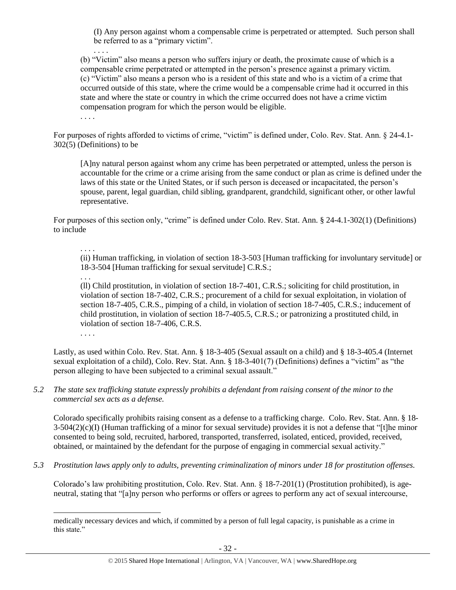(I) Any person against whom a compensable crime is perpetrated or attempted. Such person shall be referred to as a "primary victim".

(b) "Victim" also means a person who suffers injury or death, the proximate cause of which is a compensable crime perpetrated or attempted in the person's presence against a primary victim. (c) "Victim" also means a person who is a resident of this state and who is a victim of a crime that occurred outside of this state, where the crime would be a compensable crime had it occurred in this state and where the state or country in which the crime occurred does not have a crime victim compensation program for which the person would be eligible.

. . . .

. . . .

For purposes of rights afforded to victims of crime, "victim" is defined under, Colo. Rev. Stat. Ann. § 24-4.1- 302(5) (Definitions) to be

[A]ny natural person against whom any crime has been perpetrated or attempted, unless the person is accountable for the crime or a crime arising from the same conduct or plan as crime is defined under the laws of this state or the United States, or if such person is deceased or incapacitated, the person's spouse, parent, legal guardian, child sibling, grandparent, grandchild, significant other, or other lawful representative.

For purposes of this section only, "crime" is defined under Colo. Rev. Stat. Ann. § 24-4.1-302(1) (Definitions) to include

. . . .

(ii) Human trafficking, in violation of section 18-3-503 [Human trafficking for involuntary servitude] or 18-3-504 [Human trafficking for sexual servitude] C.R.S.;

. . .

(ll) Child prostitution, in violation of section 18-7-401, C.R.S.; soliciting for child prostitution, in violation of section 18-7-402, C.R.S.; procurement of a child for sexual exploitation, in violation of section 18-7-405, C.R.S., pimping of a child, in violation of section 18-7-405, C.R.S.; inducement of child prostitution, in violation of section 18-7-405.5, C.R.S.; or patronizing a prostituted child, in violation of section 18-7-406, C.R.S.

. . . .

 $\overline{a}$ 

Lastly, as used within Colo. Rev. Stat. Ann. § 18-3-405 (Sexual assault on a child) and § 18-3-405.4 (Internet sexual exploitation of a child), Colo. Rev. Stat. Ann. § 18-3-401(7) (Definitions) defines a "victim" as "the person alleging to have been subjected to a criminal sexual assault."

*5.2 The state sex trafficking statute expressly prohibits a defendant from raising consent of the minor to the commercial sex acts as a defense.*

Colorado specifically prohibits raising consent as a defense to a trafficking charge. Colo. Rev. Stat. Ann. § 18-  $3-504(2)(c)$ (I) (Human trafficking of a minor for sexual servitude) provides it is not a defense that "[t]he minor consented to being sold, recruited, harbored, transported, transferred, isolated, enticed, provided, received, obtained, or maintained by the defendant for the purpose of engaging in commercial sexual activity."

*5.3 Prostitution laws apply only to adults, preventing criminalization of minors under 18 for prostitution offenses.*

Colorado's law prohibiting prostitution, Colo. Rev. Stat. Ann. § 18-7-201(1) (Prostitution prohibited), is ageneutral, stating that "[a]ny person who performs or offers or agrees to perform any act of sexual intercourse,

medically necessary devices and which, if committed by a person of full legal capacity, is punishable as a crime in this state."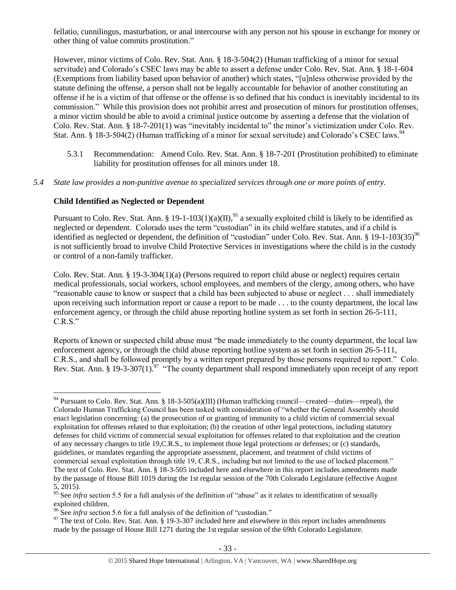fellatio, cunnilingus, masturbation, or anal intercourse with any person not his spouse in exchange for money or other thing of value commits prostitution."

However, minor victims of Colo. Rev. Stat. Ann. § 18-3-504(2) (Human trafficking of a minor for sexual servitude) and Colorado's CSEC laws may be able to assert a defense under Colo. Rev. Stat. Ann. § 18-1-604 (Exemptions from liability based upon behavior of another) which states, "[u]nless otherwise provided by the statute defining the offense, a person shall not be legally accountable for behavior of another constituting an offense if he is a victim of that offense or the offense is so defined that his conduct is inevitably incidental to its commission." While this provision does not prohibit arrest and prosecution of minors for prostitution offenses, a minor victim should be able to avoid a criminal justice outcome by asserting a defense that the violation of Colo. Rev. Stat. Ann. § 18-7-201(1) was "inevitably incidental to" the minor's victimization under Colo. Rev. Stat. Ann. § 18-3-504(2) (Human trafficking of a minor for sexual servitude) and Colorado's CSEC laws.<sup>94</sup>

- 5.3.1 Recommendation: Amend Colo. Rev. Stat. Ann. § 18-7-201 (Prostitution prohibited) to eliminate liability for prostitution offenses for all minors under 18.
- *5.4 State law provides a non-punitive avenue to specialized services through one or more points of entry.*

# **Child Identified as Neglected or Dependent**

 $\overline{\phantom{a}}$ 

Pursuant to Colo. Rev. Stat. Ann. § 19-1-103(1)(a)(II),<sup>95</sup> a sexually exploited child is likely to be identified as neglected or dependent. Colorado uses the term "custodian" in its child welfare statutes, and if a child is identified as neglected or dependent, the definition of "custodian" under Colo. Rev. Stat. Ann. § 19-1-103(35)<sup>96</sup> is not sufficiently broad to involve Child Protective Services in investigations where the child is in the custody or control of a non-family trafficker.

Colo. Rev. Stat. Ann. § 19-3-304(1)(a) (Persons required to report child abuse or neglect) requires certain medical professionals, social workers, school employees, and members of the clergy, among others, who have "reasonable cause to know or suspect that a child has been subjected to abuse or neglect . . . shall immediately upon receiving such information report or cause a report to be made . . . to the county department, the local law enforcement agency, or through the child abuse reporting hotline system as set forth in section 26-5-111, C.R.S."

Reports of known or suspected child abuse must "be made immediately to the county department, the local law enforcement agency, or through the child abuse reporting hotline system as set forth in section 26-5-111, C.R.S., and shall be followed promptly by a written report prepared by those persons required to report." Colo. Rev. Stat. Ann. § 19-3-307(1).<sup>97</sup> "The county department shall respond immediately upon receipt of any report

<sup>94</sup> Pursuant to Colo. Rev. Stat. Ann. § 18-3-505(a)(III) (Human trafficking council—created—duties—repeal), the Colorado Human Trafficking Council has been tasked with consideration of "whether the General Assembly should enact legislation concerning: (a) the prosecution of or granting of immunity to a child victim of commercial sexual exploitation for offenses related to that exploitation; (b) the creation of other legal protections, including statutory defenses for child victims of commercial sexual exploitation for offenses related to that exploitation and the creation of any necessary changes to title 19,C.R.S., to implement those legal protections or defenses; or (c) standards, guidelines, or mandates regarding the appropriate assessment, placement, and treatment of child victims of commercial sexual exploitation through title 19, C.R.S., including but not limited to the use of locked placement." The text of Colo. Rev. Stat. Ann. § 18-3-505 included here and elsewhere in this report includes amendments made by the passage of House Bill 1019 during the 1st regular session of the 70th Colorado Legislature (effective August 5, 2015).

<sup>&</sup>lt;sup>95</sup> See *infra* section 5.5 for a full analysis of the definition of "abuse" as it relates to identification of sexually exploited children.

<sup>&</sup>lt;sup>96</sup> See *infra* section 5.6 for a full analysis of the definition of "custodian."

<sup>&</sup>lt;sup>97</sup> The text of Colo. Rev. Stat. Ann. § 19-3-307 included here and elsewhere in this report includes amendments made by the passage of House Bill 1271 during the 1st regular session of the 69th Colorado Legislature.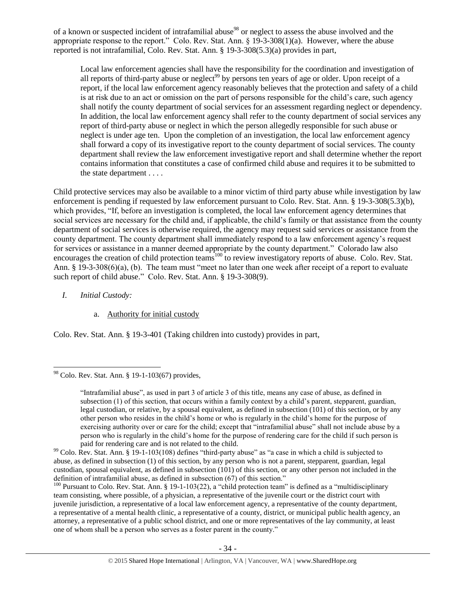of a known or suspected incident of intrafamilial abuse<sup>98</sup> or neglect to assess the abuse involved and the appropriate response to the report." Colo. Rev. Stat. Ann. § 19-3-308(1)(a). However, where the abuse reported is not intrafamilial, Colo. Rev. Stat. Ann. § 19-3-308(5.3)(a) provides in part,

Local law enforcement agencies shall have the responsibility for the coordination and investigation of all reports of third-party abuse or neglect<sup>99</sup> by persons ten years of age or older. Upon receipt of a report, if the local law enforcement agency reasonably believes that the protection and safety of a child is at risk due to an act or omission on the part of persons responsible for the child's care, such agency shall notify the county department of social services for an assessment regarding neglect or dependency. In addition, the local law enforcement agency shall refer to the county department of social services any report of third-party abuse or neglect in which the person allegedly responsible for such abuse or neglect is under age ten. Upon the completion of an investigation, the local law enforcement agency shall forward a copy of its investigative report to the county department of social services. The county department shall review the law enforcement investigative report and shall determine whether the report contains information that constitutes a case of confirmed child abuse and requires it to be submitted to the state department . . . .

Child protective services may also be available to a minor victim of third party abuse while investigation by law enforcement is pending if requested by law enforcement pursuant to Colo. Rev. Stat. Ann. § 19-3-308(5.3)(b), which provides, "If, before an investigation is completed, the local law enforcement agency determines that social services are necessary for the child and, if applicable, the child's family or that assistance from the county department of social services is otherwise required, the agency may request said services or assistance from the county department. The county department shall immediately respond to a law enforcement agency's request for services or assistance in a manner deemed appropriate by the county department." Colorado law also encourages the creation of child protection teams<sup>100</sup> to review investigatory reports of abuse. Colo. Rev. Stat. Ann. § 19-3-308(6)(a), (b). The team must "meet no later than one week after receipt of a report to evaluate such report of child abuse." Colo. Rev. Stat. Ann. § 19-3-308(9).

- *I. Initial Custody:* 
	- a. Authority for initial custody

Colo. Rev. Stat. Ann. § 19-3-401 (Taking children into custody) provides in part,

 $\overline{\phantom{a}}$  $98$  Colo. Rev. Stat. Ann. § 19-1-103(67) provides,

<sup>&</sup>quot;Intrafamilial abuse", as used in part 3 of article 3 of this title, means any case of abuse, as defined in subsection (1) of this section, that occurs within a family context by a child's parent, stepparent, guardian, legal custodian, or relative, by a spousal equivalent, as defined in subsection (101) of this section, or by any other person who resides in the child's home or who is regularly in the child's home for the purpose of exercising authority over or care for the child; except that "intrafamilial abuse" shall not include abuse by a person who is regularly in the child's home for the purpose of rendering care for the child if such person is paid for rendering care and is not related to the child.

 $99$  Colo. Rev. Stat. Ann. § 19-1-103(108) defines "third-party abuse" as "a case in which a child is subjected to abuse, as defined in subsection (1) of this section, by any person who is not a parent, stepparent, guardian, legal custodian, spousal equivalent, as defined in subsection (101) of this section, or any other person not included in the definition of intrafamilial abuse, as defined in subsection (67) of this section."

<sup>&</sup>lt;sup>100</sup> Pursuant to Colo. Rev. Stat. Ann. § 19-1-103(22), a "child protection team" is defined as a "multidisciplinary team consisting, where possible, of a physician, a representative of the juvenile court or the district court with juvenile jurisdiction, a representative of a local law enforcement agency, a representative of the county department, a representative of a mental health clinic, a representative of a county, district, or municipal public health agency, an attorney, a representative of a public school district, and one or more representatives of the lay community, at least one of whom shall be a person who serves as a foster parent in the county."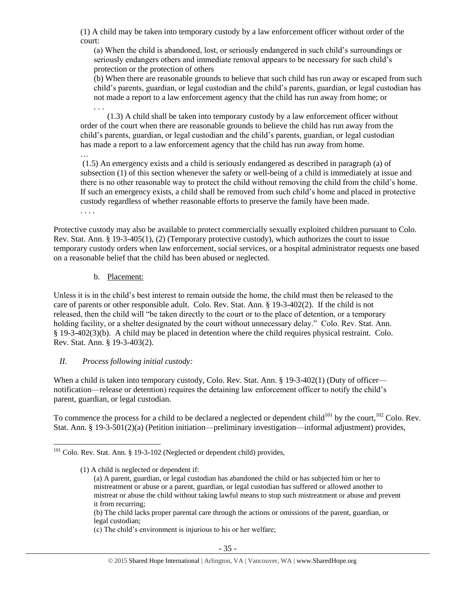(1) A child may be taken into temporary custody by a law enforcement officer without order of the court:

(a) When the child is abandoned, lost, or seriously endangered in such child's surroundings or seriously endangers others and immediate removal appears to be necessary for such child's protection or the protection of others

(b) When there are reasonable grounds to believe that such child has run away or escaped from such child's parents, guardian, or legal custodian and the child's parents, guardian, or legal custodian has not made a report to a law enforcement agency that the child has run away from home; or

. . . (1.3) A child shall be taken into temporary custody by a law enforcement officer without order of the court when there are reasonable grounds to believe the child has run away from the child's parents, guardian, or legal custodian and the child's parents, guardian, or legal custodian has made a report to a law enforcement agency that the child has run away from home.

… (1.5) An emergency exists and a child is seriously endangered as described in paragraph (a) of subsection (1) of this section whenever the safety or well-being of a child is immediately at issue and there is no other reasonable way to protect the child without removing the child from the child's home. If such an emergency exists, a child shall be removed from such child's home and placed in protective custody regardless of whether reasonable efforts to preserve the family have been made.

. . . .

Protective custody may also be available to protect commercially sexually exploited children pursuant to Colo. Rev. Stat. Ann. § 19-3-405(1), (2) (Temporary protective custody), which authorizes the court to issue temporary custody orders when law enforcement, social services, or a hospital administrator requests one based on a reasonable belief that the child has been abused or neglected.

b. Placement:

Unless it is in the child's best interest to remain outside the home, the child must then be released to the care of parents or other responsible adult. Colo. Rev. Stat. Ann. § 19-3-402(2). If the child is not released, then the child will "be taken directly to the court or to the place of detention, or a temporary holding facility, or a shelter designated by the court without unnecessary delay." Colo. Rev. Stat. Ann. § 19-3-402(3)(b). A child may be placed in detention where the child requires physical restraint. Colo. Rev. Stat. Ann. § 19-3-403(2).

# *II. Process following initial custody:*

When a child is taken into temporary custody, Colo. Rev. Stat. Ann. § 19-3-402(1) (Duty of officer notification—release or detention) requires the detaining law enforcement officer to notify the child's parent, guardian, or legal custodian.

To commence the process for a child to be declared a neglected or dependent child<sup>101</sup> by the court,<sup>102</sup> Colo. Rev. Stat. Ann. § 19-3-501(2)(a) (Petition initiation—preliminary investigation—informal adjustment) provides,

(b) The child lacks proper parental care through the actions or omissions of the parent, guardian, or legal custodian;

(c) The child's environment is injurious to his or her welfare;

 $\overline{\phantom{a}}$ <sup>101</sup> Colo. Rev. Stat. Ann. § 19-3-102 (Neglected or dependent child) provides,

<sup>(1)</sup> A child is neglected or dependent if:

<sup>(</sup>a) A parent, guardian, or legal custodian has abandoned the child or has subjected him or her to mistreatment or abuse or a parent, guardian, or legal custodian has suffered or allowed another to mistreat or abuse the child without taking lawful means to stop such mistreatment or abuse and prevent it from recurring;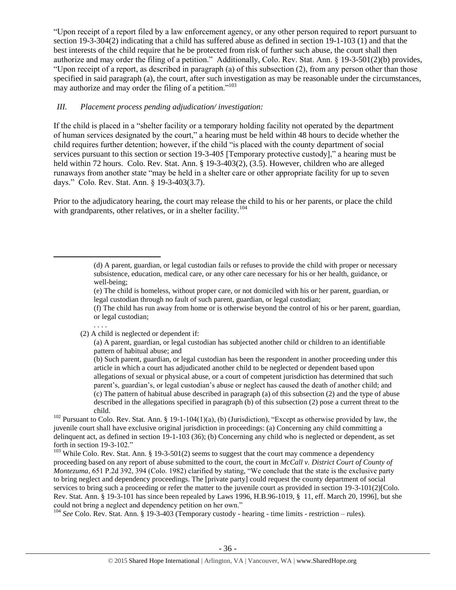"Upon receipt of a report filed by a law enforcement agency, or any other person required to report pursuant to section 19-3-304(2) indicating that a child has suffered abuse as defined in section 19-1-103 (1) and that the best interests of the child require that he be protected from risk of further such abuse, the court shall then authorize and may order the filing of a petition." Additionally, Colo. Rev. Stat. Ann. § 19-3-501(2)(b) provides, "Upon receipt of a report, as described in paragraph (a) of this subsection (2), from any person other than those specified in said paragraph (a), the court, after such investigation as may be reasonable under the circumstances, may authorize and may order the filing of a petition."<sup>103</sup>

## *III. Placement process pending adjudication/ investigation:*

If the child is placed in a "shelter facility or a temporary holding facility not operated by the department of human services designated by the court," a hearing must be held within 48 hours to decide whether the child requires further detention; however, if the child "is placed with the county department of social services pursuant to this section or section 19-3-405 [Temporary protective custody]," a hearing must be held within 72 hours. Colo. Rev. Stat. Ann. § 19-3-403(2), (3.5). However, children who are alleged runaways from another state "may be held in a shelter care or other appropriate facility for up to seven days." Colo. Rev. Stat. Ann. § 19-3-403(3.7).

Prior to the adjudicatory hearing, the court may release the child to his or her parents, or place the child with grandparents, other relatives, or in a shelter facility.<sup>104</sup>

. . . .

 $\overline{\phantom{a}}$ 

(2) A child is neglected or dependent if:

(b) Such parent, guardian, or legal custodian has been the respondent in another proceeding under this article in which a court has adjudicated another child to be neglected or dependent based upon allegations of sexual or physical abuse, or a court of competent jurisdiction has determined that such parent's, guardian's, or legal custodian's abuse or neglect has caused the death of another child; and (c) The pattern of habitual abuse described in paragraph (a) of this subsection (2) and the type of abuse described in the allegations specified in paragraph (b) of this subsection (2) pose a current threat to the child.

<sup>102</sup> Pursuant to Colo. Rev. Stat. Ann. § 19-1-104(1)(a), (b) (Jurisdiction), "Except as otherwise provided by law, the juvenile court shall have exclusive original jurisdiction in proceedings: (a) Concerning any child committing a delinquent act, as defined in section 19-1-103 (36); (b) Concerning any child who is neglected or dependent, as set forth in section 19-3-102."

<sup>103</sup> While Colo. Rev. Stat. Ann. § 19-3-501(2) seems to suggest that the court may commence a dependency proceeding based on any report of abuse submitted to the court, the court in *McCall v. District Court of County of Montezuma*, 651 P.2d 392, 394 (Colo. 1982) clarified by stating, "We conclude that the state is the exclusive party to bring neglect and dependency proceedings. The [private party] could request the county department of social services to bring such a proceeding or refer the matter to the juvenile court as provided in section 19-3-101(2)[Colo. Rev. Stat. Ann. § 19-3-101 has since been repealed by Laws 1996, H.B.96-1019, § 11, eff. March 20, 1996], but she could not bring a neglect and dependency petition on her own."

<sup>104</sup> *See* Colo. Rev. Stat. Ann. § 19-3-403 (Temporary custody - hearing - time limits - restriction – rules).

<sup>(</sup>d) A parent, guardian, or legal custodian fails or refuses to provide the child with proper or necessary subsistence, education, medical care, or any other care necessary for his or her health, guidance, or well-being;

<sup>(</sup>e) The child is homeless, without proper care, or not domiciled with his or her parent, guardian, or legal custodian through no fault of such parent, guardian, or legal custodian;

<sup>(</sup>f) The child has run away from home or is otherwise beyond the control of his or her parent, guardian, or legal custodian;

<sup>(</sup>a) A parent, guardian, or legal custodian has subjected another child or children to an identifiable pattern of habitual abuse; and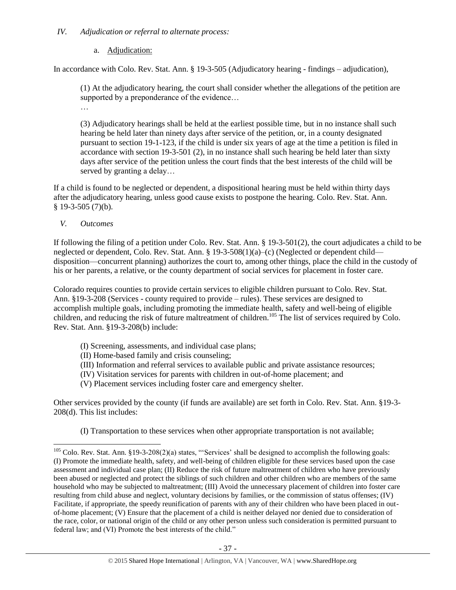## *IV. Adjudication or referral to alternate process:*

# a. Adjudication:

In accordance with Colo. Rev. Stat. Ann. § 19-3-505 (Adjudicatory hearing - findings – adjudication),

(1) At the adjudicatory hearing, the court shall consider whether the allegations of the petition are supported by a preponderance of the evidence...

…

(3) Adjudicatory hearings shall be held at the earliest possible time, but in no instance shall such hearing be held later than ninety days after service of the petition, or, in a county designated pursuant to section 19-1-123, if the child is under six years of age at the time a petition is filed in accordance with section 19-3-501 (2), in no instance shall such hearing be held later than sixty days after service of the petition unless the court finds that the best interests of the child will be served by granting a delay…

If a child is found to be neglected or dependent, a dispositional hearing must be held within thirty days after the adjudicatory hearing, unless good cause exists to postpone the hearing. Colo. Rev. Stat. Ann.  $§$  19-3-505 (7)(b).

*V. Outcomes*

 $\overline{\phantom{a}}$ 

If following the filing of a petition under Colo. Rev. Stat. Ann. § 19-3-501(2), the court adjudicates a child to be neglected or dependent, Colo. Rev. Stat. Ann. § 19-3-508(1)(a)–(c) (Neglected or dependent child disposition—concurrent planning) authorizes the court to, among other things, place the child in the custody of his or her parents, a relative, or the county department of social services for placement in foster care.

Colorado requires counties to provide certain services to eligible children pursuant to Colo. Rev. Stat. Ann. §19-3-208 (Services - county required to provide – rules). These services are designed to accomplish multiple goals, including promoting the immediate health, safety and well-being of eligible children, and reducing the risk of future maltreatment of children.<sup>105</sup> The list of services required by Colo. Rev. Stat. Ann. §19-3-208(b) include:

- (I) Screening, assessments, and individual case plans;
- (II) Home-based family and crisis counseling;
- (III) Information and referral services to available public and private assistance resources;
- (IV) Visitation services for parents with children in out-of-home placement; and
- (V) Placement services including foster care and emergency shelter.

Other services provided by the county (if funds are available) are set forth in Colo. Rev. Stat. Ann. §19-3- 208(d). This list includes:

(I) Transportation to these services when other appropriate transportation is not available;

 $105$  Colo. Rev. Stat. Ann. §19-3-208(2)(a) states, "Services' shall be designed to accomplish the following goals: (I) Promote the immediate health, safety, and well-being of children eligible for these services based upon the case assessment and individual case plan; (II) Reduce the risk of future maltreatment of children who have previously been abused or neglected and protect the siblings of such children and other children who are members of the same household who may be subjected to maltreatment; (III) Avoid the unnecessary placement of children into foster care resulting from child abuse and neglect, voluntary decisions by families, or the commission of status offenses; (IV) Facilitate, if appropriate, the speedy reunification of parents with any of their children who have been placed in outof-home placement; (V) Ensure that the placement of a child is neither delayed nor denied due to consideration of the race, color, or national origin of the child or any other person unless such consideration is permitted pursuant to federal law; and (VI) Promote the best interests of the child."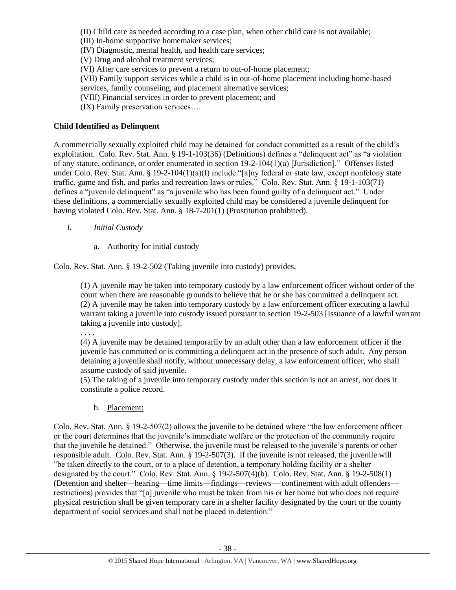(II) Child care as needed according to a case plan, when other child care is not available;

(III) In-home supportive homemaker services;

(IV) Diagnostic, mental health, and health care services;

(V) Drug and alcohol treatment services;

(VI) After care services to prevent a return to out-of-home placement;

(VII) Family support services while a child is in out-of-home placement including home-based services, family counseling, and placement alternative services;

(VIII) Financial services in order to prevent placement; and

(IX) Family preservation services….

# **Child Identified as Delinquent**

A commercially sexually exploited child may be detained for conduct committed as a result of the child's exploitation. Colo. Rev. Stat. Ann. § 19-1-103(36) (Definitions) defines a "delinquent act" as "a violation of any statute, ordinance, or order enumerated in section 19-2-104(1)(a) [Jurisdiction]." Offenses listed under Colo. Rev. Stat. Ann. § 19-2-104(1)(a)(I) include "[a]ny federal or state law, except nonfelony state traffic, game and fish, and parks and recreation laws or rules." Colo. Rev. Stat. Ann. § 19-1-103(71) defines a "juvenile delinquent" as "a juvenile who has been found guilty of a delinquent act." Under these definitions, a commercially sexually exploited child may be considered a juvenile delinquent for having violated Colo. Rev. Stat. Ann. § 18-7-201(1) (Prostitution prohibited).

- *I. Initial Custody* 
	- a. Authority for initial custody

Colo. Rev. Stat. Ann. § 19-2-502 (Taking juvenile into custody) provides,

(1) A juvenile may be taken into temporary custody by a law enforcement officer without order of the court when there are reasonable grounds to believe that he or she has committed a delinquent act. (2) A juvenile may be taken into temporary custody by a law enforcement officer executing a lawful warrant taking a juvenile into custody issued pursuant to section 19-2-503 [Issuance of a lawful warrant taking a juvenile into custody].

. . . .

(4) A juvenile may be detained temporarily by an adult other than a law enforcement officer if the juvenile has committed or is committing a delinquent act in the presence of such adult. Any person detaining a juvenile shall notify, without unnecessary delay, a law enforcement officer, who shall assume custody of said juvenile.

(5) The taking of a juvenile into temporary custody under this section is not an arrest, nor does it constitute a police record.

b. Placement:

Colo. Rev. Stat. Ann. § 19-2-507(2) allows the juvenile to be detained where "the law enforcement officer or the court determines that the juvenile's immediate welfare or the protection of the community require that the juvenile be detained." Otherwise, the juvenile must be released to the juvenile's parents or other responsible adult. Colo. Rev. Stat. Ann. § 19-2-507(3). If the juvenile is not released, the juvenile will "be taken directly to the court, or to a place of detention, a temporary holding facility or a shelter designated by the court." Colo. Rev. Stat. Ann. § 19-2-507(4)(b). Colo. Rev. Stat. Ann. § 19-2-508(1) (Detention and shelter—hearing—time limits—findings—reviews— confinement with adult offenders restrictions) provides that "[a] juvenile who must be taken from his or her home but who does not require physical restriction shall be given temporary care in a shelter facility designated by the court or the county department of social services and shall not be placed in detention."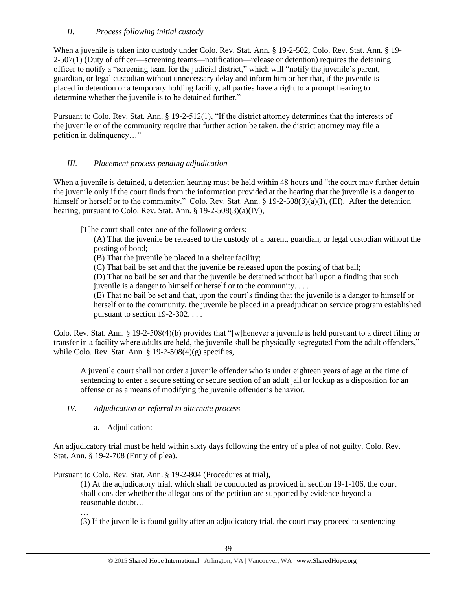# *II. Process following initial custody*

When a juvenile is taken into custody under Colo. Rev. Stat. Ann. § 19-2-502, Colo. Rev. Stat. Ann. § 19- 2-507(1) (Duty of officer—screening teams—notification—release or detention) requires the detaining officer to notify a "screening team for the judicial district," which will "notify the juvenile's parent, guardian, or legal custodian without unnecessary delay and inform him or her that, if the juvenile is placed in detention or a temporary holding facility, all parties have a right to a prompt hearing to determine whether the juvenile is to be detained further."

Pursuant to Colo. Rev. Stat. Ann. § 19-2-512(1), "If the district attorney determines that the interests of the juvenile or of the community require that further action be taken, the district attorney may file a petition in delinquency…"

# *III. Placement process pending adjudication*

When a juvenile is detained, a detention hearing must be held within 48 hours and "the court may further detain the juvenile only if the court finds from the information provided at the hearing that the juvenile is a danger to himself or herself or to the community." Colo. Rev. Stat. Ann. § 19-2-508(3)(a)(I), (III). After the detention hearing, pursuant to Colo. Rev. Stat. Ann. § 19-2-508(3)(a)(IV),

[T]he court shall enter one of the following orders:

(A) That the juvenile be released to the custody of a parent, guardian, or legal custodian without the posting of bond;

(B) That the juvenile be placed in a shelter facility;

(C) That bail be set and that the juvenile be released upon the posting of that bail;

(D) That no bail be set and that the juvenile be detained without bail upon a finding that such juvenile is a danger to himself or herself or to the community. . . .

(E) That no bail be set and that, upon the court's finding that the juvenile is a danger to himself or herself or to the community, the juvenile be placed in a preadjudication service program established pursuant to section 19-2-302. . . .

Colo. Rev. Stat. Ann. § 19-2-508(4)(b) provides that "[w]henever a juvenile is held pursuant to a direct filing or transfer in a facility where adults are held, the juvenile shall be physically segregated from the adult offenders," while Colo. Rev. Stat. Ann.  $\S$  19-2-508(4)(g) specifies,

A juvenile court shall not order a juvenile offender who is under eighteen years of age at the time of sentencing to enter a secure setting or secure section of an adult jail or lockup as a disposition for an offense or as a means of modifying the juvenile offender's behavior.

*IV. Adjudication or referral to alternate process*

a. Adjudication:

An adjudicatory trial must be held within sixty days following the entry of a plea of not guilty. Colo. Rev. Stat. Ann. § 19-2-708 (Entry of plea).

Pursuant to Colo. Rev. Stat. Ann. § 19-2-804 (Procedures at trial),

(1) At the adjudicatory trial, which shall be conducted as provided in section 19-1-106, the court shall consider whether the allegations of the petition are supported by evidence beyond a reasonable doubt…

… (3) If the juvenile is found guilty after an adjudicatory trial, the court may proceed to sentencing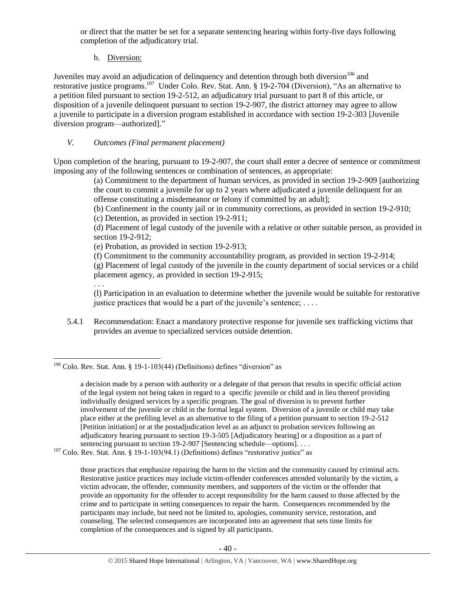or direct that the matter be set for a separate sentencing hearing within forty-five days following completion of the adjudicatory trial.

b. Diversion:

Juveniles may avoid an adjudication of delinquency and detention through both diversion<sup>106</sup> and restorative justice programs.<sup>107</sup> Under Colo. Rev. Stat. Ann. § 19-2-704 (Diversion), "As an alternative to a petition filed pursuant to section 19-2-512, an adjudicatory trial pursuant to part 8 of this article, or disposition of a juvenile delinquent pursuant to section 19-2-907, the district attorney may agree to allow a juvenile to participate in a diversion program established in accordance with section 19-2-303 [Juvenile diversion program—authorized]."

# *V. Outcomes (Final permanent placement)*

Upon completion of the hearing, pursuant to 19-2-907, the court shall enter a decree of sentence or commitment imposing any of the following sentences or combination of sentences, as appropriate:

(a) Commitment to the department of human services, as provided in section 19-2-909 [authorizing the court to commit a juvenile for up to 2 years where adjudicated a juvenile delinquent for an offense constituting a misdemeanor or felony if committed by an adult];

(b) Confinement in the county jail or in community corrections, as provided in section 19-2-910;

(c) Detention, as provided in section 19-2-911;

(d) Placement of legal custody of the juvenile with a relative or other suitable person, as provided in section 19-2-912;

(e) Probation, as provided in section 19-2-913;

(f) Commitment to the community accountability program, as provided in section 19-2-914;

(g) Placement of legal custody of the juvenile in the county department of social services or a child placement agency, as provided in section 19-2-915;

. . .

(l) Participation in an evaluation to determine whether the juvenile would be suitable for restorative justice practices that would be a part of the juvenile's sentence;  $\dots$ 

5.4.1 Recommendation: Enact a mandatory protective response for juvenile sex trafficking victims that provides an avenue to specialized services outside detention.

 $107$  Colo. Rev. Stat. Ann. § 19-1-103(94.1) (Definitions) defines "restorative justice" as

those practices that emphasize repairing the harm to the victim and the community caused by criminal acts. Restorative justice practices may include victim-offender conferences attended voluntarily by the victim, a victim advocate, the offender, community members, and supporters of the victim or the offender that provide an opportunity for the offender to accept responsibility for the harm caused to those affected by the crime and to participate in setting consequences to repair the harm. Consequences recommended by the participants may include, but need not be limited to, apologies, community service, restoration, and counseling. The selected consequences are incorporated into an agreement that sets time limits for completion of the consequences and is signed by all participants.

 $\overline{a}$  $106$  Colo. Rev. Stat. Ann. § 19-1-103(44) (Definitions) defines "diversion" as

a decision made by a person with authority or a delegate of that person that results in specific official action of the legal system not being taken in regard to a specific juvenile or child and in lieu thereof providing individually designed services by a specific program. The goal of diversion is to prevent further involvement of the juvenile or child in the formal legal system. Diversion of a juvenile or child may take place either at the prefiling level as an alternative to the filing of a petition pursuant to section 19-2-512 [Petition initiation] or at the postadjudication level as an adjunct to probation services following an adjudicatory hearing pursuant to section 19-3-505 [Adjudicatory hearing] or a disposition as a part of sentencing pursuant to section 19-2-907 [Sentencing schedule—options]. . . .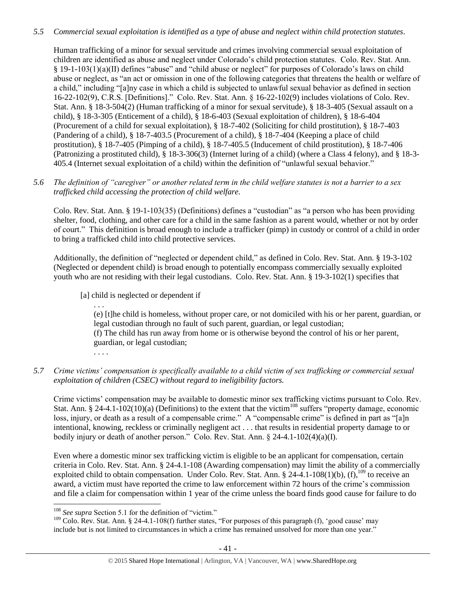# *5.5 Commercial sexual exploitation is identified as a type of abuse and neglect within child protection statutes.*

Human trafficking of a minor for sexual servitude and crimes involving commercial sexual exploitation of children are identified as abuse and neglect under Colorado's child protection statutes. Colo. Rev. Stat. Ann. § 19-1-103(1)(a)(II) defines "abuse" and "child abuse or neglect" for purposes of Colorado's laws on child abuse or neglect, as "an act or omission in one of the following categories that threatens the health or welfare of a child," including "[a]ny case in which a child is subjected to unlawful sexual behavior as defined in section 16-22-102(9), C.R.S. [Definitions]." Colo. Rev. Stat. Ann. § 16-22-102(9) includes violations of Colo. Rev. Stat. Ann. § 18-3-504(2) (Human trafficking of a minor for sexual servitude), § 18-3-405 (Sexual assault on a child), § 18-3-305 (Enticement of a child), § 18-6-403 (Sexual exploitation of children), § 18-6-404 (Procurement of a child for sexual exploitation), § 18-7-402 (Soliciting for child prostitution), § 18-7-403 (Pandering of a child), § 18-7-403.5 (Procurement of a child), § 18-7-404 (Keeping a place of child prostitution), § 18-7-405 (Pimping of a child), § 18-7-405.5 (Inducement of child prostitution), § 18-7-406 (Patronizing a prostituted child), § 18-3-306(3) (Internet luring of a child) (where a Class 4 felony), and § 18-3- 405.4 (Internet sexual exploitation of a child) within the definition of "unlawful sexual behavior."

# *5.6 The definition of "caregiver" or another related term in the child welfare statutes is not a barrier to a sex trafficked child accessing the protection of child welfare.*

Colo. Rev. Stat. Ann. § 19-1-103(35) (Definitions) defines a "custodian" as "a person who has been providing shelter, food, clothing, and other care for a child in the same fashion as a parent would, whether or not by order of court." This definition is broad enough to include a trafficker (pimp) in custody or control of a child in order to bring a trafficked child into child protective services.

Additionally, the definition of "neglected or dependent child," as defined in Colo. Rev. Stat. Ann. § 19-3-102 (Neglected or dependent child) is broad enough to potentially encompass commercially sexually exploited youth who are not residing with their legal custodians. Colo. Rev. Stat. Ann. § 19-3-102(1) specifies that

[a] child is neglected or dependent if

. . . (e) [t]he child is homeless, without proper care, or not domiciled with his or her parent, guardian, or legal custodian through no fault of such parent, guardian, or legal custodian; (f) The child has run away from home or is otherwise beyond the control of his or her parent, guardian, or legal custodian;

. . . .

 $\overline{\phantom{a}}$ 

# *5.7 Crime victims' compensation is specifically available to a child victim of sex trafficking or commercial sexual exploitation of children (CSEC) without regard to ineligibility factors.*

Crime victims' compensation may be available to domestic minor sex trafficking victims pursuant to Colo. Rev. Stat. Ann. § 24-4.1-102(10)(a) (Definitions) to the extent that the victim<sup>108</sup> suffers "property damage, economic loss, injury, or death as a result of a compensable crime." A "compensable crime" is defined in part as "[a]n intentional, knowing, reckless or criminally negligent act . . . that results in residential property damage to or bodily injury or death of another person." Colo. Rev. Stat. Ann. § 24-4.1-102(4)(a)(I).

Even where a domestic minor sex trafficking victim is eligible to be an applicant for compensation, certain criteria in Colo. Rev. Stat. Ann. § 24-4.1-108 (Awarding compensation) may limit the ability of a commercially exploited child to obtain compensation. Under Colo. Rev. Stat. Ann.  $\frac{8}{2}$  24-4.1-108(1)(b), (f),<sup>109</sup> to receive an award, a victim must have reported the crime to law enforcement within 72 hours of the crime's commission and file a claim for compensation within 1 year of the crime unless the board finds good cause for failure to do

<sup>&</sup>lt;sup>108</sup> See supra Section 5.1 for the definition of "victim."

<sup>&</sup>lt;sup>109</sup> Colo. Rev. Stat. Ann. § 24-4.1-108(f) further states, "For purposes of this paragraph (f), 'good cause' may include but is not limited to circumstances in which a crime has remained unsolved for more than one year."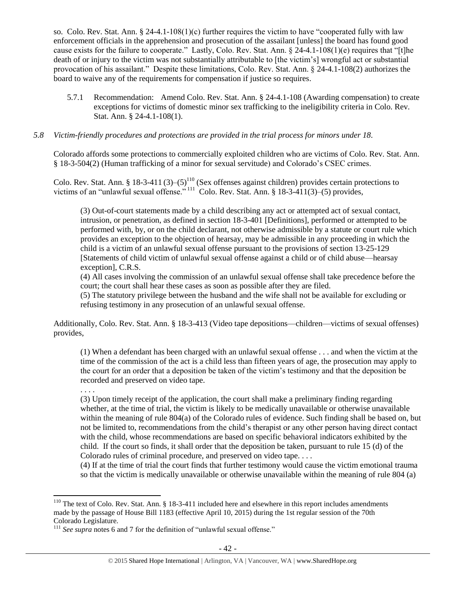so. Colo. Rev. Stat. Ann.  $\S 24-4.1-108(1)(c)$  further requires the victim to have "cooperated fully with law enforcement officials in the apprehension and prosecution of the assailant [unless] the board has found good cause exists for the failure to cooperate." Lastly, Colo. Rev. Stat. Ann. § 24-4.1-108(1)(e) requires that "[t]he death of or injury to the victim was not substantially attributable to [the victim's] wrongful act or substantial provocation of his assailant." Despite these limitations, Colo. Rev. Stat. Ann. § 24-4.1-108(2) authorizes the board to waive any of the requirements for compensation if justice so requires.

5.7.1 Recommendation: Amend Colo. Rev. Stat. Ann. § 24-4.1-108 (Awarding compensation) to create exceptions for victims of domestic minor sex trafficking to the ineligibility criteria in Colo. Rev. Stat. Ann. § 24-4.1-108(1).

## *5.8 Victim-friendly procedures and protections are provided in the trial process for minors under 18.*

Colorado affords some protections to commercially exploited children who are victims of Colo. Rev. Stat. Ann. § 18-3-504(2) (Human trafficking of a minor for sexual servitude) and Colorado's CSEC crimes.

Colo. Rev. Stat. Ann. § 18-3-411 (3)–(5)<sup>110</sup> (Sex offenses against children) provides certain protections to victims of an "unlawful sexual offense." <sup>111</sup> Colo. Rev. Stat. Ann. § 18-3-411(3)–(5) provides,

(3) Out-of-court statements made by a child describing any act or attempted act of sexual contact, intrusion, or penetration, as defined in section 18-3-401 [Definitions], performed or attempted to be performed with, by, or on the child declarant, not otherwise admissible by a statute or court rule which provides an exception to the objection of hearsay, may be admissible in any proceeding in which the child is a victim of an unlawful sexual offense pursuant to the provisions of section 13-25-129 [Statements of child victim of unlawful sexual offense against a child or of child abuse—hearsay exception], C.R.S.

(4) All cases involving the commission of an unlawful sexual offense shall take precedence before the court; the court shall hear these cases as soon as possible after they are filed.

(5) The statutory privilege between the husband and the wife shall not be available for excluding or refusing testimony in any prosecution of an unlawful sexual offense.

Additionally, Colo. Rev. Stat. Ann. § 18-3-413 (Video tape depositions—children—victims of sexual offenses) provides,

(1) When a defendant has been charged with an unlawful sexual offense . . . and when the victim at the time of the commission of the act is a child less than fifteen years of age, the prosecution may apply to the court for an order that a deposition be taken of the victim's testimony and that the deposition be recorded and preserved on video tape.

. . . . (3) Upon timely receipt of the application, the court shall make a preliminary finding regarding whether, at the time of trial, the victim is likely to be medically unavailable or otherwise unavailable within the meaning of rule 804(a) of the Colorado rules of evidence. Such finding shall be based on, but not be limited to, recommendations from the child's therapist or any other person having direct contact with the child, whose recommendations are based on specific behavioral indicators exhibited by the child. If the court so finds, it shall order that the deposition be taken, pursuant to rule 15 (d) of the Colorado rules of criminal procedure, and preserved on video tape. . . .

(4) If at the time of trial the court finds that further testimony would cause the victim emotional trauma so that the victim is medically unavailable or otherwise unavailable within the meaning of rule 804 (a)

 $\overline{\phantom{a}}$ 

 $110$  The text of Colo. Rev. Stat. Ann. § 18-3-411 included here and elsewhere in this report includes amendments made by the passage of House Bill 1183 (effective April 10, 2015) during the 1st regular session of the 70th Colorado Legislature.

<sup>&</sup>lt;sup>111</sup> See supra note[s 6](#page-1-0) and [7](#page-1-2) for the definition of "unlawful sexual offense."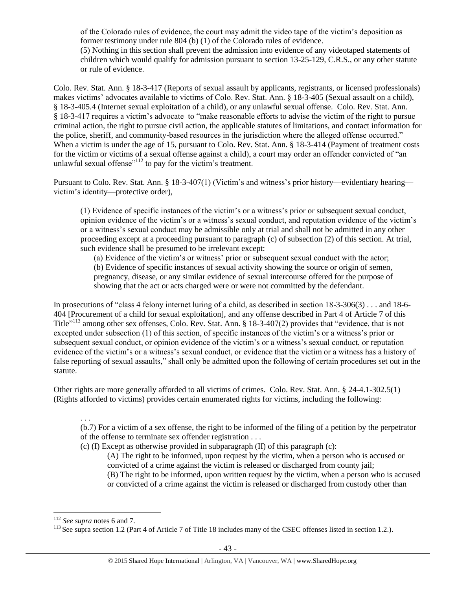of the Colorado rules of evidence, the court may admit the video tape of the victim's deposition as former testimony under rule 804 (b) (1) of the Colorado rules of evidence. (5) Nothing in this section shall prevent the admission into evidence of any videotaped statements of children which would qualify for admission pursuant to section 13-25-129, C.R.S., or any other statute or rule of evidence.

Colo. Rev. Stat. Ann. § 18-3-417 (Reports of sexual assault by applicants, registrants, or licensed professionals) makes victims' advocates available to victims of Colo. Rev. Stat. Ann. § 18-3-405 (Sexual assault on a child), § 18-3-405.4 (Internet sexual exploitation of a child), or any unlawful sexual offense. Colo. Rev. Stat. Ann. § 18-3-417 requires a victim's advocate to "make reasonable efforts to advise the victim of the right to pursue criminal action, the right to pursue civil action, the applicable statutes of limitations, and contact information for the police, sheriff, and community-based resources in the jurisdiction where the alleged offense occurred." When a victim is under the age of 15, pursuant to Colo. Rev. Stat. Ann. § 18-3-414 (Payment of treatment costs for the victim or victims of a sexual offense against a child), a court may order an offender convicted of "an unlawful sexual offense"<sup>112</sup> to pay for the victim's treatment.

Pursuant to Colo. Rev. Stat. Ann. § 18-3-407(1) (Victim's and witness's prior history—evidentiary hearing victim's identity—protective order),

(1) Evidence of specific instances of the victim's or a witness's prior or subsequent sexual conduct, opinion evidence of the victim's or a witness's sexual conduct, and reputation evidence of the victim's or a witness's sexual conduct may be admissible only at trial and shall not be admitted in any other proceeding except at a proceeding pursuant to paragraph (c) of subsection (2) of this section. At trial, such evidence shall be presumed to be irrelevant except:

(a) Evidence of the victim's or witness' prior or subsequent sexual conduct with the actor;

(b) Evidence of specific instances of sexual activity showing the source or origin of semen, pregnancy, disease, or any similar evidence of sexual intercourse offered for the purpose of showing that the act or acts charged were or were not committed by the defendant.

In prosecutions of "class 4 felony internet luring of a child, as described in section 18-3-306(3) . . . and 18-6- 404 [Procurement of a child for sexual exploitation], and any offense described in Part 4 of Article 7 of this Title"<sup>113</sup> among other sex offenses, Colo. Rev. Stat. Ann. § 18-3-407(2) provides that "evidence, that is not excepted under subsection (1) of this section, of specific instances of the victim's or a witness's prior or subsequent sexual conduct, or opinion evidence of the victim's or a witness's sexual conduct, or reputation evidence of the victim's or a witness's sexual conduct, or evidence that the victim or a witness has a history of false reporting of sexual assaults," shall only be admitted upon the following of certain procedures set out in the statute.

Other rights are more generally afforded to all victims of crimes. Colo. Rev. Stat. Ann. § 24-4.1-302.5(1) (Rights afforded to victims) provides certain enumerated rights for victims, including the following:

. . .

(b.7) For a victim of a sex offense, the right to be informed of the filing of a petition by the perpetrator of the offense to terminate sex offender registration . . .

(c) (I) Except as otherwise provided in subparagraph (II) of this paragraph (c):

(A) The right to be informed, upon request by the victim, when a person who is accused or convicted of a crime against the victim is released or discharged from county jail; (B) The right to be informed, upon written request by the victim, when a person who is accused

or convicted of a crime against the victim is released or discharged from custody other than

 $\overline{a}$ 

<sup>112</sup> *See supra* note[s 6](#page-1-0) and [7.](#page-1-2)

 $^{113}$  See supra section 1.2 (Part 4 of Article 7 of Title 18 includes many of the CSEC offenses listed in section 1.2.).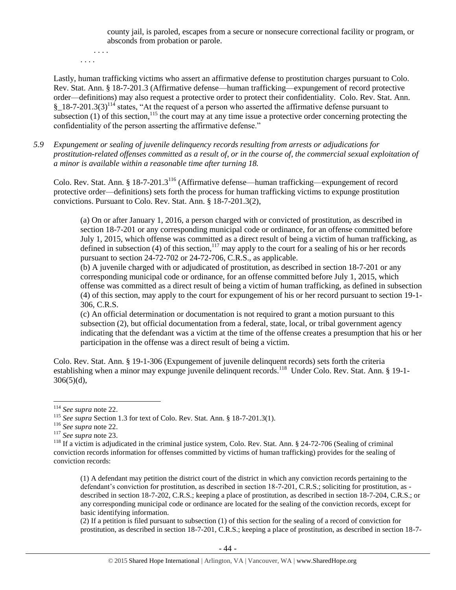county jail, is paroled, escapes from a secure or nonsecure correctional facility or program, or absconds from probation or parole.

. . . . . . . .

Lastly, human trafficking victims who assert an affirmative defense to prostitution charges pursuant to Colo. Rev. Stat. Ann. § 18-7-201.3 (Affirmative defense—human trafficking—expungement of record protective order—definitions) may also request a protective order to protect their confidentiality. Colo. Rev. Stat. Ann.  $\S$  18-7-201.3(3)<sup>114</sup> states, "At the request of a person who asserted the affirmative defense pursuant to subsection (1) of this section,<sup>115</sup> the court may at any time issue a protective order concerning protecting the confidentiality of the person asserting the affirmative defense."

*5.9 Expungement or sealing of juvenile delinquency records resulting from arrests or adjudications for prostitution-related offenses committed as a result of, or in the course of, the commercial sexual exploitation of a minor is available within a reasonable time after turning 18.*

Colo. Rev. Stat. Ann. § 18-7-201.3<sup>116</sup> (Affirmative defense—human trafficking—expungement of record protective order—definitions) sets forth the process for human trafficking victims to expunge prostitution convictions. Pursuant to Colo. Rev. Stat. Ann. § 18-7-201.3(2),

(a) On or after January 1, 2016, a person charged with or convicted of prostitution, as described in section 18-7-201 or any corresponding municipal code or ordinance, for an offense committed before July 1, 2015, which offense was committed as a direct result of being a victim of human trafficking, as defined in subsection (4) of this section,<sup>117</sup> may apply to the court for a sealing of his or her records pursuant to section 24-72-702 or 24-72-706, C.R.S., as applicable.

(b) A juvenile charged with or adjudicated of prostitution, as described in section 18-7-201 or any corresponding municipal code or ordinance, for an offense committed before July 1, 2015, which offense was committed as a direct result of being a victim of human trafficking, as defined in subsection (4) of this section, may apply to the court for expungement of his or her record pursuant to section 19-1- 306, C.R.S.

(c) An official determination or documentation is not required to grant a motion pursuant to this subsection (2), but official documentation from a federal, state, local, or tribal government agency indicating that the defendant was a victim at the time of the offense creates a presumption that his or her participation in the offense was a direct result of being a victim.

Colo. Rev. Stat. Ann. § 19-1-306 (Expungement of juvenile delinquent records) sets forth the criteria establishing when a minor may expunge juvenile delinquent records.<sup>118</sup> Under Colo. Rev. Stat. Ann. § 19-1- $306(5)(d)$ ,

l

(1) A defendant may petition the district court of the district in which any conviction records pertaining to the defendant's conviction for prostitution, as described in section 18-7-201, C.R.S.; soliciting for prostitution, as described in section 18-7-202, C.R.S.; keeping a place of prostitution, as described in section 18-7-204, C.R.S.; or any corresponding municipal code or ordinance are located for the sealing of the conviction records, except for basic identifying information.

(2) If a petition is filed pursuant to subsection (1) of this section for the sealing of a record of conviction for prostitution, as described in section 18-7-201, C.R.S.; keeping a place of prostitution, as described in section 18-7-

<sup>114</sup> *See supra* not[e 22.](#page-7-0)

<sup>&</sup>lt;sup>115</sup> *See supra* Section 1.3 for text of Colo. Rev. Stat. Ann. § 18-7-201.3(1).

<sup>116</sup> *See supra* not[e 22.](#page-7-0)

<sup>117</sup> *See supra* not[e 23.](#page-7-1)

 $118$  If a victim is adjudicated in the criminal justice system, Colo. Rev. Stat. Ann. § 24-72-706 (Sealing of criminal conviction records information for offenses committed by victims of human trafficking) provides for the sealing of conviction records: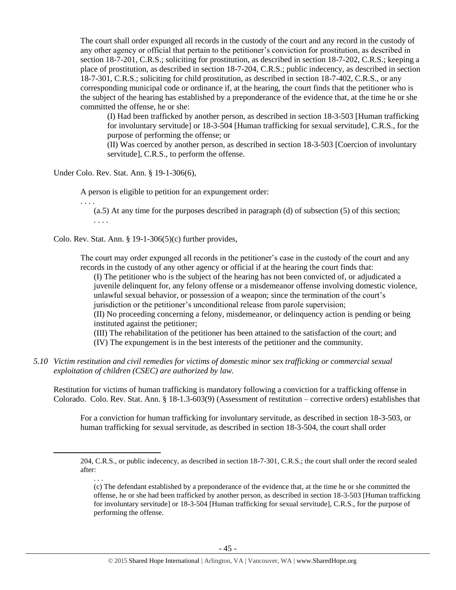The court shall order expunged all records in the custody of the court and any record in the custody of any other agency or official that pertain to the petitioner's conviction for prostitution, as described in section 18-7-201, C.R.S.; soliciting for prostitution, as described in section 18-7-202, C.R.S.; keeping a place of prostitution, as described in section 18-7-204, C.R.S.; public indecency, as described in section 18-7-301, C.R.S.; soliciting for child prostitution, as described in section 18-7-402, C.R.S., or any corresponding municipal code or ordinance if, at the hearing, the court finds that the petitioner who is the subject of the hearing has established by a preponderance of the evidence that, at the time he or she committed the offense, he or she:

(I) Had been trafficked by another person, as described in section 18-3-503 [Human trafficking for involuntary servitude] or 18-3-504 [Human trafficking for sexual servitude], C.R.S., for the purpose of performing the offense; or

(II) Was coerced by another person, as described in section 18-3-503 [Coercion of involuntary servitude], C.R.S., to perform the offense.

Under Colo. Rev. Stat. Ann. § 19-1-306(6),

A person is eligible to petition for an expungement order:

. . . . (a.5) At any time for the purposes described in paragraph (d) of subsection (5) of this section; . . . .

Colo. Rev. Stat. Ann.  $\S$  19-1-306(5)(c) further provides,

The court may order expunged all records in the petitioner's case in the custody of the court and any records in the custody of any other agency or official if at the hearing the court finds that:

(I) The petitioner who is the subject of the hearing has not been convicted of, or adjudicated a juvenile delinquent for, any felony offense or a misdemeanor offense involving domestic violence, unlawful sexual behavior, or possession of a weapon; since the termination of the court's jurisdiction or the petitioner's unconditional release from parole supervision;

(II) No proceeding concerning a felony, misdemeanor, or delinquency action is pending or being instituted against the petitioner;

(III) The rehabilitation of the petitioner has been attained to the satisfaction of the court; and (IV) The expungement is in the best interests of the petitioner and the community.

*5.10 Victim restitution and civil remedies for victims of domestic minor sex trafficking or commercial sexual exploitation of children (CSEC) are authorized by law.* 

Restitution for victims of human trafficking is mandatory following a conviction for a trafficking offense in Colorado. Colo. Rev. Stat. Ann. § 18-1.3-603(9) (Assessment of restitution – corrective orders) establishes that

For a conviction for human trafficking for involuntary servitude, as described in section 18-3-503, or human trafficking for sexual servitude, as described in section 18-3-504, the court shall order

. . .

 $\overline{\phantom{a}}$ 

<sup>204,</sup> C.R.S., or public indecency, as described in section 18-7-301, C.R.S.; the court shall order the record sealed after:

<sup>(</sup>c) The defendant established by a preponderance of the evidence that, at the time he or she committed the offense, he or she had been trafficked by another person, as described in section 18-3-503 [Human trafficking for involuntary servitude] or 18-3-504 [Human trafficking for sexual servitude], C.R.S., for the purpose of performing the offense.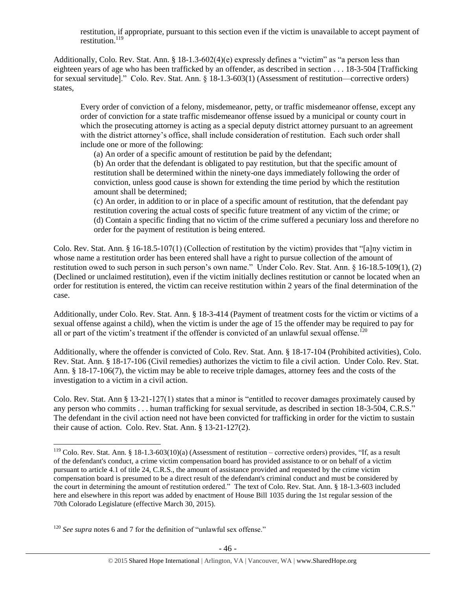restitution, if appropriate, pursuant to this section even if the victim is unavailable to accept payment of restitution. $119$ 

Additionally, Colo. Rev. Stat. Ann.  $\S 18-1.3-602(4)(e)$  expressly defines a "victim" as "a person less than eighteen years of age who has been trafficked by an offender, as described in section . . . 18-3-504 [Trafficking for sexual servitude]." Colo. Rev. Stat. Ann. § 18-1.3-603(1) (Assessment of restitution—corrective orders) states,

Every order of conviction of a felony, misdemeanor, petty, or traffic misdemeanor offense, except any order of conviction for a state traffic misdemeanor offense issued by a municipal or county court in which the prosecuting attorney is acting as a special deputy district attorney pursuant to an agreement with the district attorney's office, shall include consideration of restitution. Each such order shall include one or more of the following:

(a) An order of a specific amount of restitution be paid by the defendant;

(b) An order that the defendant is obligated to pay restitution, but that the specific amount of restitution shall be determined within the ninety-one days immediately following the order of conviction, unless good cause is shown for extending the time period by which the restitution amount shall be determined;

(c) An order, in addition to or in place of a specific amount of restitution, that the defendant pay restitution covering the actual costs of specific future treatment of any victim of the crime; or (d) Contain a specific finding that no victim of the crime suffered a pecuniary loss and therefore no order for the payment of restitution is being entered.

Colo. Rev. Stat. Ann. § 16-18.5-107(1) (Collection of restitution by the victim) provides that "[a]ny victim in whose name a restitution order has been entered shall have a right to pursue collection of the amount of restitution owed to such person in such person's own name." Under Colo. Rev. Stat. Ann. § 16-18.5-109(1), (2) (Declined or unclaimed restitution), even if the victim initially declines restitution or cannot be located when an order for restitution is entered, the victim can receive restitution within 2 years of the final determination of the case.

Additionally, under Colo. Rev. Stat. Ann. § 18-3-414 (Payment of treatment costs for the victim or victims of a sexual offense against a child), when the victim is under the age of 15 the offender may be required to pay for all or part of the victim's treatment if the offender is convicted of an unlawful sexual offense.<sup>120</sup>

Additionally, where the offender is convicted of Colo. Rev. Stat. Ann. § 18-17-104 (Prohibited activities), Colo. Rev. Stat. Ann. § 18-17-106 (Civil remedies) authorizes the victim to file a civil action. Under Colo. Rev. Stat. Ann. § 18-17-106(7), the victim may be able to receive triple damages, attorney fees and the costs of the investigation to a victim in a civil action.

Colo. Rev. Stat. Ann § 13-21-127(1) states that a minor is "entitled to recover damages proximately caused by any person who commits . . . human trafficking for sexual servitude, as described in section 18-3-504, C.R.S." The defendant in the civil action need not have been convicted for trafficking in order for the victim to sustain their cause of action. Colo. Rev. Stat. Ann. § 13-21-127(2).

 $\overline{\phantom{a}}$ 

<sup>&</sup>lt;sup>119</sup> Colo. Rev. Stat. Ann. § 18-1.3-603(10)(a) (Assessment of restitution – corrective orders) provides, "If, as a result of the defendant's conduct, a crime victim compensation board has provided assistance to or on behalf of a victim pursuant to article 4.1 of title 24, C.R.S., the amount of assistance provided and requested by the crime victim compensation board is presumed to be a direct result of the defendant's criminal conduct and must be considered by the court in determining the amount of restitution ordered." The text of Colo. Rev. Stat. Ann. § 18-1.3-603 included here and elsewhere in this report was added by enactment of House Bill 1035 during the 1st regular session of the 70th Colorado Legislature (effective March 30, 2015).

<sup>&</sup>lt;sup>120</sup> *See supra* note[s 6](#page-1-0) and [7](#page-1-2) for the definition of "unlawful sex offense."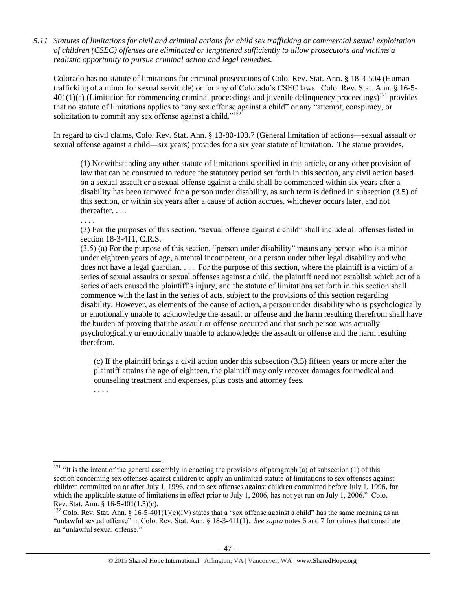*5.11 Statutes of limitations for civil and criminal actions for child sex trafficking or commercial sexual exploitation of children (CSEC) offenses are eliminated or lengthened sufficiently to allow prosecutors and victims a realistic opportunity to pursue criminal action and legal remedies.*

Colorado has no statute of limitations for criminal prosecutions of Colo. Rev. Stat. Ann. § 18-3-504 (Human trafficking of a minor for sexual servitude) or for any of Colorado's CSEC laws. Colo. Rev. Stat. Ann. § 16-5-  $401(1)(a)$  (Limitation for commencing criminal proceedings and juvenile delinquency proceedings)<sup>121</sup> provides that no statute of limitations applies to "any sex offense against a child" or any "attempt, conspiracy, or solicitation to commit any sex offense against a child."<sup>122</sup>

In regard to civil claims, Colo. Rev. Stat. Ann. § 13-80-103.7 (General limitation of actions—sexual assault or sexual offense against a child—six years) provides for a six year statute of limitation. The statue provides,

(1) Notwithstanding any other statute of limitations specified in this article, or any other provision of law that can be construed to reduce the statutory period set forth in this section, any civil action based on a sexual assault or a sexual offense against a child shall be commenced within six years after a disability has been removed for a person under disability, as such term is defined in subsection (3.5) of this section, or within six years after a cause of action accrues, whichever occurs later, and not thereafter. . . .

. . . .

(3) For the purposes of this section, "sexual offense against a child" shall include all offenses listed in section 18-3-411, C.R.S.

(3.5) (a) For the purpose of this section, "person under disability" means any person who is a minor under eighteen years of age, a mental incompetent, or a person under other legal disability and who does not have a legal guardian. . . . For the purpose of this section, where the plaintiff is a victim of a series of sexual assaults or sexual offenses against a child, the plaintiff need not establish which act of a series of acts caused the plaintiff's injury, and the statute of limitations set forth in this section shall commence with the last in the series of acts, subject to the provisions of this section regarding disability. However, as elements of the cause of action, a person under disability who is psychologically or emotionally unable to acknowledge the assault or offense and the harm resulting therefrom shall have the burden of proving that the assault or offense occurred and that such person was actually psychologically or emotionally unable to acknowledge the assault or offense and the harm resulting therefrom.

(c) If the plaintiff brings a civil action under this subsection (3.5) fifteen years or more after the plaintiff attains the age of eighteen, the plaintiff may only recover damages for medical and counseling treatment and expenses, plus costs and attorney fees.

. . . .

 $\overline{a}$ 

. . . .

<sup>&</sup>lt;sup>121</sup> "It is the intent of the general assembly in enacting the provisions of paragraph (a) of subsection (1) of this section concerning sex offenses against children to apply an unlimited statute of limitations to sex offenses against children committed on or after July 1, 1996, and to sex offenses against children committed before July 1, 1996, for which the applicable statute of limitations in effect prior to July 1, 2006, has not yet run on July 1, 2006." Colo. Rev. Stat. Ann. § 16-5-401(1.5)(c).

<sup>&</sup>lt;sup>122</sup> Colo. Rev. Stat. Ann. § 16-5-401(1)(c)(IV) states that a "sex offense against a child" has the same meaning as an "unlawful sexual offense" in Colo. Rev. Stat. Ann. § 18-3-411(1). *See supra* notes [6](#page-1-0) an[d 7](#page-1-2) for crimes that constitute an "unlawful sexual offense."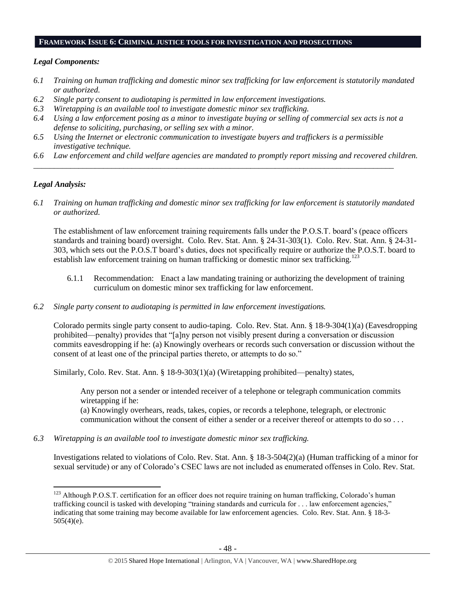#### **FRAMEWORK ISSUE 6: CRIMINAL JUSTICE TOOLS FOR INVESTIGATION AND PROSECUTIONS**

#### *Legal Components:*

- *6.1 Training on human trafficking and domestic minor sex trafficking for law enforcement is statutorily mandated or authorized.*
- *6.2 Single party consent to audiotaping is permitted in law enforcement investigations.*
- *6.3 Wiretapping is an available tool to investigate domestic minor sex trafficking.*
- *6.4 Using a law enforcement posing as a minor to investigate buying or selling of commercial sex acts is not a defense to soliciting, purchasing, or selling sex with a minor.*
- *6.5 Using the Internet or electronic communication to investigate buyers and traffickers is a permissible investigative technique.*

*\_\_\_\_\_\_\_\_\_\_\_\_\_\_\_\_\_\_\_\_\_\_\_\_\_\_\_\_\_\_\_\_\_\_\_\_\_\_\_\_\_\_\_\_\_\_\_\_\_\_\_\_\_\_\_\_\_\_\_\_\_\_\_\_\_\_\_\_\_\_\_\_\_\_\_\_\_\_\_\_\_\_\_\_\_\_\_\_*

*6.6 Law enforcement and child welfare agencies are mandated to promptly report missing and recovered children.* 

## *Legal Analysis:*

*6.1 Training on human trafficking and domestic minor sex trafficking for law enforcement is statutorily mandated or authorized.*

The establishment of law enforcement training requirements falls under the P.O.S.T. board's (peace officers standards and training board) oversight. Colo. Rev. Stat. Ann. § 24-31-303(1). Colo. Rev. Stat. Ann. § 24-31- 303, which sets out the P.O.S.T board's duties, does not specifically require or authorize the P.O.S.T. board to establish law enforcement training on human trafficking or domestic minor sex trafficking.<sup>123</sup>

- 6.1.1 Recommendation: Enact a law mandating training or authorizing the development of training curriculum on domestic minor sex trafficking for law enforcement.
- *6.2 Single party consent to audiotaping is permitted in law enforcement investigations.*

Colorado permits single party consent to audio-taping. Colo. Rev. Stat. Ann. § 18-9-304(1)(a) (Eavesdropping prohibited—penalty) provides that "[a]ny person not visibly present during a conversation or discussion commits eavesdropping if he: (a) Knowingly overhears or records such conversation or discussion without the consent of at least one of the principal parties thereto, or attempts to do so."

Similarly, Colo. Rev. Stat. Ann. § 18-9-303(1)(a) (Wiretapping prohibited—penalty) states,

Any person not a sender or intended receiver of a telephone or telegraph communication commits wiretapping if he:

(a) Knowingly overhears, reads, takes, copies, or records a telephone, telegraph, or electronic communication without the consent of either a sender or a receiver thereof or attempts to do so . . .

*6.3 Wiretapping is an available tool to investigate domestic minor sex trafficking.* 

Investigations related to violations of Colo. Rev. Stat. Ann. § 18-3-504(2)(a) (Human trafficking of a minor for sexual servitude) or any of Colorado's CSEC laws are not included as enumerated offenses in Colo. Rev. Stat.

 $\overline{a}$ <sup>123</sup> Although P.O.S.T. certification for an officer does not require training on human trafficking, Colorado's human trafficking council is tasked with developing "training standards and curricula for . . . law enforcement agencies," indicating that some training may become available for law enforcement agencies. Colo. Rev. Stat. Ann. § 18-3- 505(4)(e).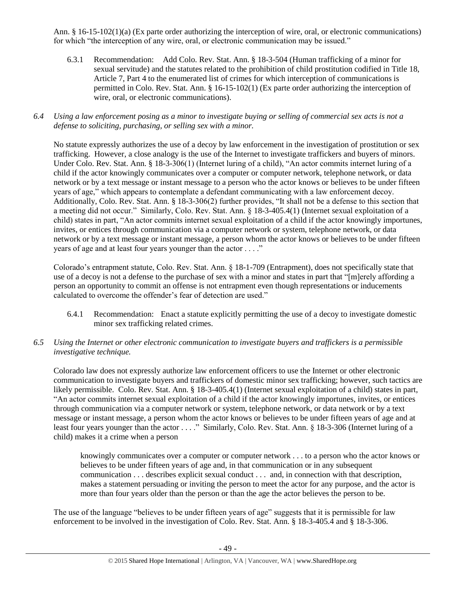Ann. § 16-15-102(1)(a) (Ex parte order authorizing the interception of wire, oral, or electronic communications) for which "the interception of any wire, oral, or electronic communication may be issued."

6.3.1 Recommendation: Add Colo. Rev. Stat. Ann. § 18-3-504 (Human trafficking of a minor for sexual servitude) and the statutes related to the prohibition of child prostitution codified in Title 18, Article 7, Part 4 to the enumerated list of crimes for which interception of communications is permitted in Colo. Rev. Stat. Ann. § 16-15-102(1) (Ex parte order authorizing the interception of wire, oral, or electronic communications).

#### *6.4 Using a law enforcement posing as a minor to investigate buying or selling of commercial sex acts is not a defense to soliciting, purchasing, or selling sex with a minor.*

No statute expressly authorizes the use of a decoy by law enforcement in the investigation of prostitution or sex trafficking. However, a close analogy is the use of the Internet to investigate traffickers and buyers of minors. Under Colo. Rev. Stat. Ann. § 18-3-306(1) (Internet luring of a child), "An actor commits internet luring of a child if the actor knowingly communicates over a computer or computer network, telephone network, or data network or by a text message or instant message to a person who the actor knows or believes to be under fifteen years of age," which appears to contemplate a defendant communicating with a law enforcement decoy. Additionally, Colo. Rev. Stat. Ann. § 18-3-306(2) further provides, "It shall not be a defense to this section that a meeting did not occur." Similarly, Colo. Rev. Stat. Ann. § 18-3-405.4(1) (Internet sexual exploitation of a child) states in part, "An actor commits internet sexual exploitation of a child if the actor knowingly importunes, invites, or entices through communication via a computer network or system, telephone network, or data network or by a text message or instant message, a person whom the actor knows or believes to be under fifteen years of age and at least four years younger than the actor . . . ."

Colorado's entrapment statute, Colo. Rev. Stat. Ann. § 18-1-709 (Entrapment), does not specifically state that use of a decoy is not a defense to the purchase of sex with a minor and states in part that "[m]erely affording a person an opportunity to commit an offense is not entrapment even though representations or inducements calculated to overcome the offender's fear of detection are used."

- 6.4.1 Recommendation: Enact a statute explicitly permitting the use of a decoy to investigate domestic minor sex trafficking related crimes.
- *6.5 Using the Internet or other electronic communication to investigate buyers and traffickers is a permissible investigative technique.*

Colorado law does not expressly authorize law enforcement officers to use the Internet or other electronic communication to investigate buyers and traffickers of domestic minor sex trafficking; however, such tactics are likely permissible. Colo. Rev. Stat. Ann. § 18-3-405.4(1) (Internet sexual exploitation of a child) states in part, "An actor commits internet sexual exploitation of a child if the actor knowingly importunes, invites, or entices through communication via a computer network or system, telephone network, or data network or by a text message or instant message, a person whom the actor knows or believes to be under fifteen years of age and at least four years younger than the actor . . . ." Similarly, Colo. Rev. Stat. Ann. § 18-3-306 (Internet luring of a child) makes it a crime when a person

knowingly communicates over a computer or computer network . . . to a person who the actor knows or believes to be under fifteen years of age and, in that communication or in any subsequent communication . . . describes explicit sexual conduct . . . and, in connection with that description, makes a statement persuading or inviting the person to meet the actor for any purpose, and the actor is more than four years older than the person or than the age the actor believes the person to be.

The use of the language "believes to be under fifteen years of age" suggests that it is permissible for law enforcement to be involved in the investigation of Colo. Rev. Stat. Ann. § 18-3-405.4 and § 18-3-306.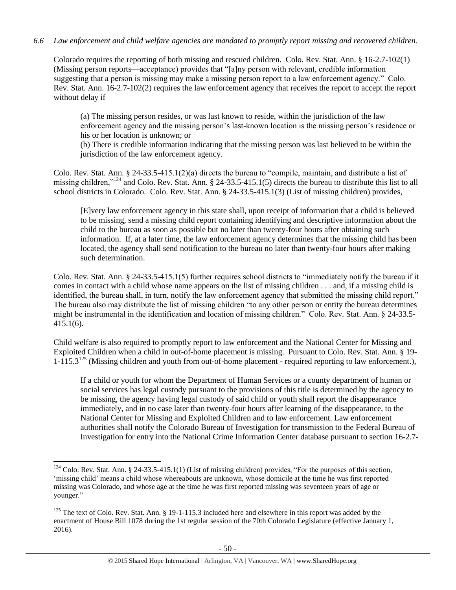## *6.6 Law enforcement and child welfare agencies are mandated to promptly report missing and recovered children.*

Colorado requires the reporting of both missing and rescued children. Colo. Rev. Stat. Ann. § 16-2.7-102(1) (Missing person reports—acceptance) provides that "[a]ny person with relevant, credible information suggesting that a person is missing may make a missing person report to a law enforcement agency." Colo. Rev. Stat. Ann. 16-2.7-102(2) requires the law enforcement agency that receives the report to accept the report without delay if

(a) The missing person resides, or was last known to reside, within the jurisdiction of the law enforcement agency and the missing person's last-known location is the missing person's residence or his or her location is unknown; or

(b) There is credible information indicating that the missing person was last believed to be within the jurisdiction of the law enforcement agency.

Colo. Rev. Stat. Ann. § 24-33.5-415.1(2)(a) directs the bureau to "compile, maintain, and distribute a list of missing children,"<sup>124</sup> and Colo. Rev. Stat. Ann. § 24-33.5-415.1(5) directs the bureau to distribute this list to all school districts in Colorado. Colo. Rev. Stat. Ann. § 24-33.5-415.1(3) (List of missing children) provides,

[E]very law enforcement agency in this state shall, upon receipt of information that a child is believed to be missing, send a missing child report containing identifying and descriptive information about the child to the bureau as soon as possible but no later than twenty-four hours after obtaining such information. If, at a later time, the law enforcement agency determines that the missing child has been located, the agency shall send notification to the bureau no later than twenty-four hours after making such determination.

Colo. Rev. Stat. Ann. § 24-33.5-415.1(5) further requires school districts to "immediately notify the bureau if it comes in contact with a child whose name appears on the list of missing children . . . and, if a missing child is identified, the bureau shall, in turn, notify the law enforcement agency that submitted the missing child report." The bureau also may distribute the list of missing children "to any other person or entity the bureau determines might be instrumental in the identification and location of missing children." Colo. Rev. Stat. Ann. § 24-33.5- 415.1(6).

Child welfare is also required to promptly report to law enforcement and the National Center for Missing and Exploited Children when a child in out-of-home placement is missing. Pursuant to Colo. Rev. Stat. Ann. § 19-  $1-115.3^{125}$  (Missing children and youth from out-of-home placement - required reporting to law enforcement.),

If a child or youth for whom the Department of Human Services or a county department of human or social services has legal custody pursuant to the provisions of this title is determined by the agency to be missing, the agency having legal custody of said child or youth shall report the disappearance immediately, and in no case later than twenty-four hours after learning of the disappearance, to the National Center for Missing and Exploited Children and to law enforcement. Law enforcement authorities shall notify the Colorado Bureau of Investigation for transmission to the Federal Bureau of Investigation for entry into the National Crime Information Center database pursuant to section 16-2.7-

 $\overline{a}$  $124$  Colo. Rev. Stat. Ann. § 24-33.5-415.1(1) (List of missing children) provides, "For the purposes of this section, 'missing child' means a child whose whereabouts are unknown, whose domicile at the time he was first reported missing was Colorado, and whose age at the time he was first reported missing was seventeen years of age or younger."

<sup>&</sup>lt;sup>125</sup> The text of Colo. Rev. Stat. Ann. § 19-1-115.3 included here and elsewhere in this report was added by the enactment of House Bill 1078 during the 1st regular session of the 70th Colorado Legislature (effective January 1, 2016).